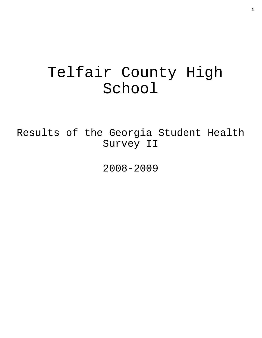# Telfair County High School

Results of the Georgia Student Health Survey II

2008-2009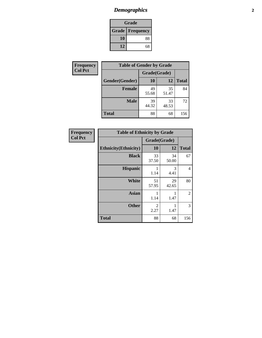# *Demographics* **2**

| Grade                    |    |  |  |
|--------------------------|----|--|--|
| <b>Grade   Frequency</b> |    |  |  |
| 10                       | 88 |  |  |
| 12                       | 68 |  |  |

| Frequency      | <b>Table of Gender by Grade</b> |              |             |              |  |
|----------------|---------------------------------|--------------|-------------|--------------|--|
| <b>Col Pct</b> |                                 | Grade(Grade) |             |              |  |
|                | Gender(Gender)                  | 10           | 12          | <b>Total</b> |  |
|                | <b>Female</b>                   | 49<br>55.68  | 35<br>51.47 | 84           |  |
|                | <b>Male</b>                     | 39<br>44.32  | 33<br>48.53 | 72           |  |
|                | <b>Total</b>                    | 88           | 68          | 156          |  |

| <b>Frequency</b> |  |
|------------------|--|
| <b>Col Pct</b>   |  |

| <b>Table of Ethnicity by Grade</b> |              |             |              |  |  |  |
|------------------------------------|--------------|-------------|--------------|--|--|--|
|                                    | Grade(Grade) |             |              |  |  |  |
| <b>Ethnicity</b> (Ethnicity)       | 10           | 12          | <b>Total</b> |  |  |  |
| <b>Black</b>                       | 33<br>37.50  | 34<br>50.00 | 67           |  |  |  |
| <b>Hispanic</b>                    | 1<br>1.14    | 3<br>4.41   | 4            |  |  |  |
| White                              | 51<br>57.95  | 29<br>42.65 | 80           |  |  |  |
| <b>Asian</b>                       | 1<br>1.14    | 1<br>1.47   | 2            |  |  |  |
| <b>Other</b>                       | 2<br>2.27    | 1<br>1.47   | 3            |  |  |  |
| <b>Total</b>                       | 88           | 68          | 156          |  |  |  |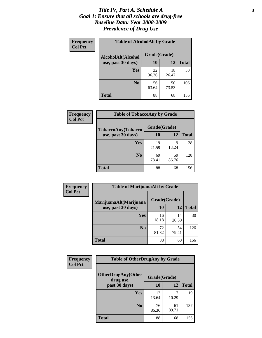### *Title IV, Part A, Schedule A* **3** *Goal 1: Ensure that all schools are drug-free Baseline Data: Year 2008-2009 Prevalence of Drug Use*

| Frequency<br><b>Col Pct</b> | <b>Table of AlcoholAlt by Grade</b> |              |             |              |  |  |
|-----------------------------|-------------------------------------|--------------|-------------|--------------|--|--|
|                             | AlcoholAlt(Alcohol                  | Grade(Grade) |             |              |  |  |
|                             | use, past 30 days)                  | <b>10</b>    | 12          | <b>Total</b> |  |  |
|                             | Yes                                 | 32<br>36.36  | 18<br>26.47 | 50           |  |  |
|                             | N <sub>0</sub>                      | 56<br>63.64  | 50<br>73.53 | 106          |  |  |
|                             | Total                               | 88           | 68          | 156          |  |  |

| Frequency      | <b>Table of TobaccoAny by Grade</b> |              |             |              |  |
|----------------|-------------------------------------|--------------|-------------|--------------|--|
| <b>Col Pct</b> | <b>TobaccoAny(Tobacco</b>           | Grade(Grade) |             |              |  |
|                | use, past 30 days)                  | 10           | 12          | <b>Total</b> |  |
|                | Yes                                 | 19<br>21.59  | 9<br>13.24  | 28           |  |
|                | N <sub>0</sub>                      | 69<br>78.41  | 59<br>86.76 | 128          |  |
|                | <b>Total</b>                        | 88           | 68          | 156          |  |

| Frequency<br><b>Col Pct</b> | <b>Table of MarijuanaAlt by Grade</b> |              |             |              |  |
|-----------------------------|---------------------------------------|--------------|-------------|--------------|--|
|                             | MarijuanaAlt(Marijuana                | Grade(Grade) |             |              |  |
|                             | use, past 30 days)                    | <b>10</b>    | 12          | <b>Total</b> |  |
|                             | Yes                                   | 16<br>18.18  | 14<br>20.59 | 30           |  |
|                             | N <sub>0</sub>                        | 72<br>81.82  | 54<br>79.41 | 126          |  |
|                             | <b>Total</b>                          | 88           | 68          | 156          |  |

| Frequency<br><b>Col Pct</b> | <b>Table of OtherDrugAny by Grade</b>  |              |             |              |  |  |
|-----------------------------|----------------------------------------|--------------|-------------|--------------|--|--|
|                             | <b>OtherDrugAny(Other</b><br>drug use, | Grade(Grade) |             |              |  |  |
|                             | past 30 days)                          | 10           | 12          | <b>Total</b> |  |  |
|                             | Yes                                    | 12<br>13.64  | 10.29       | 19           |  |  |
|                             | N <sub>0</sub>                         | 76<br>86.36  | 61<br>89.71 | 137          |  |  |
|                             | <b>Total</b>                           | 88           | 68          | 156          |  |  |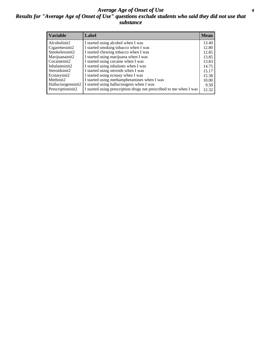### *Average Age of Onset of Use* **4** *Results for "Average Age of Onset of Use" questions exclude students who said they did not use that substance*

| <b>Variable</b>       | Label                                                              | <b>Mean</b> |
|-----------------------|--------------------------------------------------------------------|-------------|
| Alcoholinit2          | I started using alcohol when I was                                 | 13.40       |
| Cigarettesinit2       | I started smoking tobacco when I was                               | 12.80       |
| Smokelessinit2        | I started chewing tobacco when I was                               | 12.85       |
| Marijuanainit2        | I started using marijuana when I was                               | 13.85       |
| Cocaineinit2          | I started using cocaine when I was                                 | 13.83       |
| Inhalantsinit2        | I started using inhalants when I was                               | 14.75       |
| Steroidsinit2         | I started using steroids when I was                                | 15.17       |
| Ecstasyinit2          | I started using ecstasy when I was                                 | 15.38       |
| Methinit <sub>2</sub> | I started using methamphetamines when I was                        | 10.00       |
| Hallucinogensinit2    | I started using hallucinogens when I was                           | 9.50        |
| Prescriptioninit2     | I started using prescription drugs not prescribed to me when I was | 12.32       |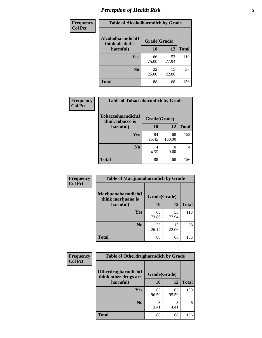# *Perception of Health Risk* **5**

| <b>Frequency</b> | <b>Table of Alcoholharmdich by Grade</b> |              |             |              |  |
|------------------|------------------------------------------|--------------|-------------|--------------|--|
| <b>Col Pct</b>   | Alcoholharmdich(I<br>think alcohol is    | Grade(Grade) |             |              |  |
|                  | harmful)                                 | 10           | 12          | <b>Total</b> |  |
|                  | Yes                                      | 66<br>75.00  | 53<br>77.94 | 119          |  |
|                  | N <sub>0</sub>                           | 22<br>25.00  | 15<br>22.06 | 37           |  |
|                  | <b>Total</b>                             | 88           | 68          | 156          |  |

| Frequency      | <b>Table of Tobaccoharmdich by Grade</b> |              |              |              |  |
|----------------|------------------------------------------|--------------|--------------|--------------|--|
| <b>Col Pct</b> | Tobaccoharmdich(I<br>think tobacco is    | Grade(Grade) |              |              |  |
|                | harmful)                                 | 10           | 12           | <b>Total</b> |  |
|                | <b>Yes</b>                               | 84<br>95.45  | 68<br>100.00 | 152          |  |
|                | N <sub>0</sub>                           | 4<br>4.55    | 0<br>0.00    |              |  |
|                | <b>Total</b>                             | 88           | 68           | 156          |  |

| Frequency      | <b>Table of Marijuanaharmdich by Grade</b> |              |             |              |  |  |
|----------------|--------------------------------------------|--------------|-------------|--------------|--|--|
| <b>Col Pct</b> | Marijuanaharmdich(I<br>think marijuana is  | Grade(Grade) |             |              |  |  |
|                | harmful)                                   | 10           | 12          | <b>Total</b> |  |  |
|                | Yes                                        | 65<br>73.86  | 53<br>77.94 | 118          |  |  |
|                | N <sub>0</sub>                             | 23<br>26.14  | 15<br>22.06 | 38           |  |  |
|                | <b>Total</b>                               | 88           | 68          | 156          |  |  |

| <b>Frequency</b> | <b>Table of Otherdrugharmdich by Grade</b>   |              |             |              |  |
|------------------|----------------------------------------------|--------------|-------------|--------------|--|
| <b>Col Pct</b>   | Otherdrugharmdich(I<br>think other drugs are | Grade(Grade) |             |              |  |
|                  | harmful)                                     | <b>10</b>    | 12          | <b>Total</b> |  |
|                  | Yes                                          | 85<br>96.59  | 65<br>95.59 | 150          |  |
|                  | N <sub>0</sub>                               | 3.41         | 3<br>4.41   | 6            |  |
|                  | <b>Total</b>                                 | 88           | 68          | 156          |  |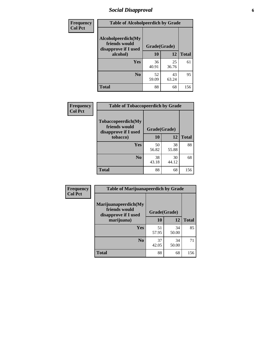# *Social Disapproval* **6**

| Frequency      | <b>Table of Alcoholpeerdich by Grade</b>                    |              |             |              |  |  |  |
|----------------|-------------------------------------------------------------|--------------|-------------|--------------|--|--|--|
| <b>Col Pct</b> | Alcoholpeerdich(My<br>friends would<br>disapprove if I used | Grade(Grade) |             |              |  |  |  |
|                | alcohol)                                                    | 10           | 12          | <b>Total</b> |  |  |  |
|                | <b>Yes</b>                                                  | 36<br>40.91  | 25<br>36.76 | 61           |  |  |  |
|                | N <sub>0</sub>                                              | 52<br>59.09  | 43<br>63.24 | 95           |  |  |  |
|                | <b>Total</b>                                                | 88           | 68          | 156          |  |  |  |

| <b>Frequency</b> |
|------------------|
| <b>Col Pct</b>   |

| <b>Table of Tobaccopeerdich by Grade</b>                           |              |             |              |  |  |
|--------------------------------------------------------------------|--------------|-------------|--------------|--|--|
| <b>Tobaccopeerdich(My</b><br>friends would<br>disapprove if I used | Grade(Grade) |             |              |  |  |
| tobacco)                                                           | 10           | 12          | <b>Total</b> |  |  |
| Yes                                                                | 50<br>56.82  | 38<br>55.88 | 88           |  |  |
| N <sub>0</sub>                                                     | 38<br>43.18  | 30<br>44.12 | 68           |  |  |
| <b>Total</b>                                                       | 88           | 68          | 156          |  |  |

| <b>Frequency</b> | <b>Table of Marijuanapeerdich by Grade</b>                    |              |             |              |  |
|------------------|---------------------------------------------------------------|--------------|-------------|--------------|--|
| <b>Col Pct</b>   | Marijuanapeerdich(My<br>friends would<br>disapprove if I used | Grade(Grade) |             |              |  |
|                  | marijuana)                                                    | 10           | 12          | <b>Total</b> |  |
|                  | <b>Yes</b>                                                    | 51<br>57.95  | 34<br>50.00 | 85           |  |
|                  | N <sub>0</sub>                                                | 37<br>42.05  | 34<br>50.00 | 71           |  |
|                  | <b>Total</b>                                                  | 88           | 68          | 156          |  |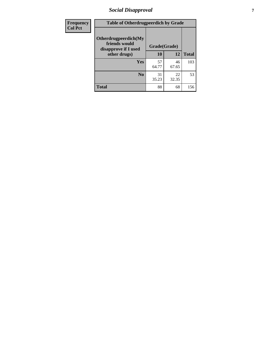# *Social Disapproval* **7**

| Frequency      | <b>Table of Otherdrugpeerdich by Grade</b>                    |              |             |              |  |  |
|----------------|---------------------------------------------------------------|--------------|-------------|--------------|--|--|
| <b>Col Pct</b> | Otherdrugpeerdich(My<br>friends would<br>disapprove if I used | Grade(Grade) |             |              |  |  |
|                | other drugs)                                                  | 10           | 12          | <b>Total</b> |  |  |
|                | Yes                                                           | 57<br>64.77  | 46<br>67.65 | 103          |  |  |
|                | N <sub>0</sub>                                                | 31<br>35.23  | 22<br>32.35 | 53           |  |  |
|                | <b>Total</b>                                                  | 88           | 68          | 156          |  |  |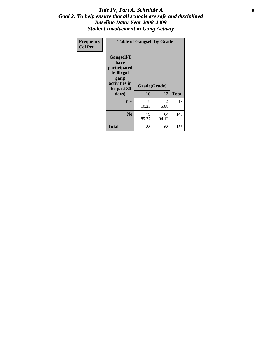### Title IV, Part A, Schedule A **8** *Goal 2: To help ensure that all schools are safe and disciplined Baseline Data: Year 2008-2009 Student Involvement in Gang Activity*

| Frequency      |                                                                                                   | <b>Table of Gangself by Grade</b> |             |              |
|----------------|---------------------------------------------------------------------------------------------------|-----------------------------------|-------------|--------------|
| <b>Col Pct</b> | Gangself(I<br>have<br>participated<br>in illegal<br>gang<br>activities in<br>the past 30<br>days) | Grade(Grade)<br>10                | 12          | <b>Total</b> |
|                | Yes                                                                                               | 9<br>10.23                        | 4<br>5.88   | 13           |
|                | N <sub>0</sub>                                                                                    | 79<br>89.77                       | 64<br>94.12 | 143          |
|                | <b>Total</b>                                                                                      | 88                                | 68          | 156          |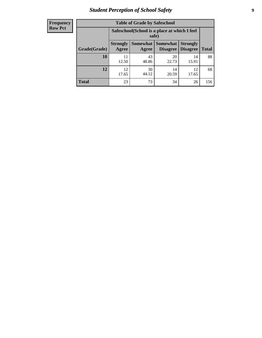# *Student Perception of School Safety* **9**

| <b>Frequency</b><br>Row Pct |
|-----------------------------|
|                             |

| <b>Table of Grade by Safeschool</b> |                                                                                                                                           |                                                        |             |             |     |  |
|-------------------------------------|-------------------------------------------------------------------------------------------------------------------------------------------|--------------------------------------------------------|-------------|-------------|-----|--|
|                                     |                                                                                                                                           | Safeschool (School is a place at which I feel<br>safe) |             |             |     |  |
| Grade(Grade)                        | <b>Somewhat</b><br><b>Somewhat</b><br><b>Strongly</b><br><b>Strongly</b><br><b>Disagree</b><br>Agree<br>Disagree<br><b>Total</b><br>Agree |                                                        |             |             |     |  |
| 10                                  | 11<br>12.50                                                                                                                               | 43<br>48.86                                            | 20<br>22.73 | 14<br>15.91 | 88  |  |
| 12                                  | 12<br>17.65                                                                                                                               | 30<br>44.12                                            | 14<br>20.59 | 12<br>17.65 | 68  |  |
| <b>Total</b>                        | 23                                                                                                                                        | 73                                                     | 34          | 26          | 156 |  |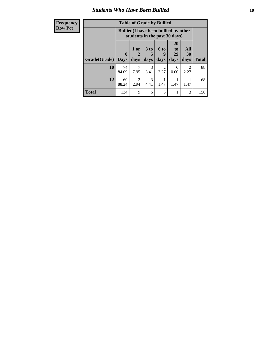### *Students Who Have Been Bullied* **10**

| <b>Frequency</b> | <b>Table of Grade by Bullied</b> |                                                                               |                        |                       |                        |                                   |           |              |
|------------------|----------------------------------|-------------------------------------------------------------------------------|------------------------|-----------------------|------------------------|-----------------------------------|-----------|--------------|
| <b>Row Pct</b>   |                                  | <b>Bullied</b> (I have been bullied by other<br>students in the past 30 days) |                        |                       |                        |                                   |           |              |
|                  |                                  | $\mathbf{0}$                                                                  | 1 or<br>2              | 3 to<br>5             | 6 to<br>9              | <b>20</b><br>t <sub>0</sub><br>29 | All<br>30 |              |
|                  | Grade(Grade)   Days              |                                                                               | days                   | days                  | days                   | days                              | days      | <b>Total</b> |
|                  | 10                               | 74<br>84.09                                                                   | 7<br>7.95              | $\mathcal{R}$<br>3.41 | $\mathfrak{D}$<br>2.27 | $\Omega$<br>0.00                  | 2<br>2.27 | 88           |
|                  | 12                               | 60<br>88.24                                                                   | $\mathfrak{D}$<br>2.94 | $\mathcal{R}$<br>4.41 | 1.47                   | 1.47                              | 1.47      | 68           |
|                  | <b>Total</b>                     | 134                                                                           | 9                      | 6                     | 3                      |                                   | 3         | 156          |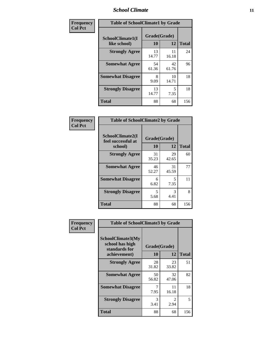### *School Climate* **11**

| Frequency      | <b>Table of SchoolClimate1 by Grade</b> |             |                    |     |  |  |
|----------------|-----------------------------------------|-------------|--------------------|-----|--|--|
| <b>Col Pct</b> | SchoolClimate1(I<br>like school)        | 10          | Grade(Grade)<br>12 |     |  |  |
|                | <b>Strongly Agree</b>                   | 13<br>14.77 | 11<br>16.18        | 24  |  |  |
|                | <b>Somewhat Agree</b>                   | 54<br>61.36 | 42<br>61.76        | 96  |  |  |
|                | <b>Somewhat Disagree</b>                | 8<br>9.09   | 10<br>14.71        | 18  |  |  |
|                | <b>Strongly Disagree</b>                | 13<br>14.77 | 5<br>7.35          | 18  |  |  |
|                | <b>Total</b>                            | 88          | 68                 | 156 |  |  |

| Frequency<br>Col Pct |
|----------------------|

| <b>Table of SchoolClimate2 by Grade</b>           |                    |             |              |  |
|---------------------------------------------------|--------------------|-------------|--------------|--|
| SchoolClimate2(I<br>feel successful at<br>school) | Grade(Grade)<br>10 | 12          | <b>Total</b> |  |
| <b>Strongly Agree</b>                             | 31<br>35.23        | 29<br>42.65 | 60           |  |
| <b>Somewhat Agree</b>                             | 46<br>52.27        | 31<br>45.59 | 77           |  |
| <b>Somewhat Disagree</b>                          | 6<br>6.82          | 5<br>7.35   | 11           |  |
| <b>Strongly Disagree</b>                          | 5<br>5.68          | 3<br>4.41   | 8            |  |
| <b>Total</b>                                      | 88                 | 68          | 156          |  |

| Frequency      | <b>Table of SchoolClimate3 by Grade</b>                                      |                    |             |              |
|----------------|------------------------------------------------------------------------------|--------------------|-------------|--------------|
| <b>Col Pct</b> | <b>SchoolClimate3(My</b><br>school has high<br>standards for<br>achievement) | Grade(Grade)<br>10 | 12          | <b>Total</b> |
|                |                                                                              |                    |             |              |
|                | <b>Strongly Agree</b>                                                        | 28<br>31.82        | 23<br>33.82 | 51           |
|                | <b>Somewhat Agree</b>                                                        | 50<br>56.82        | 32<br>47.06 | 82           |
|                | <b>Somewhat Disagree</b>                                                     | 7.95               | 11<br>16.18 | 18           |
|                | <b>Strongly Disagree</b>                                                     | 3<br>3.41          | 2<br>2.94   | 5            |
|                | Total                                                                        | 88                 | 68          | 156          |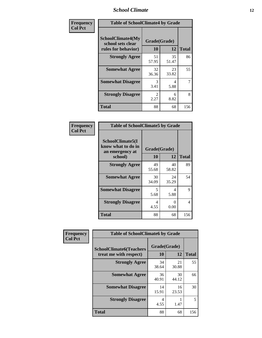### *School Climate* **12**

| Frequency      | <b>Table of SchoolClimate4 by Grade</b>                              |                        |             |              |
|----------------|----------------------------------------------------------------------|------------------------|-------------|--------------|
| <b>Col Pct</b> | <b>SchoolClimate4(My</b><br>school sets clear<br>rules for behavior) | Grade(Grade)<br>10     | 12          | <b>Total</b> |
|                | <b>Strongly Agree</b>                                                | 51<br>57.95            | 35<br>51.47 | 86           |
|                | <b>Somewhat Agree</b>                                                | 32<br>36.36            | 23<br>33.82 | 55           |
|                | <b>Somewhat Disagree</b>                                             | 3<br>3.41              | 4<br>5.88   | 7            |
|                | <b>Strongly Disagree</b>                                             | $\mathfrak{D}$<br>2.27 | 6<br>8.82   | 8            |
|                | Total                                                                | 88                     | 68          | 156          |

| <b>Table of SchoolClimate5 by Grade</b>                   |                    |             |              |  |
|-----------------------------------------------------------|--------------------|-------------|--------------|--|
| SchoolClimate5(I<br>know what to do in<br>an emergency at | Grade(Grade)<br>10 | 12          |              |  |
| school)                                                   |                    |             | <b>Total</b> |  |
| <b>Strongly Agree</b>                                     | 49<br>55.68        | 40<br>58.82 | 89           |  |
| <b>Somewhat Agree</b>                                     | 30<br>34.09        | 24<br>35.29 | 54           |  |
| <b>Somewhat Disagree</b>                                  | 5<br>5.68          | 4<br>5.88   | 9            |  |
| <b>Strongly Disagree</b>                                  | 4<br>4.55          | 0<br>0.00   | 4            |  |
| <b>Total</b>                                              | 88                 | 68          | 156          |  |

| Frequency      | <b>Table of SchoolClimate6 by Grade</b>                  |                    |             |                          |
|----------------|----------------------------------------------------------|--------------------|-------------|--------------------------|
| <b>Col Pct</b> | <b>SchoolClimate6(Teachers</b><br>treat me with respect) | Grade(Grade)<br>10 | 12          | <b>Total</b>             |
|                | <b>Strongly Agree</b>                                    | 34<br>38.64        | 21<br>30.88 | 55                       |
|                | <b>Somewhat Agree</b>                                    | 36<br>40.91        | 30<br>44.12 | 66                       |
|                | <b>Somewhat Disagree</b>                                 | 14<br>15.91        | 16<br>23.53 | 30                       |
|                | <b>Strongly Disagree</b>                                 | 4<br>4.55          | 1.47        | $\overline{\phantom{0}}$ |
|                | <b>Total</b>                                             | 88                 | 68          | 156                      |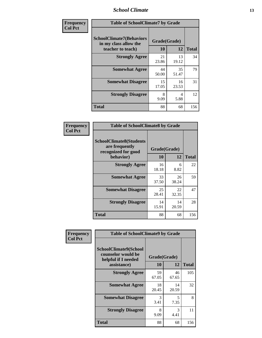### *School Climate* **13**

| Frequency      |                                                                               | <b>Table of SchoolClimate7 by Grade</b> |             |              |  |
|----------------|-------------------------------------------------------------------------------|-----------------------------------------|-------------|--------------|--|
| <b>Col Pct</b> | <b>SchoolClimate7(Behaviors</b><br>in my class allow the<br>teacher to teach) | Grade(Grade)<br><b>10</b>               | 12          | <b>Total</b> |  |
|                | <b>Strongly Agree</b>                                                         | 21<br>23.86                             | 13<br>19.12 | 34           |  |
|                | <b>Somewhat Agree</b>                                                         | 44<br>50.00                             | 35<br>51.47 | 79           |  |
|                | <b>Somewhat Disagree</b>                                                      | 15<br>17.05                             | 16<br>23.53 | 31           |  |
|                | <b>Strongly Disagree</b>                                                      | 8<br>9.09                               | 4<br>5.88   | 12           |  |
|                | <b>Total</b>                                                                  | 88                                      | 68          | 156          |  |

| Frequency      | <b>Table of SchoolClimate8 by Grade</b>                                              |                    |             |              |
|----------------|--------------------------------------------------------------------------------------|--------------------|-------------|--------------|
| <b>Col Pct</b> | <b>SchoolClimate8(Students</b><br>are frequently<br>recognized for good<br>behavior) | Grade(Grade)<br>10 | 12          | <b>Total</b> |
|                | <b>Strongly Agree</b>                                                                | 16<br>18.18        | 6<br>8.82   | 22           |
|                | <b>Somewhat Agree</b>                                                                | 33<br>37.50        | 26<br>38.24 | 59           |
|                | <b>Somewhat Disagree</b>                                                             | 25<br>28.41        | 22<br>32.35 | 47           |
|                | <b>Strongly Disagree</b>                                                             | 14<br>15.91        | 14<br>20.59 | 28           |
|                | <b>Total</b>                                                                         | 88                 | 68          | 156          |

| Frequency      | <b>Table of SchoolClimate9 by Grade</b>                                           |                    |                       |              |
|----------------|-----------------------------------------------------------------------------------|--------------------|-----------------------|--------------|
| <b>Col Pct</b> | SchoolClimate9(School<br>counselor would be<br>helpful if I needed<br>assistance) | Grade(Grade)<br>10 | 12                    | <b>Total</b> |
|                | <b>Strongly Agree</b>                                                             | 59<br>67.05        | 46<br>67.65           | 105          |
|                | <b>Somewhat Agree</b>                                                             | 18<br>20.45        | 14<br>20.59           | 32           |
|                | <b>Somewhat Disagree</b>                                                          | 3<br>3.41          | 5<br>7.35             | 8            |
|                | <b>Strongly Disagree</b>                                                          | 8<br>9.09          | $\mathcal{R}$<br>4.41 | 11           |
|                | Total                                                                             | 88                 | 68                    | 156          |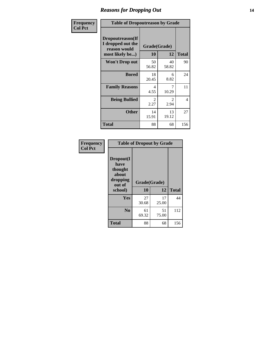### *Reasons for Dropping Out* **14**

| Frequency      | <b>Table of Dropoutreason by Grade</b>                                   |                    |                        |              |
|----------------|--------------------------------------------------------------------------|--------------------|------------------------|--------------|
| <b>Col Pct</b> | Dropoutreason(If<br>I dropped out the<br>reason would<br>most likely be) | Grade(Grade)<br>10 | 12                     | <b>Total</b> |
|                | Won't Drop out                                                           | 50<br>56.82        | 40<br>58.82            | 90           |
|                | <b>Bored</b>                                                             | 18<br>20.45        | 6<br>8.82              | 24           |
|                | <b>Family Reasons</b>                                                    | 4<br>4.55          | 7<br>10.29             | 11           |
|                | <b>Being Bullied</b>                                                     | 2<br>2.27          | $\mathfrak{D}$<br>2.94 | 4            |
|                | <b>Other</b>                                                             | 14<br>15.91        | 13<br>19.12            | 27           |
|                | Total                                                                    | 88                 | 68                     | 156          |

| Frequency      | <b>Table of Dropout by Grade</b>                                       |                    |             |              |  |
|----------------|------------------------------------------------------------------------|--------------------|-------------|--------------|--|
| <b>Col Pct</b> | Dropout(I<br>have<br>thought<br>about<br>dropping<br>out of<br>school) | Grade(Grade)<br>10 | 12          | <b>Total</b> |  |
|                | Yes                                                                    | 27                 | 17          | 44           |  |
|                |                                                                        | 30.68              | 25.00       |              |  |
|                | N <sub>0</sub>                                                         | 61<br>69.32        | 51<br>75.00 | 112          |  |
|                | <b>Total</b>                                                           | 88                 | 68          | 156          |  |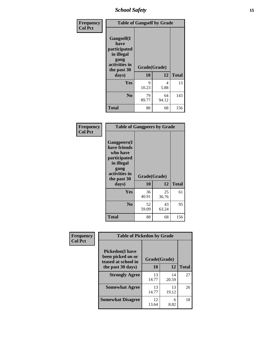*School Safety* **15**

| Frequency      | <b>Table of Gangself by Grade</b>                                                                 |                    |             |              |
|----------------|---------------------------------------------------------------------------------------------------|--------------------|-------------|--------------|
| <b>Col Pct</b> | Gangself(I<br>have<br>participated<br>in illegal<br>gang<br>activities in<br>the past 30<br>days) | Grade(Grade)<br>10 | 12          | <b>Total</b> |
|                | Yes                                                                                               | 9<br>10.23         | 4<br>5.88   | 13           |
|                | N <sub>0</sub>                                                                                    | 79<br>89.77        | 64<br>94.12 | 143          |
|                | <b>Total</b>                                                                                      | 88                 | 68          | 156          |

| Frequency<br><b>Col Pct</b> | <b>Table of Gangpeers by Grade</b>                                                                                             |                    |             |              |
|-----------------------------|--------------------------------------------------------------------------------------------------------------------------------|--------------------|-------------|--------------|
|                             | <b>Gangpeers</b> (I<br>have friends<br>who have<br>participated<br>in illegal<br>gang<br>activities in<br>the past 30<br>days) | Grade(Grade)<br>10 | 12          | <b>Total</b> |
|                             | <b>Yes</b>                                                                                                                     | 36<br>40.91        | 25<br>36.76 | 61           |
|                             | N <sub>0</sub>                                                                                                                 | 52<br>59.09        | 43<br>63.24 | 95           |
|                             | <b>Total</b>                                                                                                                   | 88                 | 68          | 156          |

| Frequency      |                                                                     | <b>Table of Pickedon by Grade</b> |             |              |  |  |  |  |  |  |  |  |
|----------------|---------------------------------------------------------------------|-----------------------------------|-------------|--------------|--|--|--|--|--|--|--|--|
| <b>Col Pct</b> | <b>Pickedon</b> (I have<br>been picked on or<br>teased at school in | Grade(Grade)                      |             |              |  |  |  |  |  |  |  |  |
|                | the past 30 days)                                                   | 10                                | 12          | <b>Total</b> |  |  |  |  |  |  |  |  |
|                | <b>Strongly Agree</b>                                               | 13<br>14.77                       | 14<br>20.59 | 27           |  |  |  |  |  |  |  |  |
|                | <b>Somewhat Agree</b>                                               | 13<br>14.77                       | 13<br>19.12 | 26           |  |  |  |  |  |  |  |  |
|                | <b>Somewhat Disagree</b>                                            | 12<br>13.64                       | 6<br>8.82   | 18           |  |  |  |  |  |  |  |  |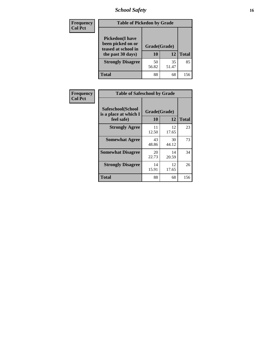# *School Safety* **16**

| <b>Frequency</b> |                                                                                          | <b>Table of Pickedon by Grade</b> |              |     |  |  |  |  |  |  |  |
|------------------|------------------------------------------------------------------------------------------|-----------------------------------|--------------|-----|--|--|--|--|--|--|--|
| <b>Col Pct</b>   | <b>Pickedon</b> (I have<br>been picked on or<br>teased at school in<br>the past 30 days) | Grade(Grade)<br>10                | <b>Total</b> |     |  |  |  |  |  |  |  |
|                  | <b>Strongly Disagree</b>                                                                 | 50<br>56.82                       | 35<br>51.47  | 85  |  |  |  |  |  |  |  |
|                  | Total                                                                                    | 88                                | 68           | 156 |  |  |  |  |  |  |  |

| Frequency      | <b>Table of Safeschool by Grade</b>                      |                    |              |     |
|----------------|----------------------------------------------------------|--------------------|--------------|-----|
| <b>Col Pct</b> | Safeschool(School<br>is a place at which I<br>feel safe) | Grade(Grade)<br>10 | <b>Total</b> |     |
|                | <b>Strongly Agree</b>                                    | 11<br>12.50        | 12<br>17.65  | 23  |
|                | <b>Somewhat Agree</b>                                    | 43<br>48.86        | 30<br>44.12  | 73  |
|                | <b>Somewhat Disagree</b>                                 | 20<br>22.73        | 14<br>20.59  | 34  |
|                | <b>Strongly Disagree</b>                                 | 14<br>15.91        | 12<br>17.65  | 26  |
|                | <b>Total</b>                                             | 88                 | 68           | 156 |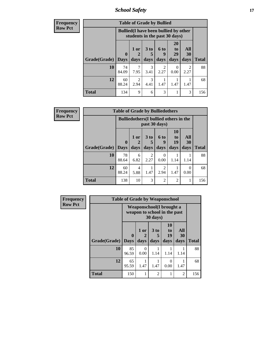*School Safety* **17**

| <b>Frequency</b> |                     |             | <b>Table of Grade by Bullied</b>                                              |                              |                          |                               |                          |              |  |  |
|------------------|---------------------|-------------|-------------------------------------------------------------------------------|------------------------------|--------------------------|-------------------------------|--------------------------|--------------|--|--|
| <b>Row Pct</b>   |                     |             | <b>Bullied</b> (I have been bullied by other<br>students in the past 30 days) |                              |                          |                               |                          |              |  |  |
|                  | Grade(Grade)   Days | $\mathbf 0$ | 1 or<br>days                                                                  | 3 <sub>to</sub><br>5<br>days | <b>6 to</b><br>9<br>days | <b>20</b><br>to<br>29<br>days | All<br><b>30</b><br>days | <b>Total</b> |  |  |
|                  | 10                  | 74<br>84.09 | 7.95                                                                          | 3<br>3.41                    | $\mathfrak{D}$<br>2.27   | 0<br>0.00                     | $\overline{2}$<br>2.27   | 88           |  |  |
|                  | 12                  | 60<br>88.24 | $\mathfrak{D}$<br>2.94                                                        | 3<br>4.41                    | 1.47                     | 1.47                          | 1.47                     | 68           |  |  |
|                  | <b>Total</b>        | 134         | 9                                                                             | 6                            | 3                        |                               | 3                        | 156          |  |  |

| Frequency      |                     | <b>Table of Grade by Bulliedothers</b> |                                                                |                         |                        |                               |                   |              |  |  |
|----------------|---------------------|----------------------------------------|----------------------------------------------------------------|-------------------------|------------------------|-------------------------------|-------------------|--------------|--|--|
| <b>Row Pct</b> |                     |                                        | <b>Bulliedothers</b> (I bullied others in the<br>past 30 days) |                         |                        |                               |                   |              |  |  |
|                | Grade(Grade)   Days | $\mathbf{0}$                           | 1 or<br>days                                                   | 3 <sub>to</sub><br>days | 6 to<br>9<br>days      | <b>10</b><br>to<br>19<br>days | All<br>30<br>days | <b>Total</b> |  |  |
|                | 10                  | 78<br>88.64                            | 6<br>6.82                                                      | $\mathfrak{D}$<br>2.27  | $\Omega$<br>0.00       | 1.14                          | 1.14              | 88           |  |  |
|                | 12                  | 60<br>88.24                            | 4<br>5.88                                                      | 1.47                    | $\mathfrak{D}$<br>2.94 | 1.47                          | 0<br>0.00         | 68           |  |  |
|                | <b>Total</b>        | 138                                    | 10                                                             | 3                       | $\overline{2}$         | $\overline{2}$                | 1                 | 156          |  |  |

| <b>Frequency</b> |              | <b>Table of Grade by Weaponschool</b>                            |              |                              |                        |                   |              |
|------------------|--------------|------------------------------------------------------------------|--------------|------------------------------|------------------------|-------------------|--------------|
| <b>Row Pct</b>   |              | <b>Weaponschool</b> (I brought a<br>weapon to school in the past |              |                              |                        |                   |              |
|                  | Grade(Grade) | $\bf{0}$<br><b>Days</b>                                          | 1 or<br>days | 3 <sub>to</sub><br>5<br>days | 10<br>to<br>19<br>days | All<br>30<br>days | <b>Total</b> |
|                  | 10           | 85<br>96.59                                                      | 0<br>0.00    | 1.14                         | 1.14                   | 1.14              | 88           |
|                  | 12           | 65<br>95.59                                                      | 1.47         | 1.47                         | 0<br>0.00              | 1.47              | 68           |
|                  | <b>Total</b> | 150                                                              |              | $\overline{2}$               |                        | $\overline{2}$    | 156          |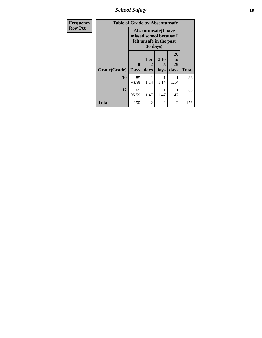*School Safety* **18**

| <b>Frequency</b> | <b>Table of Grade by Absentunsafe</b> |                                                                                  |                   |                              |                        |              |  |  |  |  |
|------------------|---------------------------------------|----------------------------------------------------------------------------------|-------------------|------------------------------|------------------------|--------------|--|--|--|--|
| <b>Row Pct</b>   |                                       | <b>Absentunsafe(I have</b><br>missed school because I<br>felt unsafe in the past |                   |                              |                        |              |  |  |  |  |
|                  | Grade(Grade)                          | 0<br><b>Days</b>                                                                 | 1 or<br>2<br>days | 3 <sub>to</sub><br>5<br>days | 20<br>to<br>29<br>days | <b>Total</b> |  |  |  |  |
|                  | 10                                    | 85<br>96.59                                                                      | 1.14              | 1.14                         | 1.14                   | 88           |  |  |  |  |
|                  | 12                                    | 65<br>95.59                                                                      | 1.47              | 1.47                         | 1.47                   | 68           |  |  |  |  |
|                  | <b>Total</b>                          | 150                                                                              | $\mathfrak{D}$    | $\mathfrak{D}$               | $\overline{2}$         | 156          |  |  |  |  |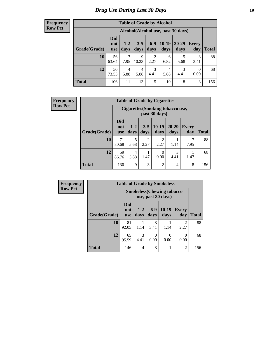# *Drug Use During Last 30 Days* **19**

| <b>Table of Grade by Alcohol</b> |                          |               |                 |                        |               |                                    |                  |       |  |  |  |
|----------------------------------|--------------------------|---------------|-----------------|------------------------|---------------|------------------------------------|------------------|-------|--|--|--|
|                                  |                          |               |                 |                        |               | Alcohol(Alcohol use, past 30 days) |                  |       |  |  |  |
| Grade(Grade)                     | <b>Did</b><br>not<br>use | $1-2$<br>days | $3 - 5$<br>days | $6-9$<br>days          | 10-19<br>days | $20 - 29$<br>days                  | Every<br>day     | Total |  |  |  |
| 10                               | 56<br>63.64              | 7<br>7.95     | 9<br>10.23      | $\overline{2}$<br>2.27 | 6<br>6.82     | 5<br>5.68                          | 3<br>3.41        | 88    |  |  |  |
| 12                               | 50<br>73.53              | 4<br>5.88     | 4<br>5.88       | 3<br>4.41              | 4<br>5.88     | 3<br>4.41                          | $\theta$<br>0.00 | 68    |  |  |  |
| <b>Total</b>                     | 106                      | 11            | 13              | 5                      | 10            | 8                                  | 3                | 156   |  |  |  |

| <b>Frequency</b> | <b>Table of Grade by Cigarettes</b> |                                 |                                                   |                 |                 |                   |                     |              |  |  |  |
|------------------|-------------------------------------|---------------------------------|---------------------------------------------------|-----------------|-----------------|-------------------|---------------------|--------------|--|--|--|
| <b>Row Pct</b>   |                                     |                                 | Cigarettes (Smoking tobacco use,<br>past 30 days) |                 |                 |                   |                     |              |  |  |  |
|                  | Grade(Grade)                        | <b>Did</b><br>not<br><b>use</b> | $1-2$<br>days                                     | $3 - 5$<br>days | $10-19$<br>days | $20 - 29$<br>days | <b>Every</b><br>day | <b>Total</b> |  |  |  |
|                  | 10                                  | 71<br>80.68                     | 5<br>5.68                                         | 2<br>2.27       | 2<br>2.27       | 1.14              | 7<br>7.95           | 88           |  |  |  |
|                  | 12                                  | 59<br>86.76                     | 4<br>5.88                                         | 1.47            | 0<br>0.00       | 3<br>4.41         | 1.47                | 68           |  |  |  |
|                  | <b>Total</b>                        | 130                             | 9                                                 | 3               | $\overline{2}$  | 4                 | 8                   | 156          |  |  |  |

| Frequency      |              | <b>Table of Grade by Smokeless</b> |                 |               |                 |                        |              |  |  |  |  |
|----------------|--------------|------------------------------------|-----------------|---------------|-----------------|------------------------|--------------|--|--|--|--|
| <b>Row Pct</b> |              | <b>Smokeless</b> (Chewing tobacco  |                 |               |                 |                        |              |  |  |  |  |
|                | Grade(Grade) | <b>Did</b><br>not<br><b>use</b>    | $1 - 2$<br>days | $6-9$<br>days | $10-19$<br>days | <b>Every</b><br>day    | <b>Total</b> |  |  |  |  |
|                | 10           | 81<br>92.05                        | 1.14            | 3<br>3.41     | 1.14            | $\mathfrak{D}$<br>2.27 | 88           |  |  |  |  |
|                | 12           | 65<br>95.59                        | 3<br>4.41       | 0<br>0.00     | 0.00            | 0<br>0.00              | 68           |  |  |  |  |
|                | <b>Total</b> | 146                                | $\overline{4}$  | 3             |                 | $\overline{2}$         | 156          |  |  |  |  |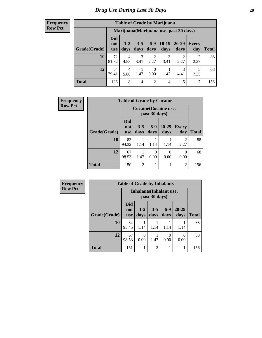| <b>Table of Grade by Marijuana</b> |                                 |                                         |                 |                        |                 |                        |              |              |  |  |  |
|------------------------------------|---------------------------------|-----------------------------------------|-----------------|------------------------|-----------------|------------------------|--------------|--------------|--|--|--|
|                                    |                                 | Marijuana (Marijuana use, past 30 days) |                 |                        |                 |                        |              |              |  |  |  |
| Grade(Grade)                       | <b>Did</b><br>not<br><b>use</b> | $1 - 2$<br>days                         | $3 - 5$<br>days | $6 - 9$<br>days        | $10-19$<br>days | 20-29<br>days          | Every<br>day | <b>Total</b> |  |  |  |
| 10                                 | 72<br>81.82                     | 4<br>4.55                               | 3<br>3.41       | $\overline{2}$<br>2.27 | 3<br>3.41       | $\overline{2}$<br>2.27 | 2<br>2.27    | 88           |  |  |  |
| 12                                 | 54<br>79.41                     | 4<br>5.88                               | 1.47            | $\theta$<br>0.00       | 1.47            | 3<br>4.41              | 5<br>7.35    | 68           |  |  |  |
| <b>Total</b>                       | 126                             | 8                                       | $\overline{4}$  | $\overline{2}$         | $\overline{4}$  | 5                      | 7            | 156          |  |  |  |

| Frequency      |              | <b>Table of Grade by Cocaine</b> |                 |                  |                              |                     |              |  |  |  |
|----------------|--------------|----------------------------------|-----------------|------------------|------------------------------|---------------------|--------------|--|--|--|
| <b>Row Pct</b> |              |                                  |                 | past 30 days)    | <b>Cocaine</b> (Cocaine use, |                     |              |  |  |  |
|                | Grade(Grade) | <b>Did</b><br>not<br><b>use</b>  | $3 - 5$<br>days | $6-9$<br>days    | 20-29<br>days                | <b>Every</b><br>day | <b>Total</b> |  |  |  |
|                | 10           | 83<br>94.32                      | 1.14            | 1.14             | 1.14                         | 2<br>2.27           | 88           |  |  |  |
|                | 12           | 67<br>98.53                      | 1.47            | $\Omega$<br>0.00 | 0<br>0.00                    | 0<br>0.00           | 68           |  |  |  |
|                | <b>Total</b> | 150                              | $\overline{2}$  |                  |                              | $\overline{2}$      | 156          |  |  |  |

| Frequency      | <b>Table of Grade by Inhalants</b> |                                 |                                 |                 |               |               |              |  |
|----------------|------------------------------------|---------------------------------|---------------------------------|-----------------|---------------|---------------|--------------|--|
| <b>Row Pct</b> |                                    |                                 | <b>Inhalants</b> (Inhalant use, | past 30 days)   |               |               |              |  |
|                | Grade(Grade)                       | <b>Did</b><br>not<br><b>use</b> | $1 - 2$<br>days                 | $3 - 5$<br>days | $6-9$<br>days | 20-29<br>days | <b>Total</b> |  |
|                | 10                                 | 84<br>95.45                     | 1.14                            | 1.14            | 1.14          | 1.14          | 88           |  |
|                | 12                                 | 67<br>98.53                     | 0<br>0.00                       | 1.47            | 0<br>0.00     | 0.00          | 68           |  |
|                | <b>Total</b>                       | 151                             | 1                               | $\overline{c}$  | 1             | 1             | 156          |  |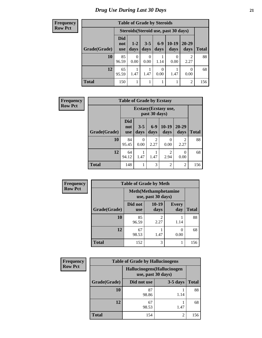| <b>Frequency</b><br>Row Pct |
|-----------------------------|

| V | <b>Table of Grade by Steroids</b>    |                                 |                  |                 |               |                 |                   |              |  |
|---|--------------------------------------|---------------------------------|------------------|-----------------|---------------|-----------------|-------------------|--------------|--|
|   | Steroids (Steroid use, past 30 days) |                                 |                  |                 |               |                 |                   |              |  |
|   | Grade(Grade)                         | <b>Did</b><br>not<br><b>use</b> | $1 - 2$<br>days  | $3 - 5$<br>days | $6-9$<br>days | $10-19$<br>days | $20 - 29$<br>days | <b>Total</b> |  |
|   | 10                                   | 85<br>96.59                     | $\Omega$<br>0.00 | 0<br>0.00       | 1.14          | 0.00            | 2<br>2.27         | 88           |  |
|   | 12                                   | 65<br>95.59                     | 1.47             | 1.47            | 0.00          | 1.47            | 0.00              | 68           |  |
|   | <b>Total</b>                         | 150                             |                  |                 |               |                 | 2                 | 156          |  |

| <b>Frequency</b> | <b>Table of Grade by Ecstasy</b> |                          |                                       |                        |                 |                        |              |  |  |
|------------------|----------------------------------|--------------------------|---------------------------------------|------------------------|-----------------|------------------------|--------------|--|--|
| <b>Row Pct</b>   |                                  |                          | Ecstasy(Ecstasy use,<br>past 30 days) |                        |                 |                        |              |  |  |
|                  | Grade(Grade)                     | Did<br>not<br><b>use</b> | $3 - 5$<br>days                       | $6-9$<br>days          | $10-19$<br>days | 20-29<br>days          | <b>Total</b> |  |  |
|                  | 10                               | 84<br>95.45              | 0<br>0.00                             | $\overline{2}$<br>2.27 | 0<br>0.00       | $\mathfrak{D}$<br>2.27 | 88           |  |  |
|                  | 12                               | 64<br>94.12              | 1.47                                  | 1.47                   | 2.94            | $\theta$<br>0.00       | 68           |  |  |
|                  | <b>Total</b>                     | 148                      |                                       | 3                      | $\overline{2}$  | $\overline{2}$         | 156          |  |  |

| Frequency      | <b>Table of Grade by Meth</b> |                                                    |                        |                     |              |  |  |
|----------------|-------------------------------|----------------------------------------------------|------------------------|---------------------|--------------|--|--|
| <b>Row Pct</b> |                               | <b>Meth</b> (Methamphetamine<br>use, past 30 days) |                        |                     |              |  |  |
|                | Grade(Grade)                  | Did not<br><b>use</b>                              | $10-19$<br>days        | <b>Every</b><br>day | <b>Total</b> |  |  |
|                | 10                            | 85<br>96.59                                        | $\mathfrak{D}$<br>2.27 | 1.14                | 88           |  |  |
|                | 12                            | 67<br>98.53                                        | 1.47                   | 0<br>0.00           | 68           |  |  |
|                | <b>Total</b>                  | 152                                                | 3                      |                     | 156          |  |  |

| <b>Frequency</b> | <b>Table of Grade by Hallucinogens</b> |                                                   |            |              |  |  |  |
|------------------|----------------------------------------|---------------------------------------------------|------------|--------------|--|--|--|
| <b>Row Pct</b>   |                                        | Hallucinogens (Hallucinogen<br>use, past 30 days) |            |              |  |  |  |
|                  | Grade(Grade)                           | Did not use                                       | $3-5$ days | <b>Total</b> |  |  |  |
|                  | 10                                     | 87<br>98.86                                       | 1.14       | 88           |  |  |  |
|                  | 12                                     | 67<br>98.53                                       | 1.47       | 68           |  |  |  |
|                  | <b>Total</b>                           | 154                                               | 2          | 156          |  |  |  |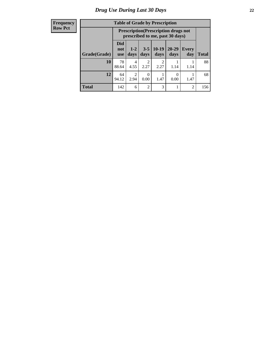| <b>Table of Grade by Prescription</b> |                                 |                                                                                |                        |                        |               |                |              |  |
|---------------------------------------|---------------------------------|--------------------------------------------------------------------------------|------------------------|------------------------|---------------|----------------|--------------|--|
|                                       |                                 | <b>Prescription</b> (Prescription drugs not<br>prescribed to me, past 30 days) |                        |                        |               |                |              |  |
| Grade(Grade)                          | <b>Did</b><br>not<br><b>use</b> | $1 - 2$<br>days                                                                | $3 - 5$<br>days        | $10-19$<br>days        | 20-29<br>days | Every<br>day   | <b>Total</b> |  |
| 10                                    | 78<br>88.64                     | 4<br>4.55                                                                      | $\mathfrak{D}$<br>2.27 | $\mathfrak{D}$<br>2.27 | 1.14          | 1.14           | 88           |  |
| 12                                    | 64<br>94.12                     | $\overline{c}$<br>2.94                                                         | 0.00                   | 1.47                   | 0.00          | 1.47           | 68           |  |
| <b>Total</b>                          | 142                             | 6                                                                              | $\mathfrak{D}$         | 3                      |               | $\overline{2}$ | 156          |  |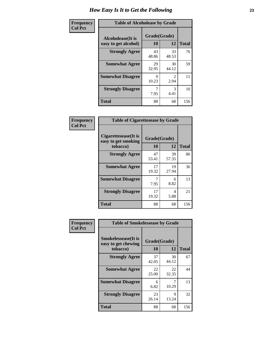| Frequency      | <b>Table of Alcoholease by Grade</b>              |                    |                        |     |  |  |  |
|----------------|---------------------------------------------------|--------------------|------------------------|-----|--|--|--|
| <b>Col Pct</b> | <b>Alcoholease</b> (It is<br>easy to get alcohol) | Grade(Grade)<br>10 | <b>Total</b>           |     |  |  |  |
|                | <b>Strongly Agree</b>                             | 43<br>48.86        | 33<br>48.53            | 76  |  |  |  |
|                | <b>Somewhat Agree</b>                             | 29<br>32.95        | 30<br>44.12            | 59  |  |  |  |
|                | <b>Somewhat Disagree</b>                          | 9<br>10.23         | $\mathfrak{D}$<br>2.94 | 11  |  |  |  |
|                | <b>Strongly Disagree</b>                          | 7<br>7.95          | $\mathcal{F}$<br>4.41  | 10  |  |  |  |
|                | <b>Total</b>                                      | 88                 | 68                     | 156 |  |  |  |

| Frequency      | <b>Table of Cigarettesease by Grade</b>                  |                    |             |              |  |  |
|----------------|----------------------------------------------------------|--------------------|-------------|--------------|--|--|
| <b>Col Pct</b> | Cigarettesease (It is<br>easy to get smoking<br>tobacco) | Grade(Grade)<br>10 | 12          | <b>Total</b> |  |  |
|                | <b>Strongly Agree</b>                                    | 47<br>53.41        | 39<br>57.35 | 86           |  |  |
|                | <b>Somewhat Agree</b>                                    | 17<br>19.32        | 19<br>27.94 | 36           |  |  |
|                | <b>Somewhat Disagree</b>                                 | 7<br>7.95          | 6<br>8.82   | 13           |  |  |
|                | <b>Strongly Disagree</b>                                 | 17<br>19.32        | 4<br>5.88   | 21           |  |  |
|                | Total                                                    | 88                 | 68          | 156          |  |  |

| Frequency      | <b>Table of Smokelessease by Grade</b>                         |                           |              |     |  |  |  |  |
|----------------|----------------------------------------------------------------|---------------------------|--------------|-----|--|--|--|--|
| <b>Col Pct</b> | <b>Smokelessease</b> (It is<br>easy to get chewing<br>tobacco) | Grade(Grade)<br><b>10</b> | <b>Total</b> |     |  |  |  |  |
|                | <b>Strongly Agree</b>                                          | 37<br>42.05               | 30<br>44.12  | 67  |  |  |  |  |
|                | <b>Somewhat Agree</b>                                          | 22<br>25.00               | 22<br>32.35  | 44  |  |  |  |  |
|                | <b>Somewhat Disagree</b>                                       | 6<br>6.82                 | 10.29        | 13  |  |  |  |  |
|                | <b>Strongly Disagree</b>                                       | 23<br>26.14               | 9<br>13.24   | 32  |  |  |  |  |
|                | Total                                                          | 88                        | 68           | 156 |  |  |  |  |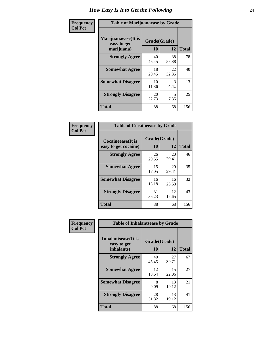| Frequency      | <b>Table of Marijuanaease by Grade</b>           |                    |             |              |  |  |
|----------------|--------------------------------------------------|--------------------|-------------|--------------|--|--|
| <b>Col Pct</b> | Marijuanaease(It is<br>easy to get<br>marijuana) | Grade(Grade)<br>10 | 12          | <b>Total</b> |  |  |
|                | <b>Strongly Agree</b>                            | 40<br>45.45        | 38<br>55.88 | 78           |  |  |
|                | <b>Somewhat Agree</b>                            | 18<br>20.45        | 22<br>32.35 | 40           |  |  |
|                | <b>Somewhat Disagree</b>                         | 10<br>11.36        | 3<br>4.41   | 13           |  |  |
|                | <b>Strongly Disagree</b>                         | 20<br>22.73        | 5<br>7.35   | 25           |  |  |
|                | <b>Total</b>                                     | 88                 | 68          | 156          |  |  |

| <b>Table of Cocaineease by Grade</b>      |                    |              |     |  |  |  |
|-------------------------------------------|--------------------|--------------|-----|--|--|--|
| Cocaineease(It is<br>easy to get cocaine) | Grade(Grade)<br>10 | <b>Total</b> |     |  |  |  |
| <b>Strongly Agree</b>                     | 26<br>29.55        | 20<br>29.41  | 46  |  |  |  |
| <b>Somewhat Agree</b>                     | 15<br>17.05        | 20<br>29.41  | 35  |  |  |  |
| <b>Somewhat Disagree</b>                  | 16<br>18.18        | 16<br>23.53  | 32  |  |  |  |
| <b>Strongly Disagree</b>                  | 31<br>35.23        | 12<br>17.65  | 43  |  |  |  |
| <b>Total</b>                              | 88                 | 68           | 156 |  |  |  |

| Frequency      | <b>Table of Inhalantsease by Grade</b>                   |                    |             |              |
|----------------|----------------------------------------------------------|--------------------|-------------|--------------|
| <b>Col Pct</b> | <b>Inhalantsease</b> (It is<br>easy to get<br>inhalants) | Grade(Grade)<br>10 | 12          | <b>Total</b> |
|                | <b>Strongly Agree</b>                                    | 40<br>45.45        | 27<br>39.71 | 67           |
|                | <b>Somewhat Agree</b>                                    | 12<br>13.64        | 15<br>22.06 | 27           |
|                | <b>Somewhat Disagree</b>                                 | 8<br>9.09          | 13<br>19.12 | 21           |
|                | <b>Strongly Disagree</b>                                 | 28<br>31.82        | 13<br>19.12 | 41           |
|                | <b>Total</b>                                             | 88                 | 68          | 156          |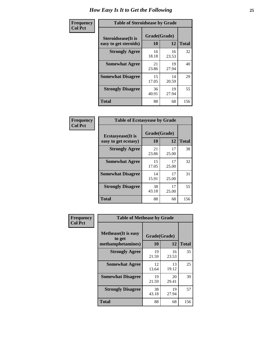| Frequency      |                                                     | <b>Table of Steroidsease by Grade</b> |             |              |  |  |  |  |  |  |  |
|----------------|-----------------------------------------------------|---------------------------------------|-------------|--------------|--|--|--|--|--|--|--|
| <b>Col Pct</b> | <b>Steroidsease</b> (It is<br>easy to get steroids) | Grade(Grade)<br>10                    | 12          | <b>Total</b> |  |  |  |  |  |  |  |
|                | <b>Strongly Agree</b>                               | 16<br>18.18                           | 16<br>23.53 | 32           |  |  |  |  |  |  |  |
|                | <b>Somewhat Agree</b>                               | 21<br>23.86                           | 19<br>27.94 | 40           |  |  |  |  |  |  |  |
|                | <b>Somewhat Disagree</b>                            | 15<br>17.05                           | 14<br>20.59 | 29           |  |  |  |  |  |  |  |
|                | <b>Strongly Disagree</b>                            | 36<br>40.91                           | 19<br>27.94 | 55           |  |  |  |  |  |  |  |
|                | Total                                               | 88                                    | 68          | 156          |  |  |  |  |  |  |  |

| Frequency      |                                                   | <b>Table of Ecstasyease by Grade</b> |             |              |  |  |  |  |  |  |
|----------------|---------------------------------------------------|--------------------------------------|-------------|--------------|--|--|--|--|--|--|
| <b>Col Pct</b> | <b>Ecstasyease</b> (It is<br>easy to get ecstasy) | Grade(Grade)<br>10                   | 12          | <b>Total</b> |  |  |  |  |  |  |
|                | <b>Strongly Agree</b>                             | 21<br>23.86                          | 17<br>25.00 | 38           |  |  |  |  |  |  |
|                | <b>Somewhat Agree</b>                             | 15<br>17.05                          | 17<br>25.00 | 32           |  |  |  |  |  |  |
|                | <b>Somewhat Disagree</b>                          | 14<br>15.91                          | 17<br>25.00 | 31           |  |  |  |  |  |  |
|                | <b>Strongly Disagree</b>                          | 38<br>43.18                          | 17<br>25.00 | 55           |  |  |  |  |  |  |
|                | <b>Total</b>                                      | 88                                   | 68          | 156          |  |  |  |  |  |  |

| Frequency      | <b>Table of Methease by Grade</b>                          |                    |             |              |
|----------------|------------------------------------------------------------|--------------------|-------------|--------------|
| <b>Col Pct</b> | <b>Methease</b> (It is easy<br>to get<br>methamphetamines) | Grade(Grade)<br>10 | 12          | <b>Total</b> |
|                | <b>Strongly Agree</b>                                      | 19<br>21.59        | 16<br>23.53 | 35           |
|                | <b>Somewhat Agree</b>                                      | 12<br>13.64        | 13<br>19.12 | 25           |
|                | <b>Somewhat Disagree</b>                                   | 19<br>21.59        | 20<br>29.41 | 39           |
|                | <b>Strongly Disagree</b>                                   | 38<br>43.18        | 19<br>27.94 | 57           |
|                | <b>Total</b>                                               | 88                 | 68          | 156          |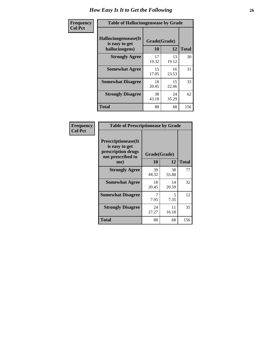| <b>Frequency</b> | <b>Table of Hallucinogensease by Grade</b>               |                    |             |              |
|------------------|----------------------------------------------------------|--------------------|-------------|--------------|
| <b>Col Pct</b>   | Hallucinogensease(It<br>is easy to get<br>hallucinogens) | Grade(Grade)<br>10 | 12          | <b>Total</b> |
|                  | <b>Strongly Agree</b>                                    | 17<br>19.32        | 13<br>19.12 | 30           |
|                  | <b>Somewhat Agree</b>                                    | 15<br>17.05        | 16<br>23.53 | 31           |
|                  | <b>Somewhat Disagree</b>                                 | 18<br>20.45        | 15<br>22.06 | 33           |
|                  | <b>Strongly Disagree</b>                                 | 38<br>43.18        | 24<br>35.29 | 62           |
|                  | <b>Total</b>                                             | 88                 | 68          | 156          |

| <b>Table of Prescriptionease by Grade</b>                                                |              |             |              |
|------------------------------------------------------------------------------------------|--------------|-------------|--------------|
| <b>Prescriptionease</b> (It<br>is easy to get<br>prescription drugs<br>not prescribed to | Grade(Grade) |             |              |
| me)                                                                                      | 10           | 12          | <b>Total</b> |
| <b>Strongly Agree</b>                                                                    | 39<br>44.32  | 38<br>55.88 | 77           |
| <b>Somewhat Agree</b>                                                                    | 18<br>20.45  | 14<br>20.59 | 32           |
| <b>Somewhat Disagree</b>                                                                 | 7.95         | 5<br>7.35   | 12           |
| <b>Strongly Disagree</b>                                                                 | 24<br>27.27  | 11<br>16.18 | 35           |
| <b>Total</b>                                                                             | 88           | 68          | 156          |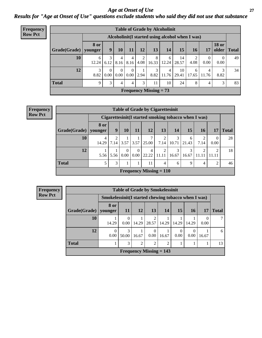*Age at Onset of Use* **27** *Results for "Age at Onset of Use" questions exclude students who said they did not use that substance*

| <b>Frequency</b> | <b>Table of Grade by Alcoholinit</b> |             |                  |                      |                          |           |                                                  |            |             |            |                  |                       |              |
|------------------|--------------------------------------|-------------|------------------|----------------------|--------------------------|-----------|--------------------------------------------------|------------|-------------|------------|------------------|-----------------------|--------------|
| <b>Row Pct</b>   |                                      |             |                  |                      |                          |           | Alcoholinit (I started using alcohol when I was) |            |             |            |                  |                       |              |
|                  | $Grade(Grade)$ younger               | <b>8 or</b> | 9                | 10                   | 11                       | 12        | 13                                               | 14         | 15          | 16         | 17               | <b>18 or</b><br>older | <b>Total</b> |
|                  | 10                                   | 6<br>12.24  | 3<br>6.12        | 8.16                 | 8.16                     | 2<br>4.08 | 8<br>16.33                                       | 6<br>12.24 | 14<br>28.57 | 4.08       | $\theta$<br>0.00 | $\theta$<br>0.00      | 49           |
|                  | 12                                   | 3<br>8.82   | $\Omega$<br>0.00 | $\Omega$<br>$0.00\,$ | $\theta$<br>$0.00 \perp$ | 2.94      | 3<br>8.82                                        | 4<br>11.76 | 10<br>29.41 | 6<br>17.65 | 4<br>11.76       | 3<br>8.82             | 34           |
|                  | <b>Total</b>                         | 9           | 3                | 4                    | 4                        | 3         | 11                                               | 10         | 24          | 8          | 4                | 3                     | 83           |
|                  |                                      |             |                  |                      |                          |           | <b>Frequency Missing = 73</b>                    |            |             |            |                  |                       |              |

| <b>Table of Grade by Cigarettesinit</b> |                 |                                                      |                  |                  |                                |                    |            |            |                         |      |              |
|-----------------------------------------|-----------------|------------------------------------------------------|------------------|------------------|--------------------------------|--------------------|------------|------------|-------------------------|------|--------------|
|                                         |                 | Cigarettesinit(I started smoking tobacco when I was) |                  |                  |                                |                    |            |            |                         |      |              |
| Grade(Grade)                            | 8 or<br>younger | 9                                                    | 10               | 11               | 12 <sub>1</sub>                | 13                 | 14         | 15         | <b>16</b>               | 17   | <b>Total</b> |
| 10                                      | 4<br>14.29      | ∍<br>7.14                                            | 3.57             | 3.57             | 7<br>25.00                     | ↑<br>7.14          | 3<br>10.71 | 6<br>21.43 | 2<br>7.14               | 0.00 | 28           |
| 12                                      | 5.56            | 5.56                                                 | $\theta$<br>0.00 | $\theta$<br>0.00 | 4<br>22.22                     | $\bigcap$<br>11.11 | 3<br>16.67 | 3<br>16.67 | $\overline{2}$<br>11.11 | ∍    | 18           |
| <b>Total</b>                            | 5               | 3                                                    |                  |                  | 11                             | 4                  | 6          | 9          | 4                       | 2    | 46           |
|                                         |                 |                                                      |                  |                  | <b>Frequency Missing = 110</b> |                    |            |            |                         |      |              |

| Frequency      |              |                                                      | <b>Table of Grade by Smokelessinit</b> |               |                           |       |       |                  |       |              |
|----------------|--------------|------------------------------------------------------|----------------------------------------|---------------|---------------------------|-------|-------|------------------|-------|--------------|
| <b>Row Pct</b> |              | Smokelessinit (I started chewing tobacco when I was) |                                        |               |                           |       |       |                  |       |              |
|                | Grade(Grade) | 8 or<br>younger                                      | <b>11</b>                              | 12            | 13                        | 14    | 15    | <b>16</b>        |       | <b>Total</b> |
|                | 10           | 14.29                                                | 0<br>0.00                              | 14.29         | $\overline{c}$<br>28.57   | 14.29 | 14.29 | 14.29            | 0.00  |              |
|                | 12           | $\overline{0}$<br>0.00                               | 3<br>50.00                             | 16.67         | $\Omega$<br>0.00          | 16.67 | 0.00  | $\Omega$<br>0.00 | 16.67 | 6            |
|                | <b>Total</b> |                                                      | 3                                      | $\mathcal{D}$ | $\overline{2}$            | 2     |       |                  |       | 13           |
|                |              |                                                      |                                        |               | Frequency Missing $= 143$ |       |       |                  |       |              |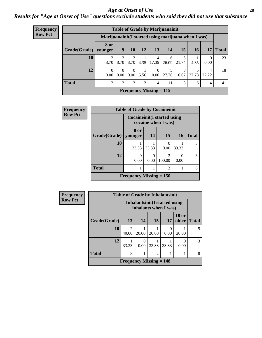### *Age at Onset of Use* **28**

*Results for "Age at Onset of Use" questions exclude students who said they did not use that substance*

| <b>Frequency</b> | <b>Table of Grade by Marijuanainit</b> |                                                      |                  |                  |                |                           |            |            |           |                  |              |
|------------------|----------------------------------------|------------------------------------------------------|------------------|------------------|----------------|---------------------------|------------|------------|-----------|------------------|--------------|
| <b>Row Pct</b>   |                                        | Marijuanainit (I started using marijuana when I was) |                  |                  |                |                           |            |            |           |                  |              |
|                  | $Grade(Grade)$ younger                 | <b>8</b> or                                          | 9                | <b>10</b>        | 12             | 13                        | 14         | <b>15</b>  | <b>16</b> | 17               | <b>Total</b> |
|                  | 10                                     | $\mathfrak{D}$<br>8.70                               | 2<br>8.70 8.70   | 2                | 4.35           | 4<br>17.39                | 6<br>26.09 | 5<br>21.74 | 4.35      | $\Omega$<br>0.00 | 23           |
|                  | 12                                     | $\Omega$<br>0.00                                     | $\theta$<br>0.00 | $\theta$<br>0.00 | 5.56           | $\theta$<br>0.00          | 27.78      | 3<br>16.67 | 27.78     | 4<br>22.22       | 18           |
|                  | <b>Total</b>                           | 2                                                    | $\overline{2}$   | $\overline{2}$   | $\overline{2}$ | 4                         | 11         | 8          | 6         | $\overline{4}$   | 41           |
|                  |                                        |                                                      |                  |                  |                | Frequency Missing $= 115$ |            |            |           |                  |              |

| Frequency      | <b>Table of Grade by Cocaineinit</b> |                              |       |                           |                  |              |  |  |  |
|----------------|--------------------------------------|------------------------------|-------|---------------------------|------------------|--------------|--|--|--|
| <b>Row Pct</b> |                                      | Cocaineinit (I started using |       | cocaine when I was)       |                  |              |  |  |  |
|                | Grade(Grade)                         | 8 or<br>younger              | 14    | 15                        | <b>16</b>        | <b>Total</b> |  |  |  |
|                | 10                                   | 33.33                        | 33.33 | $\mathbf{\Omega}$<br>0.00 | 33.33            | 3            |  |  |  |
|                | 12                                   | 0<br>0.00                    | 0.00  | 3<br>100.00               | $\Omega$<br>0.00 | 3            |  |  |  |
|                | <b>Total</b>                         |                              |       | 3                         |                  | 6            |  |  |  |
|                |                                      | Frequency Missing $= 150$    |       |                           |                  |              |  |  |  |

| <b>Frequency</b> | <b>Table of Grade by Inhalantsinit</b> |                                             |                                                         |                |       |                       |              |  |  |  |
|------------------|----------------------------------------|---------------------------------------------|---------------------------------------------------------|----------------|-------|-----------------------|--------------|--|--|--|
| <b>Row Pct</b>   |                                        |                                             | Inhalantsinit (I started using<br>inhalants when I was) |                |       |                       |              |  |  |  |
|                  | Grade(Grade)                           | 13                                          | 14                                                      | 15             | 17    | <b>18 or</b><br>older | <b>Total</b> |  |  |  |
|                  | 10                                     | $\mathfrak{D}$<br>40.00                     | 20.00                                                   | 20.00          | 0.00  | 20.00                 | 5            |  |  |  |
|                  | 12                                     | 33.33                                       | $\mathcal{O}$<br>0.00                                   | 33.33          | 33.33 | $\mathbf{0}$<br>0.00  | 3            |  |  |  |
|                  | <b>Total</b>                           | 3                                           | 1                                                       | $\mathfrak{D}$ | 1     |                       | 8            |  |  |  |
|                  |                                        | <b>Frequency Missing <math>= 148</math></b> |                                                         |                |       |                       |              |  |  |  |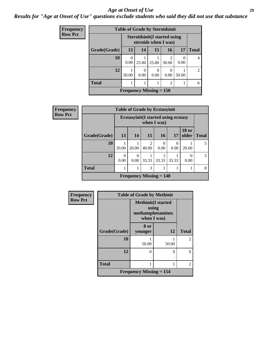#### *Age at Onset of Use* **29**

*Results for "Age at Onset of Use" questions exclude students who said they did not use that substance*

| <b>Frequency</b> | <b>Table of Grade by Steroidsinit</b> |                           |                                                              |           |                  |                      |                |
|------------------|---------------------------------------|---------------------------|--------------------------------------------------------------|-----------|------------------|----------------------|----------------|
| <b>Row Pct</b>   |                                       |                           | <b>Steroidsinit (I started using</b><br>steroids when I was) |           |                  |                      |                |
|                  | Grade(Grade)                          | 13                        | 14                                                           | 15        | 16               | 17                   | <b>Total</b>   |
|                  | 10                                    | 0<br>0.00                 | 25.00                                                        | 25.00     | 2<br>50.00       | $\mathbf{0}$<br>0.00 | 4              |
|                  | 12                                    | 50.00                     | 0<br>0.00                                                    | 0<br>0.00 | $\Omega$<br>0.00 | 50.00                | $\mathfrak{D}$ |
|                  | <b>Total</b>                          |                           |                                                              |           | 2                |                      | 6              |
|                  |                                       | Frequency Missing $= 150$ |                                                              |           |                  |                      |                |

| Frequency      |              |                  |                                                           | <b>Table of Grade by Ecstasyinit</b> |                  |       |                       |              |
|----------------|--------------|------------------|-----------------------------------------------------------|--------------------------------------|------------------|-------|-----------------------|--------------|
| <b>Row Pct</b> |              |                  | <b>Ecstasyinit(I started using ecstasy</b><br>when I was) |                                      |                  |       |                       |              |
|                | Grade(Grade) | 13 <sup>1</sup>  | 14                                                        | 15                                   | 16               | 17    | <b>18 or</b><br>older | <b>Total</b> |
|                | 10           | 20.00            | 20.00                                                     | $\overline{c}$<br>40.00              | $\Omega$<br>0.00 | 0.00  | 20.00                 | 5            |
|                | 12           | $\Omega$<br>0.00 | 0<br>0.00                                                 | 33.33                                | 33.33            | 33.33 | 0<br>0.00             | 3            |
|                | <b>Total</b> |                  | 1                                                         | 3                                    |                  |       | 1                     | 8            |
|                |              |                  |                                                           | Frequency Missing $= 148$            |                  |       |                       |              |

| <b>Frequency</b> | <b>Table of Grade by Methinit</b> |                                                                       |        |                |  |  |
|------------------|-----------------------------------|-----------------------------------------------------------------------|--------|----------------|--|--|
| <b>Row Pct</b>   |                                   | <b>Methinit(I started</b><br>using<br>methamphetamines<br>when I was) |        |                |  |  |
|                  | Grade(Grade)                      | 8 or<br>younger                                                       | 12     | <b>Total</b>   |  |  |
|                  | 10                                | 50.00                                                                 | 50.00  | $\overline{2}$ |  |  |
|                  | 12                                | 0                                                                     | 0<br>٠ | $\theta$       |  |  |
|                  | <b>Total</b>                      |                                                                       |        | $\overline{2}$ |  |  |
|                  |                                   | <b>Frequency Missing = 154</b>                                        |        |                |  |  |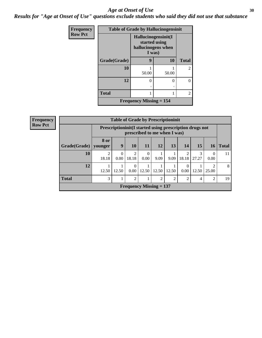#### Age at Onset of Use **30**

*Results for "Age at Onset of Use" questions exclude students who said they did not use that substance*

| Frequency      | <b>Table of Grade by Hallucinogensinit</b> |                                                                      |       |                |
|----------------|--------------------------------------------|----------------------------------------------------------------------|-------|----------------|
| <b>Row Pct</b> |                                            | Hallucinogensinit(I<br>started using<br>hallucinogens when<br>I was) |       |                |
|                | Grade(Grade)                               | 9                                                                    | 10    | <b>Total</b>   |
|                | 10                                         | 50.00                                                                | 50.00 | $\overline{2}$ |
|                | 12                                         | $\Omega$                                                             | 0     | 0              |
|                | <b>Total</b>                               | 1                                                                    |       | $\overline{2}$ |
|                |                                            | <b>Frequency Missing <math>= 154</math></b>                          |       |                |

| <b>Frequency</b> |              | <b>Table of Grade by Prescriptioninit</b> |                                                                                            |                           |                  |                |               |                  |            |                  |              |
|------------------|--------------|-------------------------------------------|--------------------------------------------------------------------------------------------|---------------------------|------------------|----------------|---------------|------------------|------------|------------------|--------------|
| <b>Row Pct</b>   |              |                                           | Prescription in it (I started using prescription drugs not<br>prescribed to me when I was) |                           |                  |                |               |                  |            |                  |              |
|                  | Grade(Grade) | 8 or<br>younger                           | 9                                                                                          | <b>10</b>                 | 11               | 12             | 13            | 14               | 15         | 16               | <b>Total</b> |
|                  | 10           | 2<br>18.18                                | 0.00                                                                                       | 2<br>18.18                | $\Omega$<br>0.00 | 9.09           | 9.09          | 2<br>18.18       | 3<br>27.27 | $\Omega$<br>0.00 | 11           |
|                  | 12           | 12.50                                     | 12.50                                                                                      | $\theta$<br>0.00          | 12.50            | 12.50          | 12.50         | $\theta$<br>0.00 | 12.50      | ↑<br>25.00       | 8            |
|                  | <b>Total</b> | 3                                         | $\bf{I}$                                                                                   | $\overline{2}$            |                  | $\overline{2}$ | $\mathcal{D}$ | $\overline{2}$   | 4          | 2                | 19           |
|                  |              |                                           |                                                                                            | Frequency Missing $= 137$ |                  |                |               |                  |            |                  |              |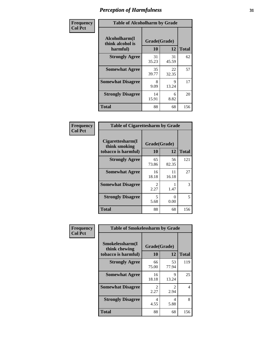| Frequency      | <b>Table of Alcoholharm by Grade</b>          |                    |             |              |
|----------------|-----------------------------------------------|--------------------|-------------|--------------|
| <b>Col Pct</b> | Alcoholharm(I<br>think alcohol is<br>harmful) | Grade(Grade)<br>10 | 12          | <b>Total</b> |
|                | <b>Strongly Agree</b>                         | 31<br>35.23        | 31<br>45.59 | 62           |
|                | <b>Somewhat Agree</b>                         | 35<br>39.77        | 22<br>32.35 | 57           |
|                | <b>Somewhat Disagree</b>                      | 8<br>9.09          | 9<br>13.24  | 17           |
|                | <b>Strongly Disagree</b>                      | 14<br>15.91        | 6<br>8.82   | 20           |
|                | <b>Total</b>                                  | 88                 | 68          | 156          |

| <b>Table of Cigarettesharm by Grade</b>                  |                    |             |              |
|----------------------------------------------------------|--------------------|-------------|--------------|
| Cigarettesharm(I<br>think smoking<br>tobacco is harmful) | Grade(Grade)<br>10 | 12          | <b>Total</b> |
| <b>Strongly Agree</b>                                    | 65<br>73.86        | 56<br>82.35 | 121          |
| <b>Somewhat Agree</b>                                    | 16<br>18.18        | 11<br>16.18 | 27           |
| <b>Somewhat Disagree</b>                                 | 2<br>2.27          | 1.47        | 3            |
| <b>Strongly Disagree</b>                                 | 5<br>5.68          | 0<br>0.00   | 5            |
| <b>Total</b>                                             | 88                 | 68          | 156          |

| Frequency      | <b>Table of Smokelessharm by Grade</b>                  |                           |                       |              |
|----------------|---------------------------------------------------------|---------------------------|-----------------------|--------------|
| <b>Col Pct</b> | Smokelessharm(I<br>think chewing<br>tobacco is harmful) | Grade(Grade)<br><b>10</b> | 12                    | <b>Total</b> |
|                | <b>Strongly Agree</b>                                   | 66<br>75.00               | 53<br>77.94           | 119          |
|                | <b>Somewhat Agree</b>                                   | 16<br>18.18               | 9<br>13.24            | 25           |
|                | <b>Somewhat Disagree</b>                                | 2<br>2.27                 | $\mathcal{L}$<br>2.94 | 4            |
|                | <b>Strongly Disagree</b>                                | 4<br>4.55                 | 4<br>5.88             | 8            |
|                | <b>Total</b>                                            | 88                        | 68                    | 156          |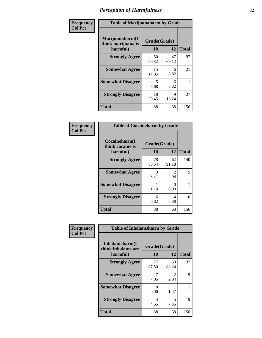| Frequency      | <b>Table of Marijuanaharm by Grade</b>            |                    |             |              |
|----------------|---------------------------------------------------|--------------------|-------------|--------------|
| <b>Col Pct</b> | Marijuanaharm(I<br>think marijuana is<br>harmful) | Grade(Grade)<br>10 | 12          | <b>Total</b> |
|                | <b>Strongly Agree</b>                             | 50<br>56.82        | 47<br>69.12 | 97           |
|                | <b>Somewhat Agree</b>                             | 15<br>17.05        | 6<br>8.82   | 21           |
|                | <b>Somewhat Disagree</b>                          | 5<br>5.68          | 6<br>8.82   | 11           |
|                | <b>Strongly Disagree</b>                          | 18<br>20.45        | 9<br>13.24  | 27           |
|                | <b>Total</b>                                      | 88                 | 68          | 156          |

| <b>Table of Cocaineharm by Grade</b>          |                    |                           |              |  |  |  |
|-----------------------------------------------|--------------------|---------------------------|--------------|--|--|--|
| Cocaineharm(I<br>think cocaine is<br>harmful) | Grade(Grade)<br>10 | 12                        | <b>Total</b> |  |  |  |
| <b>Strongly Agree</b>                         | 78<br>88.64        | 62<br>91.18               | 140          |  |  |  |
| <b>Somewhat Agree</b>                         | 3<br>3.41          | 2<br>2.94                 | 5            |  |  |  |
| <b>Somewhat Disagree</b>                      | 1<br>1.14          | $\mathbf{\Omega}$<br>0.00 |              |  |  |  |
| <b>Strongly Disagree</b>                      | 6<br>6.82          | 4<br>5.88                 | 10           |  |  |  |
| <b>Total</b>                                  | 88                 | 68                        | 156          |  |  |  |

| Frequency      | <b>Table of Inhalantsharm by Grade</b>             |                           |                       |              |
|----------------|----------------------------------------------------|---------------------------|-----------------------|--------------|
| <b>Col Pct</b> | Inhalantsharm(I<br>think inhalants are<br>harmful) | Grade(Grade)<br><b>10</b> | 12                    | <b>Total</b> |
|                | <b>Strongly Agree</b>                              | 77<br>87.50               | 60<br>88.24           | 137          |
|                | <b>Somewhat Agree</b>                              | 7<br>7.95                 | $\mathcal{L}$<br>2.94 | 9            |
|                | <b>Somewhat Disagree</b>                           | 0<br>0.00                 | 1.47                  |              |
|                | <b>Strongly Disagree</b>                           | 4<br>4.55                 | 5<br>7.35             | 9            |
|                | <b>Total</b>                                       | 88                        | 68                    | 156          |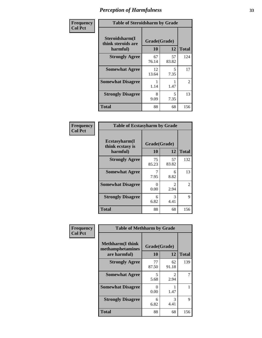| Frequency      | <b>Table of Steroidsharm by Grade</b>            |                    |             |              |
|----------------|--------------------------------------------------|--------------------|-------------|--------------|
| <b>Col Pct</b> | Steroidsharm(I<br>think steroids are<br>harmful) | Grade(Grade)<br>10 | 12          | <b>Total</b> |
|                | <b>Strongly Agree</b>                            | 67<br>76.14        | 57<br>83.82 | 124          |
|                | <b>Somewhat Agree</b>                            | 12<br>13.64        | 5<br>7.35   | 17           |
|                | <b>Somewhat Disagree</b>                         | 1.14               | 1.47        | 2            |
|                | <b>Strongly Disagree</b>                         | 8<br>9.09          | 5<br>7.35   | 13           |
|                | <b>Total</b>                                     | 88                 | 68          | 156          |

| <b>Table of Ecstasyharm by Grade</b>                |                    |                        |                |  |  |
|-----------------------------------------------------|--------------------|------------------------|----------------|--|--|
| $E$ cstasyharm $(I$<br>think ecstasy is<br>harmful) | Grade(Grade)<br>10 | <b>Total</b>           |                |  |  |
| <b>Strongly Agree</b>                               | 75<br>85.23        | 57<br>83.82            | 132            |  |  |
| <b>Somewhat Agree</b>                               | 7<br>7.95          | 6<br>8.82              | 13             |  |  |
| <b>Somewhat Disagree</b>                            | 0<br>0.00          | $\mathfrak{D}$<br>2.94 | $\overline{2}$ |  |  |
| <b>Strongly Disagree</b>                            | 6<br>6.82          | 3<br>4.41              | 9              |  |  |
| Total                                               | 88                 | 68                     | 156            |  |  |

| Frequency      | <b>Table of Methharm by Grade</b>                            |                           |                       |              |
|----------------|--------------------------------------------------------------|---------------------------|-----------------------|--------------|
| <b>Col Pct</b> | <b>Methharm</b> (I think<br>methamphetamines<br>are harmful) | Grade(Grade)<br><b>10</b> | 12                    | <b>Total</b> |
|                | <b>Strongly Agree</b>                                        | 77<br>87.50               | 62<br>91.18           | 139          |
|                | <b>Somewhat Agree</b>                                        | 5<br>5.68                 | $\mathcal{L}$<br>2.94 |              |
|                | <b>Somewhat Disagree</b>                                     | 0<br>0.00                 | 1.47                  |              |
|                | <b>Strongly Disagree</b>                                     | 6<br>6.82                 | 3<br>4.41             | 9            |
|                | <b>Total</b>                                                 | 88                        | 68                    | 156          |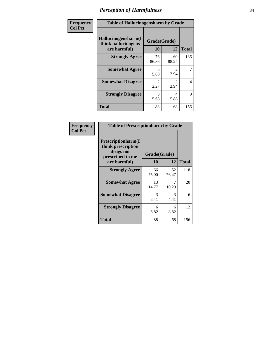| Frequency      | <b>Table of Hallucinogensharm by Grade</b>                 |                       |                       |                |
|----------------|------------------------------------------------------------|-----------------------|-----------------------|----------------|
| <b>Col Pct</b> | Hallucinogensharm(I<br>think hallucinogens<br>are harmful) | Grade(Grade)<br>10    | 12                    | <b>Total</b>   |
|                | <b>Strongly Agree</b>                                      | 76<br>86.36           | 60<br>88.24           | 136            |
|                | <b>Somewhat Agree</b>                                      | 5<br>5.68             | 2<br>2.94             | $\overline{7}$ |
|                | <b>Somewhat Disagree</b>                                   | $\mathcal{L}$<br>2.27 | $\mathcal{L}$<br>2.94 | 4              |
|                | <b>Strongly Disagree</b>                                   | 5<br>5.68             | 4<br>5.88             | 9              |
|                | <b>Total</b>                                               | 88                    | 68                    | 156            |

| <b>Table of Prescriptionharm by Grade</b>                                 |                    |             |              |  |
|---------------------------------------------------------------------------|--------------------|-------------|--------------|--|
| Prescriptionharm(I<br>think prescription<br>drugs not<br>prescribed to me | Grade(Grade)<br>10 | 12          | <b>Total</b> |  |
| are harmful)                                                              |                    |             |              |  |
| <b>Strongly Agree</b>                                                     | 66<br>75.00        | 52<br>76.47 | 118          |  |
| <b>Somewhat Agree</b>                                                     | 13<br>14.77        | 10.29       | 20           |  |
| <b>Somewhat Disagree</b>                                                  | 3<br>3.41          | 3<br>4.41   | 6            |  |
| <b>Strongly Disagree</b>                                                  | 6<br>6.82          | 6<br>8.82   | 12           |  |
| <b>Total</b>                                                              | 88                 | 68          | 156          |  |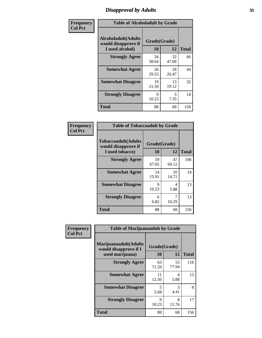# *Disapproval by Adults* **35**

| Frequency      | <b>Table of Alcoholadult by Grade</b>                                 |                    |             |              |
|----------------|-----------------------------------------------------------------------|--------------------|-------------|--------------|
| <b>Col Pct</b> | <b>Alcoholadult</b> (Adults<br>would disapprove if<br>I used alcohol) | Grade(Grade)<br>10 | 12          | <b>Total</b> |
|                | <b>Strongly Agree</b>                                                 | 34<br>38.64        | 32<br>47.06 | 66           |
|                | <b>Somewhat Agree</b>                                                 | 26<br>29.55        | 18<br>26.47 | 44           |
|                | <b>Somewhat Disagree</b>                                              | 19<br>21.59        | 13<br>19.12 | 32           |
|                | <b>Strongly Disagree</b>                                              | 9<br>10.23         | 5<br>7.35   | 14           |
|                | <b>Total</b>                                                          | 88                 | 68          | 156          |

| <b>Table of Tobaccoadult by Grade</b>                                 |                    |             |              |  |  |
|-----------------------------------------------------------------------|--------------------|-------------|--------------|--|--|
| <b>Tobaccoadult</b> (Adults<br>would disapprove if<br>I used tobacco) | Grade(Grade)<br>10 | 12          | <b>Total</b> |  |  |
| <b>Strongly Agree</b>                                                 | 59<br>67.05        | 47<br>69.12 | 106          |  |  |
| <b>Somewhat Agree</b>                                                 | 14<br>15.91        | 10<br>14.71 | 24           |  |  |
| <b>Somewhat Disagree</b>                                              | 9<br>10.23         | 4<br>5.88   | 13           |  |  |
| <b>Strongly Disagree</b>                                              | 6<br>6.82          | 10.29       | 13           |  |  |
| <b>Total</b>                                                          | 88                 | 68          | 156          |  |  |

| Frequency      | <b>Table of Marijuanaadult by Grade</b>                           |                    |                                  |              |
|----------------|-------------------------------------------------------------------|--------------------|----------------------------------|--------------|
| <b>Col Pct</b> | Marijuanaadult(Adults<br>would disapprove if I<br>used marijuana) | Grade(Grade)<br>10 | 12                               | <b>Total</b> |
|                | <b>Strongly Agree</b>                                             | 63<br>71.59        | 53<br>77.94                      | 116          |
|                | <b>Somewhat Agree</b>                                             | 11<br>12.50        | $\overline{\mathcal{A}}$<br>5.88 | 15           |
|                | <b>Somewhat Disagree</b>                                          | 5<br>5.68          | 3<br>4.41                        | 8            |
|                | <b>Strongly Disagree</b>                                          | 9<br>10.23         | 8<br>11.76                       | 17           |
|                | <b>Total</b>                                                      | 88                 | 68                               | 156          |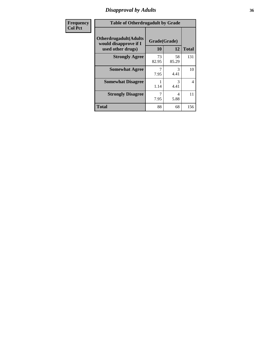### *Disapproval by Adults* **36**

| <b>Frequency</b> | <b>Table of Otherdrugadult by Grade</b>                                     |                    |             |              |
|------------------|-----------------------------------------------------------------------------|--------------------|-------------|--------------|
| <b>Col Pct</b>   | <b>Otherdrugadult</b> (Adults<br>would disapprove if I<br>used other drugs) | Grade(Grade)<br>10 | 12          | <b>Total</b> |
|                  | <b>Strongly Agree</b>                                                       | 73<br>82.95        | 58<br>85.29 | 131          |
|                  | <b>Somewhat Agree</b>                                                       | 7.95               | 3<br>4.41   | 10           |
|                  | <b>Somewhat Disagree</b>                                                    | 1.14               | 3<br>4.41   | 4            |
|                  | <b>Strongly Disagree</b>                                                    | 7.95               | 4<br>5.88   | 11           |
|                  | <b>Total</b>                                                                | 88                 | 68          | 156          |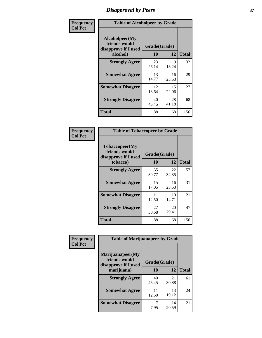# *Disapproval by Peers* **37**

| Frequency      | <b>Table of Alcoholpeer by Grade</b>                    |              |             |              |  |
|----------------|---------------------------------------------------------|--------------|-------------|--------------|--|
| <b>Col Pct</b> | Alcoholpeer(My<br>friends would<br>disapprove if I used | Grade(Grade) |             |              |  |
|                | alcohol)                                                | 10           | 12          | <b>Total</b> |  |
|                | <b>Strongly Agree</b>                                   | 23<br>26.14  | 9<br>13.24  | 32           |  |
|                | <b>Somewhat Agree</b>                                   | 13<br>14.77  | 16<br>23.53 | 29           |  |
|                | <b>Somewhat Disagree</b>                                | 12<br>13.64  | 15<br>22.06 | 27           |  |
|                | <b>Strongly Disagree</b>                                | 40<br>45.45  | 28<br>41.18 | 68           |  |
|                | Total                                                   | 88           | 68          | 156          |  |

| Frequency      | <b>Table of Tobaccopeer by Grade</b>                                |                    |             |              |
|----------------|---------------------------------------------------------------------|--------------------|-------------|--------------|
| <b>Col Pct</b> | Tobaccopeer(My<br>friends would<br>disapprove if I used<br>tobacco) | Grade(Grade)<br>10 | 12          | <b>Total</b> |
|                | <b>Strongly Agree</b>                                               | 35<br>39.77        | 22<br>32.35 | 57           |
|                | <b>Somewhat Agree</b>                                               | 15<br>17.05        | 16<br>23.53 | 31           |
|                | <b>Somewhat Disagree</b>                                            | 11<br>12.50        | 10<br>14.71 | 21           |
|                | <b>Strongly Disagree</b>                                            | 27<br>30.68        | 20<br>29.41 | 47           |
|                | Total                                                               | 88                 | 68          | 156          |

| Frequency      | <b>Table of Marijuanapeer by Grade</b>                    |              |             |              |
|----------------|-----------------------------------------------------------|--------------|-------------|--------------|
| <b>Col Pct</b> | Marijuanapeer(My<br>friends would<br>disapprove if I used | Grade(Grade) |             |              |
|                | marijuana)                                                | 10           | 12          | <b>Total</b> |
|                | <b>Strongly Agree</b>                                     | 40<br>45.45  | 21<br>30.88 | 61           |
|                | <b>Somewhat Agree</b>                                     | 11<br>12.50  | 13<br>19.12 | 24           |
|                | <b>Somewhat Disagree</b>                                  | 7.95         | 14<br>20.59 | 21           |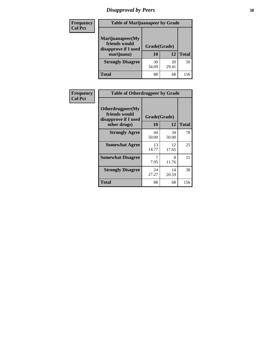# *Disapproval by Peers* **38**

| Frequency<br><b>Col Pct</b> | <b>Table of Marijuanapeer by Grade</b>                                  |                    |             |              |  |
|-----------------------------|-------------------------------------------------------------------------|--------------------|-------------|--------------|--|
|                             | Marijuanapeer(My<br>friends would<br>disapprove if I used<br>marijuana) | Grade(Grade)<br>10 | 12          | <b>Total</b> |  |
|                             | <b>Strongly Disagree</b>                                                | 30<br>34.09        | 20<br>29.41 | 50           |  |
|                             | Total                                                                   | 88                 | 68          | 156          |  |

| Frequency      | <b>Table of Otherdrugpeer by Grade</b>                                    |                    |             |              |  |
|----------------|---------------------------------------------------------------------------|--------------------|-------------|--------------|--|
| <b>Col Pct</b> | Otherdrugpeer(My<br>friends would<br>disapprove if I used<br>other drugs) | Grade(Grade)<br>10 | 12          | <b>Total</b> |  |
|                | <b>Strongly Agree</b>                                                     | 44<br>50.00        | 34<br>50.00 | 78           |  |
|                | <b>Somewhat Agree</b>                                                     | 13<br>14.77        | 12<br>17.65 | 25           |  |
|                | <b>Somewhat Disagree</b>                                                  | 7<br>7.95          | 8<br>11.76  | 15           |  |
|                | <b>Strongly Disagree</b>                                                  | 24<br>27.27        | 14<br>20.59 | 38           |  |
|                | <b>Total</b>                                                              | 88                 | 68          | 156          |  |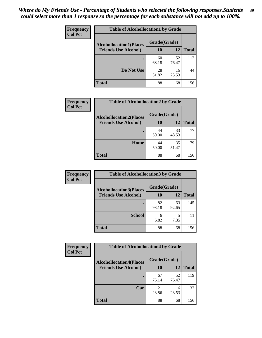| Frequency<br><b>Col Pct</b> | <b>Table of Alcohollocation1 by Grade</b> |              |             |              |
|-----------------------------|-------------------------------------------|--------------|-------------|--------------|
|                             | <b>Alcohollocation1(Places</b>            | Grade(Grade) |             |              |
|                             | <b>Friends Use Alcohol)</b>               | 10           | 12          | <b>Total</b> |
|                             |                                           | 60<br>68.18  | 52<br>76.47 | 112          |
|                             | Do Not Use                                | 28<br>31.82  | 16<br>23.53 | 44           |
|                             | <b>Total</b>                              | 88           | 68          | 156          |

| Frequency      | <b>Table of Alcohollocation2 by Grade</b>                     |                    |             |              |
|----------------|---------------------------------------------------------------|--------------------|-------------|--------------|
| <b>Col Pct</b> | <b>Alcohollocation2(Places</b><br><b>Friends Use Alcohol)</b> | Grade(Grade)<br>10 | <b>12</b>   | <b>Total</b> |
|                |                                                               | 44<br>50.00        | 33<br>48.53 | 77           |
|                | Home                                                          | 44<br>50.00        | 35<br>51.47 | 79           |
|                | <b>Total</b>                                                  | 88                 | 68          | 156          |

| Frequency<br><b>Col Pct</b> | <b>Table of Alcohollocation 3 by Grade</b>                    |                    |             |              |
|-----------------------------|---------------------------------------------------------------|--------------------|-------------|--------------|
|                             | <b>Alcohollocation3(Places</b><br><b>Friends Use Alcohol)</b> | Grade(Grade)<br>10 | 12          | <b>Total</b> |
|                             |                                                               | 82<br>93.18        | 63<br>92.65 | 145          |
|                             | <b>School</b>                                                 | 6<br>6.82          | 5<br>7.35   | 11           |
|                             | <b>Total</b>                                                  | 88                 | 68          | 156          |

| <b>Frequency</b> | <b>Table of Alcohollocation4 by Grade</b> |              |             |              |  |
|------------------|-------------------------------------------|--------------|-------------|--------------|--|
| <b>Col Pct</b>   | <b>Alcohollocation4(Places</b>            | Grade(Grade) |             |              |  |
|                  | <b>Friends Use Alcohol)</b>               | 10           | 12          | <b>Total</b> |  |
|                  |                                           | 67<br>76.14  | 52<br>76.47 | 119          |  |
|                  | Car                                       | 21<br>23.86  | 16<br>23.53 | 37           |  |
|                  | <b>Total</b>                              | 88           | 68          | 156          |  |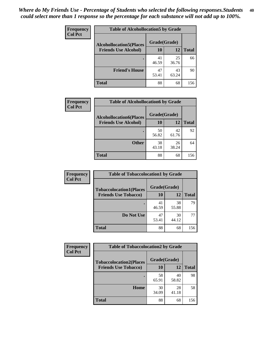| Frequency<br><b>Col Pct</b> | <b>Table of Alcohollocation5 by Grade</b> |              |             |              |
|-----------------------------|-------------------------------------------|--------------|-------------|--------------|
|                             | <b>Alcohollocation5(Places</b>            | Grade(Grade) |             |              |
|                             | <b>Friends Use Alcohol)</b>               | 10           | 12          | <b>Total</b> |
|                             |                                           | 41<br>46.59  | 25<br>36.76 | 66           |
|                             | <b>Friend's House</b>                     | 47<br>53.41  | 43<br>63.24 | 90           |
|                             | <b>Total</b>                              | 88           | 68          | 156          |

| <b>Frequency</b> | <b>Table of Alcohollocation6 by Grade</b> |              |             |              |
|------------------|-------------------------------------------|--------------|-------------|--------------|
| <b>Col Pct</b>   | <b>Alcohollocation6(Places</b>            | Grade(Grade) |             |              |
|                  | <b>Friends Use Alcohol)</b>               | 10           | 12          | <b>Total</b> |
|                  |                                           | 50<br>56.82  | 42<br>61.76 | 92           |
|                  | <b>Other</b>                              | 38<br>43.18  | 26<br>38.24 | 64           |
|                  | <b>Total</b>                              | 88           | 68          | 156          |

| Frequency      | <b>Table of Tobaccolocation1 by Grade</b> |              |             |              |
|----------------|-------------------------------------------|--------------|-------------|--------------|
| <b>Col Pct</b> | <b>Tobaccolocation1(Places</b>            | Grade(Grade) |             |              |
|                | <b>Friends Use Tobacco)</b>               | 10           | 12          | <b>Total</b> |
|                |                                           | 41<br>46.59  | 38<br>55.88 | 79           |
|                | Do Not Use                                | 47<br>53.41  | 30<br>44.12 | 77           |
|                | <b>Total</b>                              | 88           | 68          | 156          |

| <b>Frequency</b> | <b>Table of Tobaccolocation2 by Grade</b> |              |             |              |  |
|------------------|-------------------------------------------|--------------|-------------|--------------|--|
| <b>Col Pct</b>   | <b>Tobaccolocation2(Places</b>            | Grade(Grade) |             |              |  |
|                  | <b>Friends Use Tobacco)</b>               | 10           | 12          | <b>Total</b> |  |
|                  |                                           | 58<br>65.91  | 40<br>58.82 | 98           |  |
|                  | Home                                      | 30<br>34.09  | 28<br>41.18 | 58           |  |
|                  | <b>Total</b>                              | 88           | 68          | 156          |  |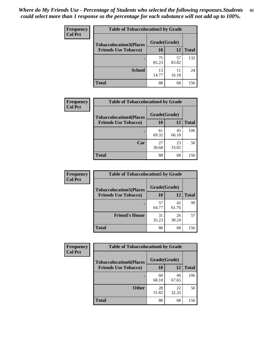| Frequency      | <b>Table of Tobaccolocation 3 by Grade</b> |              |             |              |
|----------------|--------------------------------------------|--------------|-------------|--------------|
| <b>Col Pct</b> | <b>Tobaccolocation3(Places</b>             | Grade(Grade) |             |              |
|                | <b>Friends Use Tobacco)</b>                | 10           | 12          | <b>Total</b> |
|                |                                            | 75<br>85.23  | 57<br>83.82 | 132          |
|                | <b>School</b>                              | 13<br>14.77  | 11<br>16.18 | 24           |
|                | <b>Total</b>                               | 88           | 68          | 156          |

| <b>Frequency</b> | <b>Table of Tobaccolocation4 by Grade</b> |              |             |              |
|------------------|-------------------------------------------|--------------|-------------|--------------|
| <b>Col Pct</b>   | <b>Tobaccolocation4(Places</b>            | Grade(Grade) |             |              |
|                  | <b>Friends Use Tobacco)</b>               | 10           | 12          | <b>Total</b> |
|                  |                                           | 61<br>69.32  | 45<br>66.18 | 106          |
|                  | Car                                       | 27<br>30.68  | 23<br>33.82 | 50           |
|                  | <b>Total</b>                              | 88           | 68          | 156          |

| Frequency<br><b>Col Pct</b> | <b>Table of Tobaccolocation5 by Grade</b>                     |                    |             |              |
|-----------------------------|---------------------------------------------------------------|--------------------|-------------|--------------|
|                             | <b>Tobaccolocation5(Places</b><br><b>Friends Use Tobacco)</b> | Grade(Grade)<br>10 | <b>12</b>   | <b>Total</b> |
|                             |                                                               |                    |             |              |
|                             |                                                               | 57<br>64.77        | 42<br>61.76 | 99           |
|                             | <b>Friend's House</b>                                         | 31<br>35.23        | 26<br>38.24 | 57           |
|                             | <b>Total</b>                                                  | 88                 | 68          | 156          |

| <b>Frequency</b> | <b>Table of Tobaccolocation6 by Grade</b> |              |             |              |  |
|------------------|-------------------------------------------|--------------|-------------|--------------|--|
| <b>Col Pct</b>   | <b>Tobaccolocation6(Places</b>            | Grade(Grade) |             |              |  |
|                  | <b>Friends Use Tobacco)</b>               | 10           | 12          | <b>Total</b> |  |
|                  |                                           | 60<br>68.18  | 46<br>67.65 | 106          |  |
|                  | <b>Other</b>                              | 28<br>31.82  | 22<br>32.35 | 50           |  |
|                  | <b>Total</b>                              | 88           | 68          | 156          |  |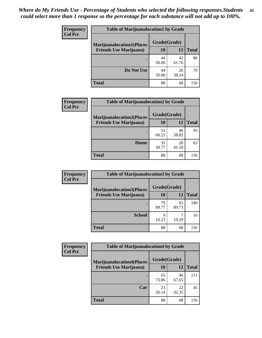| <b>Frequency</b><br><b>Col Pct</b> | <b>Table of Marijuanalocation1 by Grade</b> |              |             |              |
|------------------------------------|---------------------------------------------|--------------|-------------|--------------|
|                                    | <b>Marijuanalocation1(Places</b>            | Grade(Grade) |             |              |
|                                    | <b>Friends Use Marijuana</b> )              | 10           | 12          | <b>Total</b> |
|                                    |                                             | 44<br>50.00  | 42<br>61.76 | 86           |
|                                    | Do Not Use                                  | 44<br>50.00  | 26<br>38.24 | 70           |
|                                    | <b>Total</b>                                | 88           | 68          | 156          |

| <b>Frequency</b> | <b>Table of Marijuanalocation2 by Grade</b>                        |                    |             |              |
|------------------|--------------------------------------------------------------------|--------------------|-------------|--------------|
| <b>Col Pct</b>   | <b>Marijuanalocation2(Places</b><br><b>Friends Use Marijuana</b> ) | Grade(Grade)<br>10 | 12          | <b>Total</b> |
|                  |                                                                    | 53<br>60.23        | 40<br>58.82 | 93           |
|                  | Home                                                               | 35<br>39.77        | 28<br>41.18 | 63           |
|                  | <b>Total</b>                                                       | 88                 | 68          | 156          |

| Frequency<br><b>Col Pct</b> | <b>Table of Marijuanalocation3 by Grade</b> |              |             |       |
|-----------------------------|---------------------------------------------|--------------|-------------|-------|
|                             | <b>Marijuanalocation3(Places</b>            | Grade(Grade) |             |       |
|                             | <b>Friends Use Marijuana</b> )              | 10           | 12          | Total |
|                             |                                             | 79<br>89.77  | 61<br>89.71 | 140   |
|                             | <b>School</b>                               | q<br>10.23   | 10.29       | 16    |
|                             | <b>Total</b>                                | 88           | 68          | 156   |

| <b>Frequency</b> | <b>Table of Marijuanalocation4 by Grade</b> |              |             |              |  |
|------------------|---------------------------------------------|--------------|-------------|--------------|--|
| <b>Col Pct</b>   | <b>Marijuanalocation4(Places</b>            | Grade(Grade) |             |              |  |
|                  | <b>Friends Use Marijuana</b> )              | <b>10</b>    | 12          | <b>Total</b> |  |
|                  |                                             | 65<br>73.86  | 46<br>67.65 | 111          |  |
|                  | Car                                         | 23<br>26.14  | 22<br>32.35 | 45           |  |
|                  | <b>Total</b>                                | 88           | 68          | 156          |  |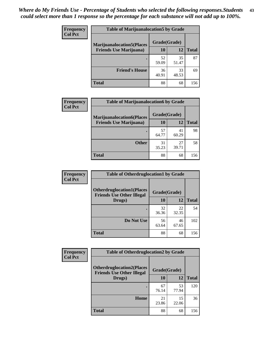| <b>Frequency</b> | <b>Table of Marijuanalocation5 by Grade</b> |              |             |              |
|------------------|---------------------------------------------|--------------|-------------|--------------|
| <b>Col Pct</b>   | <b>Marijuanalocation5</b> (Places           | Grade(Grade) |             |              |
|                  | <b>Friends Use Marijuana</b> )              | 10           | 12          | <b>Total</b> |
|                  |                                             | 52<br>59.09  | 35<br>51.47 | 87           |
|                  | <b>Friend's House</b>                       | 36<br>40.91  | 33<br>48.53 | 69           |
|                  | <b>Total</b>                                | 88           | 68          | 156          |

| <b>Frequency</b> | <b>Table of Marijuanalocation6 by Grade</b>                        |                    |             |              |
|------------------|--------------------------------------------------------------------|--------------------|-------------|--------------|
| <b>Col Pct</b>   | <b>Marijuanalocation6(Places</b><br><b>Friends Use Marijuana</b> ) | Grade(Grade)<br>10 | 12          | <b>Total</b> |
|                  |                                                                    | 57<br>64.77        | 41<br>60.29 | 98           |
|                  | <b>Other</b>                                                       | 31<br>35.23        | 27<br>39.71 | 58           |
|                  | <b>Total</b>                                                       | 88                 | 68          | 156          |

| <b>Frequency</b> | <b>Table of Otherdruglocation1 by Grade</b>                          |              |             |              |
|------------------|----------------------------------------------------------------------|--------------|-------------|--------------|
| <b>Col Pct</b>   | <b>Otherdruglocation1(Places</b><br><b>Friends Use Other Illegal</b> | Grade(Grade) |             |              |
|                  | Drugs)                                                               | 10           | 12          | <b>Total</b> |
|                  |                                                                      | 32<br>36.36  | 22<br>32.35 | 54           |
|                  | Do Not Use                                                           | 56<br>63.64  | 46<br>67.65 | 102          |
|                  | <b>Total</b>                                                         | 88           | 68          | 156          |

| Frequency      | <b>Table of Otherdruglocation2 by Grade</b>                          |              |             |              |
|----------------|----------------------------------------------------------------------|--------------|-------------|--------------|
| <b>Col Pct</b> | <b>Otherdruglocation2(Places</b><br><b>Friends Use Other Illegal</b> | Grade(Grade) |             |              |
|                | Drugs)                                                               | 10           | 12          | <b>Total</b> |
|                |                                                                      | 67<br>76.14  | 53<br>77.94 | 120          |
|                | Home                                                                 | 21<br>23.86  | 15<br>22.06 | 36           |
|                | <b>Total</b>                                                         | 88           | 68          | 156          |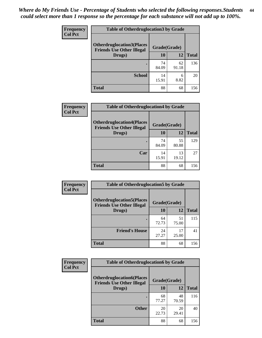| <b>Frequency</b> | <b>Table of Otherdruglocation 3 by Grade</b>                         |              |             |              |
|------------------|----------------------------------------------------------------------|--------------|-------------|--------------|
| <b>Col Pct</b>   | <b>Otherdruglocation3(Places</b><br><b>Friends Use Other Illegal</b> | Grade(Grade) |             |              |
|                  | Drugs)                                                               | 10           | 12          | <b>Total</b> |
|                  |                                                                      | 74<br>84.09  | 62<br>91.18 | 136          |
|                  | <b>School</b>                                                        | 14<br>15.91  | 6<br>8.82   | 20           |
|                  | <b>Total</b>                                                         | 88           | 68          | 156          |

| <b>Frequency</b> | <b>Table of Otherdruglocation4 by Grade</b>                                          |             |             |              |
|------------------|--------------------------------------------------------------------------------------|-------------|-------------|--------------|
| <b>Col Pct</b>   | <b>Otherdruglocation4(Places</b><br>Grade(Grade)<br><b>Friends Use Other Illegal</b> |             |             |              |
|                  | Drugs)                                                                               | 10          | 12          | <b>Total</b> |
|                  |                                                                                      | 74<br>84.09 | 55<br>80.88 | 129          |
|                  | Car                                                                                  | 14<br>15.91 | 13<br>19.12 | 27           |
|                  | <b>Total</b>                                                                         | 88          | 68          | 156          |

| <b>Frequency</b> | <b>Table of Otherdruglocation5 by Grade</b>                          |              |             |              |
|------------------|----------------------------------------------------------------------|--------------|-------------|--------------|
| <b>Col Pct</b>   | <b>Otherdruglocation5(Places</b><br><b>Friends Use Other Illegal</b> | Grade(Grade) |             |              |
|                  | Drugs)                                                               | 10           | 12          | <b>Total</b> |
|                  |                                                                      | 64<br>72.73  | 51<br>75.00 | 115          |
|                  | <b>Friend's House</b>                                                | 24<br>27.27  | 17<br>25.00 | 41           |
|                  | Total                                                                | 88           | 68          | 156          |

| Frequency      | <b>Table of Otherdruglocation6 by Grade</b>                          |              |             |              |
|----------------|----------------------------------------------------------------------|--------------|-------------|--------------|
| <b>Col Pct</b> | <b>Otherdruglocation6(Places</b><br><b>Friends Use Other Illegal</b> | Grade(Grade) |             |              |
|                | Drugs)                                                               | 10           | 12          | <b>Total</b> |
|                |                                                                      | 68<br>77.27  | 48<br>70.59 | 116          |
|                | <b>Other</b>                                                         | 20<br>22.73  | 20<br>29.41 | 40           |
|                | <b>Total</b>                                                         | 88           | 68          | 156          |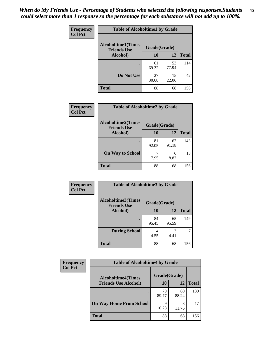| Frequency      | <b>Table of Alcoholtime1 by Grade</b><br><b>Alcoholtime1(Times</b><br>Grade(Grade)<br><b>Friends Use</b> |             |             |              |
|----------------|----------------------------------------------------------------------------------------------------------|-------------|-------------|--------------|
| <b>Col Pct</b> |                                                                                                          |             |             |              |
|                | Alcohol)                                                                                                 | 10          | 12          | <b>Total</b> |
|                |                                                                                                          | 61<br>69.32 | 53<br>77.94 | 114          |
|                | Do Not Use                                                                                               | 27<br>30.68 | 15<br>22.06 | 42           |
|                | <b>Total</b>                                                                                             | 88          | 68          | 156          |

| <b>Frequency</b> | <b>Table of Alcoholtime2 by Grade</b>           |              |             |              |
|------------------|-------------------------------------------------|--------------|-------------|--------------|
| <b>Col Pct</b>   | <b>Alcoholtime2(Times</b><br><b>Friends Use</b> | Grade(Grade) |             |              |
|                  | Alcohol)                                        | 10           | 12          | <b>Total</b> |
|                  |                                                 | 81<br>92.05  | 62<br>91.18 | 143          |
|                  | <b>On Way to School</b>                         | 7.95         | 6<br>8.82   | 13           |
|                  | <b>Total</b>                                    | 88           | 68          | 156          |

| Frequency<br><b>Col Pct</b> | <b>Table of Alcoholtime3 by Grade</b>           |              |             |              |
|-----------------------------|-------------------------------------------------|--------------|-------------|--------------|
|                             | <b>Alcoholtime3(Times</b><br><b>Friends Use</b> | Grade(Grade) |             |              |
|                             | Alcohol)                                        | 10           | 12          | <b>Total</b> |
|                             |                                                 | 84<br>95.45  | 65<br>95.59 | 149          |
|                             | <b>During School</b>                            | 4<br>4.55    | 3<br>4.41   | 7            |
|                             | Total                                           | 88           | 68          | 156          |

| <b>Frequency</b><br><b>Col Pct</b> | <b>Table of Alcoholtime4 by Grade</b> |              |             |              |
|------------------------------------|---------------------------------------|--------------|-------------|--------------|
|                                    | <b>Alcoholtime4(Times</b>             | Grade(Grade) |             |              |
|                                    | <b>Friends Use Alcohol)</b>           | 10           | 12          | <b>Total</b> |
|                                    |                                       | 79<br>89.77  | 60<br>88.24 | 139          |
|                                    | <b>On Way Home From School</b>        | 10.23        | 8<br>11.76  | 17           |
|                                    | <b>Total</b>                          | 88           | 68          | 156          |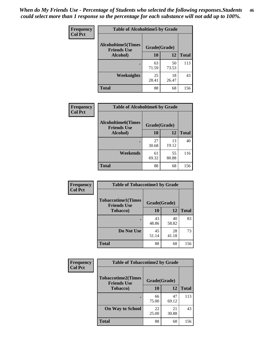*When do My Friends Use - Percentage of Students who selected the following responses.Students could select more than 1 response so the percentage for each substance will not add up to 100%.* **46**

| Frequency      | <b>Table of Alcoholtime5 by Grade</b>           |              |             |              |
|----------------|-------------------------------------------------|--------------|-------------|--------------|
| <b>Col Pct</b> | <b>Alcoholtime5(Times</b><br><b>Friends Use</b> | Grade(Grade) |             |              |
|                | Alcohol)                                        | 10           | 12          | <b>Total</b> |
|                |                                                 | 63<br>71.59  | 50<br>73.53 | 113          |
|                | Weeknights                                      | 25<br>28.41  | 18<br>26.47 | 43           |
|                | <b>Total</b>                                    | 88           | 68          | 156          |

| Frequency      | <b>Table of Alcoholtime6 by Grade</b>           |              |             |              |
|----------------|-------------------------------------------------|--------------|-------------|--------------|
| <b>Col Pct</b> | <b>Alcoholtime6(Times</b><br><b>Friends Use</b> | Grade(Grade) |             |              |
|                | Alcohol)                                        | 10           | 12          | <b>Total</b> |
|                |                                                 | 27<br>30.68  | 13<br>19.12 | 40           |
|                | Weekends                                        | 61<br>69.32  | 55<br>80.88 | 116          |
|                | <b>Total</b>                                    | 88           | 68          | 156          |

| Frequency      | <b>Table of Tobaccotime1 by Grade</b>           |              |             |              |
|----------------|-------------------------------------------------|--------------|-------------|--------------|
| <b>Col Pct</b> | <b>Tobaccotime1(Times</b><br><b>Friends Use</b> | Grade(Grade) |             |              |
|                | <b>Tobacco</b> )                                | 10           | 12          | <b>Total</b> |
|                | ٠                                               | 43<br>48.86  | 40<br>58.82 | 83           |
|                | Do Not Use                                      | 45<br>51.14  | 28<br>41.18 | 73           |
|                | <b>Total</b>                                    | 88           | 68          | 156          |

| <b>Frequency</b> | <b>Table of Tobaccotime2 by Grade</b>           |              |             |              |
|------------------|-------------------------------------------------|--------------|-------------|--------------|
| <b>Col Pct</b>   | <b>Tobaccotime2(Times</b><br><b>Friends Use</b> | Grade(Grade) |             |              |
|                  | <b>Tobacco</b> )                                | 10           | 12          | <b>Total</b> |
|                  |                                                 | 66<br>75.00  | 47<br>69.12 | 113          |
|                  | <b>On Way to School</b>                         | 22<br>25.00  | 21<br>30.88 | 43           |
|                  | <b>Total</b>                                    | 88           | 68          | 156          |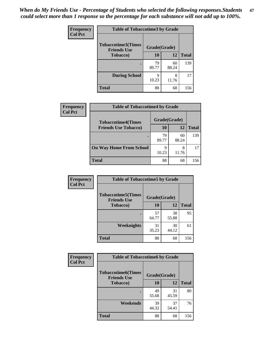*When do My Friends Use - Percentage of Students who selected the following responses.Students could select more than 1 response so the percentage for each substance will not add up to 100%.* **47**

| <b>Frequency</b> | <b>Table of Tobaccotime3 by Grade</b>           |              |             |              |
|------------------|-------------------------------------------------|--------------|-------------|--------------|
| <b>Col Pct</b>   | <b>Tobaccotime3(Times</b><br><b>Friends Use</b> | Grade(Grade) |             |              |
|                  | <b>Tobacco</b> )                                | 10           | 12          | <b>Total</b> |
|                  |                                                 | 79<br>89.77  | 60<br>88.24 | 139          |
|                  | <b>During School</b>                            | Q<br>10.23   | 8<br>11.76  | 17           |
|                  | <b>Total</b>                                    | 88           | 68          | 156          |

| <b>Frequency</b> | <b>Table of Tobaccotime4 by Grade</b> |              |             |              |
|------------------|---------------------------------------|--------------|-------------|--------------|
| <b>Col Pct</b>   | <b>Tobaccotime4(Times</b>             | Grade(Grade) |             |              |
|                  | <b>Friends Use Tobacco)</b>           | 10           | 12          | <b>Total</b> |
|                  |                                       | 79<br>89.77  | 60<br>88.24 | 139          |
|                  | <b>On Way Home From School</b>        | 9<br>10.23   | 8<br>11.76  | 17           |
|                  | <b>Total</b>                          | 88           | 68          | 156          |

| <b>Frequency</b> | <b>Table of Tobaccotime5 by Grade</b>           |              |             |              |
|------------------|-------------------------------------------------|--------------|-------------|--------------|
| <b>Col Pct</b>   | <b>Tobaccotime5(Times</b><br><b>Friends Use</b> | Grade(Grade) |             |              |
|                  | <b>Tobacco</b> )                                | 10           | 12          | <b>Total</b> |
|                  |                                                 | 57<br>64.77  | 38<br>55.88 | 95           |
|                  | Weeknights                                      | 31<br>35.23  | 30<br>44.12 | 61           |
|                  | <b>Total</b>                                    | 88           | 68          | 156          |

| Frequency      | <b>Table of Tobaccotime6 by Grade</b>           |              |             |              |
|----------------|-------------------------------------------------|--------------|-------------|--------------|
| <b>Col Pct</b> | <b>Tobaccotime6(Times</b><br><b>Friends Use</b> | Grade(Grade) |             |              |
|                | <b>Tobacco</b> )                                | 10           | 12          | <b>Total</b> |
|                |                                                 | 49<br>55.68  | 31<br>45.59 | 80           |
|                | Weekends                                        | 39<br>44.32  | 37<br>54.41 | 76           |
|                | <b>Total</b>                                    | 88           | 68          | 156          |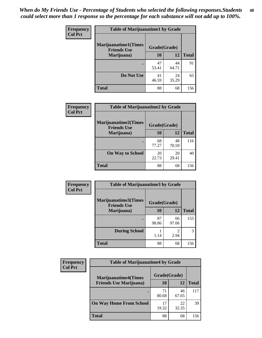| Frequency      | <b>Table of Marijuanatime1 by Grade</b>           |              |             |              |
|----------------|---------------------------------------------------|--------------|-------------|--------------|
| <b>Col Pct</b> | <b>Marijuanatime1(Times</b><br><b>Friends Use</b> | Grade(Grade) |             |              |
|                | Marijuana)                                        | 10           | 12          | <b>Total</b> |
|                |                                                   | 47<br>53.41  | 44<br>64.71 | 91           |
|                | Do Not Use                                        | 41<br>46.59  | 24<br>35.29 | 65           |
|                | <b>Total</b>                                      | 88           | 68          | 156          |

| Frequency      | <b>Table of Marijuanatime2 by Grade</b>    |              |             |              |
|----------------|--------------------------------------------|--------------|-------------|--------------|
| <b>Col Pct</b> | Marijuanatime2(Times<br><b>Friends Use</b> | Grade(Grade) |             |              |
|                | Marijuana)                                 | 10           | 12          | <b>Total</b> |
|                |                                            | 68<br>77.27  | 48<br>70.59 | 116          |
|                | <b>On Way to School</b>                    | 20<br>22.73  | 20<br>29.41 | 40           |
|                | <b>Total</b>                               | 88           | 68          | 156          |

| Frequency<br><b>Col Pct</b> | <b>Table of Marijuanatime3 by Grade</b>    |              |             |              |
|-----------------------------|--------------------------------------------|--------------|-------------|--------------|
|                             | Marijuanatime3(Times<br><b>Friends Use</b> | Grade(Grade) |             |              |
|                             | Marijuana)                                 | 10           | 12          | <b>Total</b> |
|                             |                                            | 87<br>98.86  | 66<br>97.06 | 153          |
|                             | <b>During School</b>                       | 1.14         | 2<br>2.94   | 3            |
|                             | <b>Total</b>                               | 88           | 68          | 156          |

| <b>Frequency</b> | <b>Table of Marijuanatime4 by Grade</b> |              |             |              |
|------------------|-----------------------------------------|--------------|-------------|--------------|
| <b>Col Pct</b>   | <b>Marijuanatime4(Times</b>             | Grade(Grade) |             |              |
|                  | <b>Friends Use Marijuana</b> )          | 10           | 12          | <b>Total</b> |
|                  |                                         | 71<br>80.68  | 46<br>67.65 | 117          |
|                  | <b>On Way Home From School</b>          | 17<br>19.32  | 22<br>32.35 | 39           |
|                  | <b>Total</b>                            | 88           | 68          | 156          |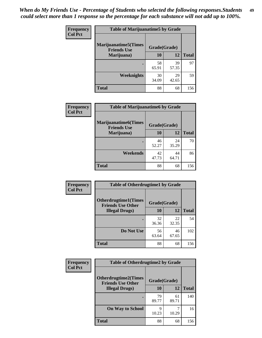| Frequency      | <b>Table of Marijuanatime5 by Grade</b>            |              |             |              |
|----------------|----------------------------------------------------|--------------|-------------|--------------|
| <b>Col Pct</b> | <b>Marijuanatime5</b> (Times<br><b>Friends Use</b> | Grade(Grade) |             |              |
|                | Marijuana)                                         | 10           | 12          | <b>Total</b> |
|                |                                                    | 58<br>65.91  | 39<br>57.35 | 97           |
|                | Weeknights                                         | 30<br>34.09  | 29<br>42.65 | 59           |
|                | <b>Total</b>                                       | 88           | 68          | 156          |

| Frequency      | <b>Table of Marijuanatime6 by Grade</b>           |              |             |              |
|----------------|---------------------------------------------------|--------------|-------------|--------------|
| <b>Col Pct</b> | <b>Marijuanatime6(Times</b><br><b>Friends Use</b> | Grade(Grade) |             |              |
|                | Marijuana)                                        | 10           | 12          | <b>Total</b> |
|                |                                                   | 46<br>52.27  | 24<br>35.29 | 70           |
|                | Weekends                                          | 42<br>47.73  | 44<br>64.71 | 86           |
|                | <b>Total</b>                                      | 88           | 68          | 156          |

| <b>Frequency</b> | <b>Table of Otherdrugtime1 by Grade</b>                 |              |             |              |
|------------------|---------------------------------------------------------|--------------|-------------|--------------|
| <b>Col Pct</b>   | <b>Otherdrugtime1(Times</b><br><b>Friends Use Other</b> | Grade(Grade) |             |              |
|                  | <b>Illegal Drugs</b> )                                  | 10           | <b>12</b>   | <b>Total</b> |
|                  |                                                         | 32<br>36.36  | 22<br>32.35 | 54           |
|                  | Do Not Use                                              | 56<br>63.64  | 46<br>67.65 | 102          |
|                  | <b>Total</b>                                            | 88           | 68          | 156          |

| Frequency      | <b>Table of Otherdrugtime2 by Grade</b>                 |              |             |              |  |  |
|----------------|---------------------------------------------------------|--------------|-------------|--------------|--|--|
| <b>Col Pct</b> | <b>Otherdrugtime2(Times</b><br><b>Friends Use Other</b> | Grade(Grade) |             |              |  |  |
|                | <b>Illegal Drugs</b> )                                  | 10           | 12          | <b>Total</b> |  |  |
|                |                                                         | 79<br>89.77  | 61<br>89.71 | 140          |  |  |
|                | <b>On Way to School</b>                                 | q<br>10.23   | 10.29       | 16           |  |  |
|                | Total                                                   | 88           | 68          | 156          |  |  |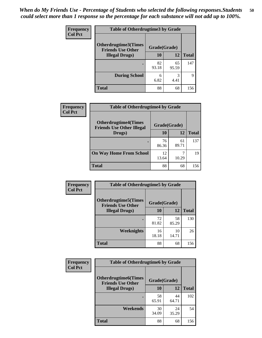| <b>Frequency</b> | <b>Table of Otherdrugtime3 by Grade</b>          |              |             |              |  |  |
|------------------|--------------------------------------------------|--------------|-------------|--------------|--|--|
| <b>Col Pct</b>   | Otherdrugtime3(Times<br><b>Friends Use Other</b> | Grade(Grade) |             |              |  |  |
|                  | <b>Illegal Drugs</b> )                           |              | 12          | <b>Total</b> |  |  |
|                  |                                                  | 82<br>93.18  | 65<br>95.59 | 147          |  |  |
|                  | <b>During School</b>                             | 6<br>6.82    | 3<br>4.41   | 9            |  |  |
|                  | <b>Total</b>                                     | 88           | 68          | 156          |  |  |

| <b>Frequency</b> | <b>Table of Otherdrugtime4 by Grade</b>                         |              |             |              |  |  |  |
|------------------|-----------------------------------------------------------------|--------------|-------------|--------------|--|--|--|
| <b>Col Pct</b>   | <b>Otherdrugtime4(Times</b><br><b>Friends Use Other Illegal</b> | Grade(Grade) |             |              |  |  |  |
|                  | Drugs)                                                          | 10           | 12          | <b>Total</b> |  |  |  |
|                  | $\bullet$                                                       | 76<br>86.36  | 61<br>89.71 | 137          |  |  |  |
|                  | <b>On Way Home From School</b>                                  | 12<br>13.64  | 10.29       | 19           |  |  |  |
|                  | <b>Total</b>                                                    | 88           | 68          | 156          |  |  |  |

| <b>Frequency</b> | <b>Table of Otherdrugtime5 by Grade</b>                  |              |             |              |  |  |
|------------------|----------------------------------------------------------|--------------|-------------|--------------|--|--|
| <b>Col Pct</b>   | <b>Otherdrugtime5</b> (Times<br><b>Friends Use Other</b> | Grade(Grade) |             |              |  |  |
|                  | <b>Illegal Drugs</b> )                                   | 10           | 12          | <b>Total</b> |  |  |
|                  |                                                          | 72<br>81.82  | 58<br>85.29 | 130          |  |  |
|                  | Weeknights                                               | 16<br>18.18  | 10<br>14.71 | 26           |  |  |
|                  | Total                                                    | 88           | 68          | 156          |  |  |

| <b>Frequency</b> | <b>Table of Otherdrugtime6 by Grade</b>                 |              |             |              |  |  |
|------------------|---------------------------------------------------------|--------------|-------------|--------------|--|--|
| <b>Col Pct</b>   | <b>Otherdrugtime6(Times</b><br><b>Friends Use Other</b> | Grade(Grade) |             |              |  |  |
|                  | <b>Illegal Drugs</b> )                                  | 10           | 12          | <b>Total</b> |  |  |
|                  |                                                         | 58<br>65.91  | 44<br>64.71 | 102          |  |  |
|                  | Weekends                                                | 30<br>34.09  | 24<br>35.29 | 54           |  |  |
|                  | Total                                                   | 88           | 68          | 156          |  |  |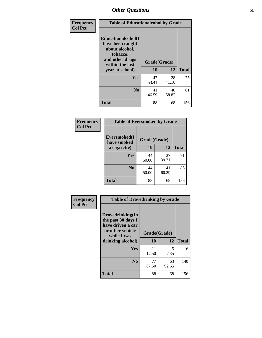| Frequency      | <b>Table of Educationalcohol by Grade</b>                                                                  |              |             |              |  |  |
|----------------|------------------------------------------------------------------------------------------------------------|--------------|-------------|--------------|--|--|
| <b>Col Pct</b> | Educationalcohol(I<br>have been taught<br>about alcohol,<br>tobacco,<br>and other drugs<br>within the last | Grade(Grade) |             |              |  |  |
|                | year at school)                                                                                            | 10           | 12          | <b>Total</b> |  |  |
|                | Yes                                                                                                        | 47<br>53.41  | 28<br>41.18 | 75           |  |  |
|                | N <sub>0</sub>                                                                                             | 41<br>46.59  | 40<br>58.82 | 81           |  |  |
|                | <b>Total</b>                                                                                               | 88           | 68          | 156          |  |  |

| Frequency      | <b>Table of Eversmoked by Grade</b> |              |             |              |  |  |  |
|----------------|-------------------------------------|--------------|-------------|--------------|--|--|--|
| <b>Col Pct</b> | Eversmoked(I<br>have smoked         | Grade(Grade) |             |              |  |  |  |
|                | a cigarette)                        | 10           | 12          | <b>Total</b> |  |  |  |
|                | Yes                                 | 44<br>50.00  | 27<br>39.71 | 71           |  |  |  |
|                | N <sub>0</sub>                      | 44<br>50.00  | 41<br>60.29 | 85           |  |  |  |
|                | Total                               | 88           | 68          | 156          |  |  |  |

| Frequency      | <b>Table of Drovedrinking by Grade</b>                                                                              |                    |             |              |  |  |  |
|----------------|---------------------------------------------------------------------------------------------------------------------|--------------------|-------------|--------------|--|--|--|
| <b>Col Pct</b> | Drovedrinking(In<br>the past 30 days I<br>have driven a car<br>or other vehicle<br>while I was<br>drinking alcohol) | Grade(Grade)<br>10 | 12          | <b>Total</b> |  |  |  |
|                | Yes                                                                                                                 | 11<br>12.50        | 5<br>7.35   | 16           |  |  |  |
|                | N <sub>0</sub>                                                                                                      | 77<br>87.50        | 63<br>92.65 | 140          |  |  |  |
|                | <b>Total</b>                                                                                                        | 88                 | 68          | 156          |  |  |  |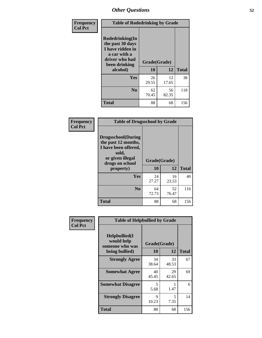| Frequency      | <b>Table of Rodedrinking by Grade</b>                                                                      |              |             |              |  |  |
|----------------|------------------------------------------------------------------------------------------------------------|--------------|-------------|--------------|--|--|
| <b>Col Pct</b> | Rodedrinking(In<br>the past 30 days<br>I have ridden in<br>a car with a<br>driver who had<br>been drinking | Grade(Grade) |             |              |  |  |
|                | alcohol)                                                                                                   | 10           | 12          | <b>Total</b> |  |  |
|                | <b>Yes</b>                                                                                                 | 26<br>29.55  | 12<br>17.65 | 38           |  |  |
|                | N <sub>0</sub>                                                                                             | 62<br>70.45  | 56<br>82.35 | 118          |  |  |
|                | <b>Total</b>                                                                                               | 88           | 68          | 156          |  |  |

#### **Frequency Col Pct**

| <b>Table of Drugsschool by Grade</b>                                                                                      |              |             |              |  |  |  |
|---------------------------------------------------------------------------------------------------------------------------|--------------|-------------|--------------|--|--|--|
| <b>Drugsschool</b> (During<br>the past 12 months,<br>I have been offered,<br>sold,<br>or given illegal<br>drugs on school | Grade(Grade) |             |              |  |  |  |
| property)                                                                                                                 | 10           | 12          | <b>Total</b> |  |  |  |
| Yes                                                                                                                       | 24<br>27.27  | 16<br>23.53 | 40           |  |  |  |
| N <sub>0</sub>                                                                                                            | 64<br>72.73  | 52<br>76.47 | 116          |  |  |  |
| <b>Total</b>                                                                                                              | 88           | 68          | 156          |  |  |  |

| Frequency      | <b>Table of Helpbullied by Grade</b>                 |                           |              |     |  |  |  |
|----------------|------------------------------------------------------|---------------------------|--------------|-----|--|--|--|
| <b>Col Pct</b> | $Helpb$ ullied $(I$<br>would help<br>someone who was | Grade(Grade)<br><b>10</b> | <b>Total</b> |     |  |  |  |
|                | being bullied)                                       |                           | 12           |     |  |  |  |
|                | <b>Strongly Agree</b>                                | 34<br>38.64               | 33<br>48.53  | 67  |  |  |  |
|                | <b>Somewhat Agree</b>                                | 40<br>45.45               | 29<br>42.65  | 69  |  |  |  |
|                | <b>Somewhat Disagree</b>                             | 5<br>5.68                 | 1.47         | 6   |  |  |  |
|                | <b>Strongly Disagree</b>                             | 9<br>10.23                | 5<br>7.35    | 14  |  |  |  |
|                | <b>Total</b>                                         | 88                        | 68           | 156 |  |  |  |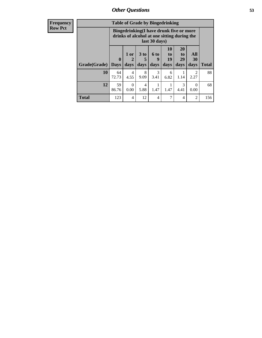| <b>Frequency</b> | <b>Table of Grade by Bingedrinking</b> |                                                                                                         |                                  |                              |                          |                        |                               |                          |              |
|------------------|----------------------------------------|---------------------------------------------------------------------------------------------------------|----------------------------------|------------------------------|--------------------------|------------------------|-------------------------------|--------------------------|--------------|
| <b>Row Pct</b>   |                                        | Bingedrinking(I have drunk five or more<br>drinks of alcohol at one sitting during the<br>last 30 days) |                                  |                              |                          |                        |                               |                          |              |
|                  | Grade(Grade)                           | $\mathbf{0}$<br><b>Days</b>                                                                             | $1$ or<br>$\overline{2}$<br>days | 3 <sub>to</sub><br>5<br>days | <b>6 to</b><br>9<br>days | 10<br>to<br>19<br>days | <b>20</b><br>to<br>29<br>days | All<br><b>30</b><br>days | <b>Total</b> |
|                  | 10                                     | 64<br>72.73                                                                                             | 4<br>4.55                        | 8<br>9.09                    | 3<br>3.41                | 6<br>6.82              | 1.14                          | $\mathfrak{D}$<br>2.27   | 88           |
|                  | 12                                     | 59<br>86.76                                                                                             | $\Omega$<br>0.00                 | $\overline{4}$<br>5.88       | 1.47                     | 1.47                   | 3<br>4.41                     | 0<br>0.00                | 68           |
|                  | <b>Total</b>                           | 123                                                                                                     | 4                                | 12                           | 4                        | 7                      | 4                             | $\overline{2}$           | 156          |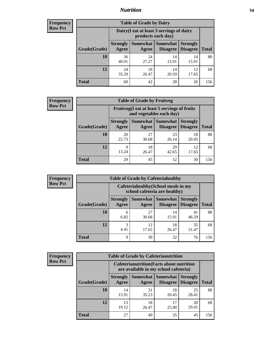### *Nutrition* **54**

| <b>Frequency</b> |
|------------------|
| <b>Row Pct</b>   |

| <b>Table of Grade by Dairy</b> |                                                                                                                                           |                                                                 |             |             |     |  |  |
|--------------------------------|-------------------------------------------------------------------------------------------------------------------------------------------|-----------------------------------------------------------------|-------------|-------------|-----|--|--|
|                                |                                                                                                                                           | Dairy (I eat at least 3 servings of dairy<br>products each day) |             |             |     |  |  |
| Grade(Grade)                   | <b>Somewhat</b><br><b>Somewhat</b><br><b>Strongly</b><br><b>Strongly</b><br><b>Disagree</b><br>Disagree<br><b>Total</b><br>Agree<br>Agree |                                                                 |             |             |     |  |  |
| 10                             | 36<br>40.91                                                                                                                               | 24<br>27.27                                                     | 14<br>15.91 | 14<br>15.91 | 88  |  |  |
| 12                             | 24<br>35.29                                                                                                                               | 18<br>26.47                                                     | 14<br>20.59 | 12<br>17.65 | 68  |  |  |
| <b>Total</b>                   | 60                                                                                                                                        | 42                                                              | 28          | 26          | 156 |  |  |

| <b>Frequency</b> |  |
|------------------|--|
| <b>Row Pct</b>   |  |

| V | <b>Table of Grade by Fruitveg</b>                                                                                                                 |                                                                          |             |             |             |     |  |
|---|---------------------------------------------------------------------------------------------------------------------------------------------------|--------------------------------------------------------------------------|-------------|-------------|-------------|-----|--|
|   |                                                                                                                                                   | Fruitveg(I eat at least 5 servings of fruits<br>and vegetables each day) |             |             |             |     |  |
|   | <b>Somewhat   Somewhat</b><br><b>Strongly</b><br><b>Strongly</b><br><b>Disagree</b><br>Grade(Grade)<br>Agree<br>Disagree<br><b>Total</b><br>Agree |                                                                          |             |             |             |     |  |
|   | 10                                                                                                                                                | 20<br>22.73                                                              | 27<br>30.68 | 23<br>26.14 | 18<br>20.45 | 88  |  |
|   | 12                                                                                                                                                | 9<br>13.24                                                               | 18<br>26.47 | 29<br>42.65 | 12<br>17.65 | 68  |  |
|   | <b>Total</b>                                                                                                                                      | 29                                                                       | 45          | 52          | 30          | 156 |  |

| <b>Frequency</b> |              |                                                                       |             | <b>Table of Grade by Cafeteriahealthy</b> |                                    |              |  |  |  |
|------------------|--------------|-----------------------------------------------------------------------|-------------|-------------------------------------------|------------------------------------|--------------|--|--|--|
| <b>Row Pct</b>   |              | Cafeteriahealthy (School meals in my<br>school cafeteria are healthy) |             |                                           |                                    |              |  |  |  |
|                  | Grade(Grade) | <b>Strongly</b><br>Agree                                              | Agree       | Somewhat   Somewhat  <br>Disagree         | <b>Strongly</b><br><b>Disagree</b> | <b>Total</b> |  |  |  |
|                  | 10           | 6<br>6.82                                                             | 27<br>30.68 | 14<br>15.91                               | 41<br>46.59                        | 88           |  |  |  |
|                  | 12           | 3<br>4.41                                                             | 12<br>17.65 | 18<br>26.47                               | 35<br>51.47                        | 68           |  |  |  |
|                  | Total        | 9                                                                     | 39          | 32                                        | 76                                 | 156          |  |  |  |

| <b>Frequency</b> |
|------------------|
| <b>Row Pct</b>   |

| <b>Table of Grade by Cafeterianutrition</b>                                                                                                        |             |             |             |             |     |  |  |
|----------------------------------------------------------------------------------------------------------------------------------------------------|-------------|-------------|-------------|-------------|-----|--|--|
| <b>Cafeterianutrition</b> (Facts about nutrition<br>are available in my school cafeteria)                                                          |             |             |             |             |     |  |  |
| <b>Somewhat</b><br>Somewhat<br><b>Strongly</b><br><b>Strongly</b><br><b>Disagree</b><br>Grade(Grade)<br>Agree<br>Disagree<br><b>Total</b><br>Agree |             |             |             |             |     |  |  |
| 10                                                                                                                                                 | 14<br>15.91 | 31<br>35.23 | 18<br>20.45 | 25<br>28.41 | 88  |  |  |
| 12                                                                                                                                                 | 13<br>19.12 | 18<br>26.47 | 17<br>25.00 | 20<br>29.41 | 68  |  |  |
| <b>Total</b>                                                                                                                                       | 27          | 49          | 35          | 45          | 156 |  |  |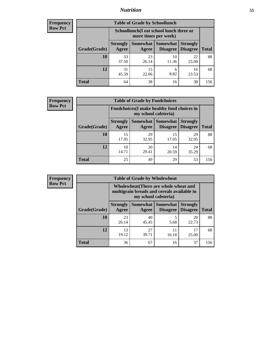## *Nutrition* **55**

| <b>Frequency</b> |
|------------------|
| <b>Row Pct</b>   |

| <b>Table of Grade by Schoollunch</b> |                                                                                                            |                                                                 |             |             |     |  |  |  |
|--------------------------------------|------------------------------------------------------------------------------------------------------------|-----------------------------------------------------------------|-------------|-------------|-----|--|--|--|
|                                      |                                                                                                            | Schoollunch(I eat school lunch three or<br>more times per week) |             |             |     |  |  |  |
| Grade(Grade)                         | Somewhat   Somewhat<br><b>Strongly</b><br><b>Strongly</b><br><b>Disagree</b><br>Disagree<br>Agree<br>Agree |                                                                 |             |             |     |  |  |  |
| 10                                   | 33<br>37.50                                                                                                | 23<br>26.14                                                     | 10<br>11.36 | 22<br>25.00 | 88  |  |  |  |
| 12                                   | 31<br>45.59                                                                                                | 15<br>22.06                                                     | 6<br>8.82   | 16<br>23.53 | 68  |  |  |  |
| <b>Total</b>                         | 64                                                                                                         | 38                                                              | 16          | 38          | 156 |  |  |  |

| <b>Frequency</b> |  |
|------------------|--|
| <b>Row Pct</b>   |  |

| y | <b>Table of Grade by Foodchoices</b>                                                                                               |             |             |             |             |     |  |
|---|------------------------------------------------------------------------------------------------------------------------------------|-------------|-------------|-------------|-------------|-----|--|
|   | Foodchoices (I make healthy food choices in<br>my school cafeteria)                                                                |             |             |             |             |     |  |
|   | Somewhat<br><b>Strongly</b><br><b>Somewhat</b><br><b>Strongly</b><br><b>Disagree</b><br>Agree<br>Grade(Grade)<br>Disagree<br>Agree |             |             |             |             |     |  |
|   | <b>10</b>                                                                                                                          | 15<br>17.05 | 29<br>32.95 | 15<br>17.05 | 29<br>32.95 | 88  |  |
|   | 12                                                                                                                                 | 10<br>14.71 | 20<br>29.41 | 14<br>20.59 | 24<br>35.29 | 68  |  |
|   | <b>Total</b>                                                                                                                       | 25          | 49          | 29          | 53          | 156 |  |

| Frequency      | <b>Table of Grade by Wholewheat</b> |                          |             |                                                                                                             |                                    |              |  |  |
|----------------|-------------------------------------|--------------------------|-------------|-------------------------------------------------------------------------------------------------------------|------------------------------------|--------------|--|--|
| <b>Row Pct</b> |                                     |                          |             | Wholewheat (There are whole wheat and<br>multigrain breads and cereals available in<br>my school cafeteria) |                                    |              |  |  |
|                | Grade(Grade)                        | <b>Strongly</b><br>Agree | Agree       | Somewhat   Somewhat  <br><b>Disagree</b>                                                                    | <b>Strongly</b><br><b>Disagree</b> | <b>Total</b> |  |  |
|                | 10                                  | 23<br>26.14              | 40<br>45.45 | 5<br>5.68                                                                                                   | 20<br>22.73                        | 88           |  |  |
|                | 12                                  | 13<br>19.12              | 27<br>39.71 | 11<br>16.18                                                                                                 | 17<br>25.00                        | 68           |  |  |
|                | <b>Total</b>                        | 36                       | 67          | 16                                                                                                          | 37                                 | 156          |  |  |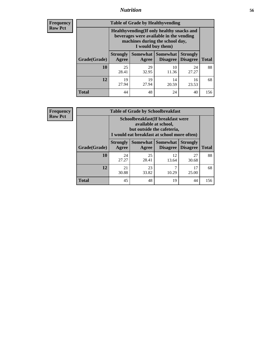### *Nutrition* **56**

**Frequency Row Pct**

| <b>Table of Grade by Healthyvending</b> |                                                                                                                                               |                          |                                    |                                    |              |  |
|-----------------------------------------|-----------------------------------------------------------------------------------------------------------------------------------------------|--------------------------|------------------------------------|------------------------------------|--------------|--|
|                                         | Healthyvending (If only healthy snacks and<br>beverages were available in the vending<br>machines during the school day,<br>I would buy them) |                          |                                    |                                    |              |  |
| Grade(Grade)                            | <b>Strongly</b><br>Agree                                                                                                                      | <b>Somewhat</b><br>Agree | <b>Somewhat</b><br><b>Disagree</b> | <b>Strongly</b><br><b>Disagree</b> | <b>Total</b> |  |
| 10                                      | 25<br>28.41                                                                                                                                   | 29<br>32.95              | 10<br>11.36                        | 24<br>27.27                        | 88           |  |
| 12                                      | 19<br>27.94                                                                                                                                   | 19<br>27.94              | 14<br>20.59                        | 16<br>23.53                        | 68           |  |
| <b>Total</b>                            | 44                                                                                                                                            | 48                       | 24                                 | 40                                 | 156          |  |

**Frequency Row Pct**

| <b>Table of Grade by Schoolbreakfast</b> |                                                                                                                                        |             |             |             |     |  |  |
|------------------------------------------|----------------------------------------------------------------------------------------------------------------------------------------|-------------|-------------|-------------|-----|--|--|
|                                          | Schoolbreakfast(If breakfast were<br>available at school,<br>but outside the cafeteria,<br>I would eat breakfast at school more often) |             |             |             |     |  |  |
| Grade(Grade)                             | Somewhat   Somewhat<br><b>Strongly</b><br><b>Strongly</b><br><b>Disagree</b><br><b>Total</b><br>Agree<br>Disagree<br>Agree             |             |             |             |     |  |  |
| <b>10</b>                                | 24<br>27.27                                                                                                                            | 25<br>28.41 | 12<br>13.64 | 27<br>30.68 | 88  |  |  |
| 12                                       | 23<br>7<br>17<br>21<br>30.88<br>33.82<br>10.29<br>25.00                                                                                |             |             |             |     |  |  |
| <b>Total</b>                             | 45                                                                                                                                     | 48          | 19          | 44          | 156 |  |  |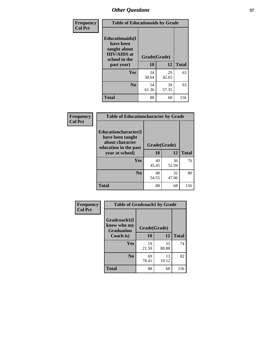| Frequency<br><b>Col Pct</b> | <b>Table of Educationaids by Grade</b>                                                                    |                    |             |              |
|-----------------------------|-----------------------------------------------------------------------------------------------------------|--------------------|-------------|--------------|
|                             | <b>Educationaids</b> (I<br>have been<br>taught about<br><b>HIV/AIDS</b> at<br>school in the<br>past year) | Grade(Grade)<br>10 | 12          | <b>Total</b> |
|                             | <b>Yes</b>                                                                                                | 34<br>38.64        | 29<br>42.65 | 63           |
|                             | N <sub>0</sub>                                                                                            | 54<br>61.36        | 39<br>57.35 | 93           |
|                             | <b>Total</b>                                                                                              | 88                 | 68          | 156          |

| Frequency<br><b>Col Pct</b> | <b>Table of Educationcharacter by Grade</b>                 |              |             |              |  |
|-----------------------------|-------------------------------------------------------------|--------------|-------------|--------------|--|
|                             | Educationcharacter(I<br>have been taught<br>about character |              |             |              |  |
|                             | education in the past                                       | Grade(Grade) |             |              |  |
|                             | year at school)                                             | 10           | 12          | <b>Total</b> |  |
|                             | Yes                                                         | 40<br>45.45  | 36<br>52.94 | 76           |  |
|                             | N <sub>0</sub>                                              | 48<br>54.55  | 32<br>47.06 | 80           |  |
|                             | <b>Total</b>                                                | 88           | 68          | 156          |  |

| Frequency      | <b>Table of Gradcoach1 by Grade</b> |                    |              |     |
|----------------|-------------------------------------|--------------------|--------------|-----|
| <b>Col Pct</b> | Gradcoach1(I<br>know who my         |                    |              |     |
|                | <b>Graduation</b><br>Coach is)      | Grade(Grade)<br>10 | <b>Total</b> |     |
|                | Yes                                 | 19<br>21.59        | 55<br>80.88  | 74  |
|                | N <sub>0</sub>                      | 69<br>78.41        | 13<br>19.12  | 82  |
|                | <b>Total</b>                        | 88                 | 68           | 156 |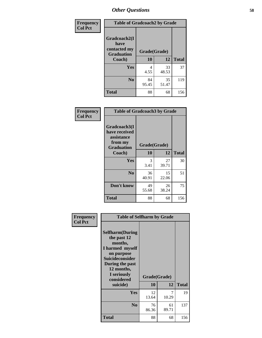| Frequency      | <b>Table of Gradcoach2 by Grade</b> |              |             |              |
|----------------|-------------------------------------|--------------|-------------|--------------|
| <b>Col Pct</b> | Gradcoach2(I<br>have                |              |             |              |
|                | contacted my<br><b>Graduation</b>   | Grade(Grade) |             |              |
|                | Coach)                              | 10           | 12          | <b>Total</b> |
|                | Yes                                 | 4<br>4.55    | 33<br>48.53 | 37           |
|                | N <sub>0</sub>                      | 84<br>95.45  | 35<br>51.47 | 119          |
|                | <b>Total</b>                        | 88           | 68          | 156          |

| <b>Frequency</b><br><b>Col Pct</b> | <b>Table of Gradcoach3 by Grade</b>                    |              |             |              |
|------------------------------------|--------------------------------------------------------|--------------|-------------|--------------|
|                                    | Gradcoach3(I<br>have received<br>assistance<br>from my | Grade(Grade) |             |              |
|                                    | <b>Graduation</b><br>Coach)                            | 10           | 12          | <b>Total</b> |
|                                    | Yes                                                    | 3<br>3.41    | 27<br>39.71 | 30           |
|                                    | N <sub>0</sub>                                         | 36<br>40.91  | 15<br>22.06 | 51           |
|                                    | Don't know                                             | 49<br>55.68  | 26<br>38.24 | 75           |
|                                    | <b>Total</b>                                           | 88           | 68          | 156          |

| Frequency      | <b>Table of Selfharm by Grade</b>                                                                                                                                                      |                    |             |              |
|----------------|----------------------------------------------------------------------------------------------------------------------------------------------------------------------------------------|--------------------|-------------|--------------|
| <b>Col Pct</b> | <b>Selfharm</b> (During<br>the past 12<br>months,<br>I harmed myself<br>on purpose<br><b>Suicideconsider</b><br>During the past<br>12 months,<br>I seriously<br>considered<br>suicide) | Grade(Grade)<br>10 | 12          | <b>Total</b> |
|                |                                                                                                                                                                                        |                    |             |              |
|                | Yes                                                                                                                                                                                    | 12<br>13.64        | 7<br>10.29  | 19           |
|                | N <sub>0</sub>                                                                                                                                                                         | 76<br>86.36        | 61<br>89.71 | 137          |
|                | <b>Total</b>                                                                                                                                                                           | 88                 | 68          | 156          |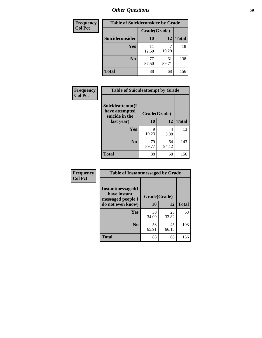| <b>Frequency</b> | <b>Table of Suicideconsider by Grade</b> |              |             |              |  |  |  |
|------------------|------------------------------------------|--------------|-------------|--------------|--|--|--|
| <b>Col Pct</b>   |                                          | Grade(Grade) |             |              |  |  |  |
|                  | Suicideconsider                          | <b>10</b>    | 12          | <b>Total</b> |  |  |  |
|                  | Yes                                      | 11<br>12.50  | 10.29       | 18           |  |  |  |
|                  | N <sub>0</sub>                           | 77<br>87.50  | 61<br>89.71 | 138          |  |  |  |
|                  | <b>Total</b>                             | 88           | 68          | 156          |  |  |  |

| Frequency      | <b>Table of Suicideattempt by Grade</b>              |              |             |              |
|----------------|------------------------------------------------------|--------------|-------------|--------------|
| <b>Col Pct</b> | Suicideattempt(I<br>have attempted<br>suicide in the | Grade(Grade) |             |              |
|                | last year)                                           | <b>10</b>    | 12          | <b>Total</b> |
|                | Yes                                                  | 9<br>10.23   | 4<br>5.88   | 13           |
|                | $\bf No$                                             | 79<br>89.77  | 64<br>94.12 | 143          |
|                | <b>Total</b>                                         | 88           | 68          | 156          |

| Frequency      | <b>Table of Instantmessaged by Grade</b>               |              |             |              |
|----------------|--------------------------------------------------------|--------------|-------------|--------------|
| <b>Col Pct</b> | Instantmessaged(I<br>have instant<br>messaged people I | Grade(Grade) |             |              |
|                | do not even know)                                      | 10           | 12          | <b>Total</b> |
|                | Yes                                                    | 30<br>34.09  | 23<br>33.82 | 53           |
|                | N <sub>0</sub>                                         | 58<br>65.91  | 45<br>66.18 | 103          |
|                | <b>Total</b>                                           | 88           | 68          | 156          |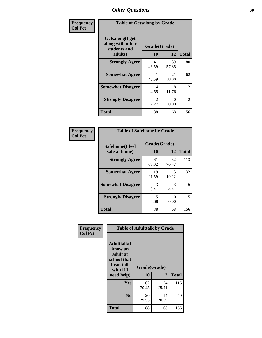| Frequency      | <b>Table of Getsalong by Grade</b>                          |                        |                           |              |
|----------------|-------------------------------------------------------------|------------------------|---------------------------|--------------|
| <b>Col Pct</b> | <b>Getsalong</b> (I get<br>along with other<br>students and | Grade(Grade)<br>10     |                           | <b>Total</b> |
|                | adults)                                                     |                        | 12                        |              |
|                | <b>Strongly Agree</b>                                       | 41<br>46.59            | 39<br>57.35               | 80           |
|                | <b>Somewhat Agree</b>                                       | 41<br>46.59            | 21<br>30.88               | 62           |
|                | <b>Somewhat Disagree</b>                                    | 4<br>4.55              | 8<br>11.76                | 12           |
|                | <b>Strongly Disagree</b>                                    | $\mathfrak{D}$<br>2.27 | $\mathbf{\Omega}$<br>0.00 | 2            |
|                | <b>Total</b>                                                | 88                     | 68                        | 156          |

| Frequency      |                                  | <b>Table of Safehome by Grade</b> |             |              |  |  |  |
|----------------|----------------------------------|-----------------------------------|-------------|--------------|--|--|--|
| <b>Col Pct</b> | Safehome(I feel<br>safe at home) | Grade(Grade)<br>10                | 12          | <b>Total</b> |  |  |  |
|                | <b>Strongly Agree</b>            | 61<br>69.32                       | 52<br>76.47 | 113          |  |  |  |
|                | <b>Somewhat Agree</b>            | 19<br>21.59                       | 13<br>19.12 | 32           |  |  |  |
|                | <b>Somewhat Disagree</b>         | 3<br>3.41                         | 3<br>4.41   | 6            |  |  |  |
|                | <b>Strongly Disagree</b>         | 5<br>5.68                         | 0<br>0.00   | 5            |  |  |  |
|                | <b>Total</b>                     | 88                                | 68          | 156          |  |  |  |

| Frequency      |                                                                                      | <b>Table of Adulttalk by Grade</b> |             |              |
|----------------|--------------------------------------------------------------------------------------|------------------------------------|-------------|--------------|
| <b>Col Pct</b> | <b>Adulttalk</b> (I<br>know an<br>adult at<br>school that<br>I can talk<br>with if I | Grade(Grade)                       |             |              |
|                | need help)                                                                           | 10                                 | 12          | <b>Total</b> |
|                | <b>Yes</b>                                                                           | 62<br>70.45                        | 54<br>79.41 | 116          |
|                | N <sub>0</sub>                                                                       | 26<br>29.55                        | 14<br>20.59 | 40           |
|                | <b>Total</b>                                                                         | 88                                 | 68          | 156          |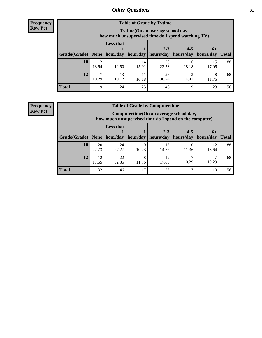**Frequency Row Pct**

| <b>Table of Grade by Tytime</b> |             |                                                                                        |             |                                 |                       |             |              |  |  |  |
|---------------------------------|-------------|----------------------------------------------------------------------------------------|-------------|---------------------------------|-----------------------|-------------|--------------|--|--|--|
|                                 |             | Tvtime(On an average school day,<br>how much unsupervised time do I spend watching TV) |             |                                 |                       |             |              |  |  |  |
|                                 |             | Less that<br>$2 - 3$<br>$4 - 5$<br>$6+$                                                |             |                                 |                       |             |              |  |  |  |
| Grade(Grade)   None             |             |                                                                                        |             | hour/day   hour/day   hours/day | hours/day   hours/day |             | <b>Total</b> |  |  |  |
| 10                              | 12<br>13.64 | 11<br>12.50                                                                            | 14<br>15.91 | 20<br>22.73                     | 16<br>18.18           | 15<br>17.05 | 88           |  |  |  |
| 12                              | ┑<br>10.29  | 13<br>19.12                                                                            | 11<br>16.18 | 26<br>38.24                     | 4.41                  | 8<br>11.76  | 68           |  |  |  |
| <b>Total</b>                    | 19          | 24                                                                                     | 25          | 46                              | 19                    | 23          | 156          |  |  |  |

**Frequency Row Pct**

| <b>Table of Grade by Computertime</b> |             |                                                                                                   |            |                      |                      |                   |              |  |  |
|---------------------------------------|-------------|---------------------------------------------------------------------------------------------------|------------|----------------------|----------------------|-------------------|--------------|--|--|
|                                       |             | Computertime (On an average school day,<br>how much unsupervised time do I spend on the computer) |            |                      |                      |                   |              |  |  |
| Grade(Grade)                          | None        | <b>Less that</b><br>hour/day                                                                      | hour/day   | $2 - 3$<br>hours/day | $4 - 5$<br>hours/day | $6+$<br>hours/day | <b>Total</b> |  |  |
| 10                                    | 20<br>22.73 | 24<br>27.27                                                                                       | q<br>10.23 | 13<br>14.77          | 10<br>11.36          | 12<br>13.64       | 88           |  |  |
| 12                                    | 12<br>17.65 | 22<br>32.35                                                                                       | 8<br>11.76 | 12<br>17.65          | 10.29                | 10.29             | 68           |  |  |
| <b>Total</b>                          | 32          | 46                                                                                                | 17         | 25                   | 17                   | 19                | 156          |  |  |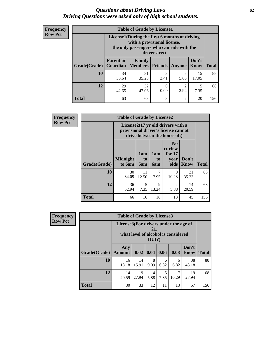#### *Questions about Driving Laws* **62** *Driving Questions were asked only of high school students.*

| <b>Frequency</b> |
|------------------|
| <b>Row Pct</b>   |

| <b>Table of Grade by License1</b> |                                                                     |                                                                                                                                           |           |           |             |     |  |  |  |
|-----------------------------------|---------------------------------------------------------------------|-------------------------------------------------------------------------------------------------------------------------------------------|-----------|-----------|-------------|-----|--|--|--|
|                                   |                                                                     | License1(During the first 6 months of driving<br>with a provisional license,<br>the only passengers who can ride with the<br>driver are:) |           |           |             |     |  |  |  |
| Grade(Grade)                      | <b>Parent or</b>                                                    | Don't<br><b>Family</b><br><b>Members</b><br><b>Total</b><br>Guardian<br><b>Friends</b><br>Know<br>Anyone                                  |           |           |             |     |  |  |  |
| 10                                | 34<br>38.64                                                         | 31<br>35.23                                                                                                                               | 3<br>3.41 | 5<br>5.68 | 15<br>17.05 | 88  |  |  |  |
| 12                                | 29<br>32<br>5<br>$\theta$<br>2.94<br>42.65<br>0.00<br>7.35<br>47.06 |                                                                                                                                           |           |           |             |     |  |  |  |
| <b>Total</b>                      | 63                                                                  | 63                                                                                                                                        | 3         | 7         | 20          | 156 |  |  |  |

| <b>Frequency</b> | <b>Table of Grade by License2</b> |                           |                  |                              |                                                                                                          |                      |              |  |
|------------------|-----------------------------------|---------------------------|------------------|------------------------------|----------------------------------------------------------------------------------------------------------|----------------------|--------------|--|
| <b>Row Pct</b>   |                                   |                           |                  |                              | License2(17 yr old drivers with a<br>provisional driver's license cannot<br>drive between the hours of:) |                      |              |  |
|                  | Grade(Grade)                      | <b>Midnight</b><br>to 6am | 1am<br>to<br>5am | 1am<br>t <sub>0</sub><br>6am | N <sub>0</sub><br>curfew<br>for $17$<br>year<br>olds                                                     | Don't<br><b>Know</b> | <b>Total</b> |  |
|                  | 10                                | 30<br>34.09               | 11<br>12.50      | 7<br>7.95                    | 9<br>10.23                                                                                               | 31<br>35.23          | 88           |  |
|                  | 12                                | 36<br>52.94               | 5<br>7.35        | 9<br>13.24                   | 4<br>5.88                                                                                                | 14<br>20.59          | 68           |  |
|                  | <b>Total</b>                      | 66                        | 16               | 16                           | 13                                                                                                       | 45                   | 156          |  |

| Frequency      |              | <b>Table of Grade by License3</b>     |             |                 |           |                                     |               |              |  |
|----------------|--------------|---------------------------------------|-------------|-----------------|-----------|-------------------------------------|---------------|--------------|--|
| <b>Row Pct</b> |              | License3(For drivers under the age of |             | 21,<br>$DUI$ ?) |           | what level of alcohol is considered |               |              |  |
|                | Grade(Grade) | Any<br><b>Amount</b>                  | 0.02        | 0.04            | 0.06      | 0.08                                | Don't<br>know | <b>Total</b> |  |
|                | 10           | 16<br>18.18                           | 14<br>15.91 | 8<br>9.09       | 6<br>6.82 | 6<br>6.82                           | 38<br>43.18   | 88           |  |
|                | 12           | 14<br>20.59                           | 19<br>27.94 | 4<br>5.88       | 5<br>7.35 | 10.29                               | 19<br>27.94   | 68           |  |
|                | <b>Total</b> | 30                                    | 33          | 12              | 11        | 13                                  | 57            | 156          |  |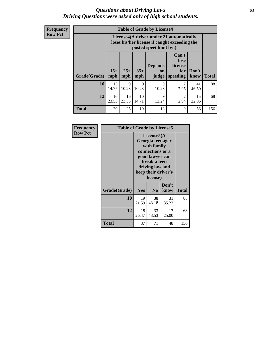#### *Questions about Driving Laws* **63** *Driving Questions were asked only of high school students.*

**Frequency Row Pct**

| <b>Table of Grade by License4</b> |              |                                                                                                                                               |             |            |                        |             |     |  |
|-----------------------------------|--------------|-----------------------------------------------------------------------------------------------------------------------------------------------|-------------|------------|------------------------|-------------|-----|--|
|                                   |              | License4(A driver under 21 automatically<br>loses his/her license if caught exceeding the<br>posted speet limit by:)                          |             |            |                        |             |     |  |
| Grade(Grade)                      | $15+$<br>mph | Can't<br>lose<br><b>Depends</b><br>license<br>$25+$<br>$35+$<br>Don't<br>for<br>on<br><b>Total</b><br>mph<br>speeding<br>know<br>mph<br>judge |             |            |                        |             |     |  |
| 10                                | 13<br>14.77  | 9<br>10.23                                                                                                                                    | 9<br>10.23  | 9<br>10.23 | 7.95                   | 41<br>46.59 | 88  |  |
| 12                                | 16<br>23.53  | 16<br>23.53                                                                                                                                   | 10<br>14.71 | 9<br>13.24 | $\mathfrak{D}$<br>2.94 | 15<br>22.06 | 68  |  |
| <b>Total</b>                      | 29           | 25                                                                                                                                            | 19          | 18         | 9                      | 56          | 156 |  |

| Frequency      | <b>Table of Grade by License5</b> |                                                                                                                                                             |                |               |       |
|----------------|-----------------------------------|-------------------------------------------------------------------------------------------------------------------------------------------------------------|----------------|---------------|-------|
| <b>Row Pct</b> |                                   | License5(A)<br>Georgia teenager<br>with family<br>connections or a<br>good lawyer can<br>break a teen<br>driving law and<br>keep their driver's<br>license) |                |               |       |
|                | Grade(Grade)                      | <b>Yes</b>                                                                                                                                                  | N <sub>0</sub> | Don't<br>know | Total |
|                | 10                                | 19<br>21.59                                                                                                                                                 | 38<br>43.18    | 31<br>35.23   | 88    |
|                | 12                                | 18<br>26.47                                                                                                                                                 | 33<br>48.53    | 17<br>25.00   | 68    |
|                | Total                             | 37                                                                                                                                                          | 71             | 48            | 156   |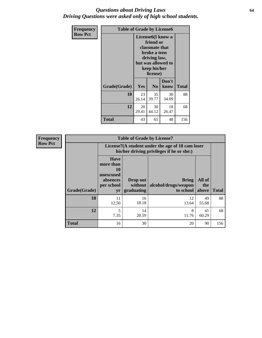#### *Questions about Driving Laws* **64** *Driving Questions were asked only of high school students.*

| <b>Frequency</b> | <b>Table of Grade by License6</b> |             |                                                                                                                           |                    |              |  |  |
|------------------|-----------------------------------|-------------|---------------------------------------------------------------------------------------------------------------------------|--------------------|--------------|--|--|
| <b>Row Pct</b>   |                                   |             | License <sub>6</sub> (I know a<br>friend or<br>classmate that<br>broke a teen<br>driving law,<br>keep his/her<br>license) | but was allowed to |              |  |  |
|                  | Grade(Grade)                      | Yes         | N <sub>0</sub>                                                                                                            | Don't<br>know      | <b>Total</b> |  |  |
|                  | 10                                | 23<br>26.14 | 35<br>39.77                                                                                                               | 30<br>34.09        | 88           |  |  |
|                  | 12                                | 20<br>29.41 | 30<br>44.12                                                                                                               | 18<br>26.47        | 68           |  |  |
|                  | <b>Total</b>                      | 43          | 65                                                                                                                        | 48                 | 156          |  |  |

| <b>Frequency</b> |              |                                                                             | <b>Table of Grade by License7</b>                                                             |                                                   |                        |              |  |  |  |
|------------------|--------------|-----------------------------------------------------------------------------|-----------------------------------------------------------------------------------------------|---------------------------------------------------|------------------------|--------------|--|--|--|
| <b>Row Pct</b>   |              |                                                                             | License7(A student under the age of 18 cam loser<br>his/her driving privileges if he or she:) |                                                   |                        |              |  |  |  |
|                  | Grade(Grade) | <b>Have</b><br>more than<br>10<br>unexcused<br>absences<br>per school<br>yr | Drop out<br>without  <br>graduating                                                           | <b>Bring</b><br>alcohol/drugs/weapon<br>to school | All of<br>the<br>above | <b>Total</b> |  |  |  |
|                  | 10           | 11<br>12.50                                                                 | 16<br>18.18                                                                                   | 12<br>13.64                                       | 49<br>55.68            | 88           |  |  |  |
|                  | 12           | 5<br>7.35                                                                   | 14<br>20.59                                                                                   | 8<br>11.76                                        | 41<br>60.29            | 68           |  |  |  |
|                  | <b>Total</b> | 16                                                                          | 30                                                                                            | 20                                                | 90                     | 156          |  |  |  |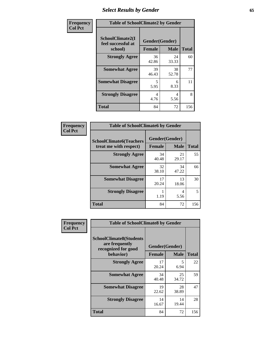# *Select Results by Gender* **65**

| Frequency      | <b>Table of SchoolClimate2 by Gender</b>          |                                 |             |              |  |
|----------------|---------------------------------------------------|---------------------------------|-------------|--------------|--|
| <b>Col Pct</b> | SchoolClimate2(I<br>feel successful at<br>school) | Gender(Gender)<br><b>Female</b> | <b>Male</b> | <b>Total</b> |  |
|                | <b>Strongly Agree</b>                             | 36<br>42.86                     | 24<br>33.33 | 60           |  |
|                | <b>Somewhat Agree</b>                             | 39<br>46.43                     | 38<br>52.78 | 77           |  |
|                | <b>Somewhat Disagree</b>                          | 5<br>5.95                       | 6<br>8.33   | 11           |  |
|                | <b>Strongly Disagree</b>                          | 4<br>4.76                       | 4<br>5.56   | 8            |  |
|                | <b>Total</b>                                      | 84                              | 72          | 156          |  |

| <b>Frequency</b> | <b>Table of SchoolClimate6 by Gender</b>                 |               |                               |              |  |  |
|------------------|----------------------------------------------------------|---------------|-------------------------------|--------------|--|--|
| <b>Col Pct</b>   | <b>SchoolClimate6(Teachers</b><br>treat me with respect) | <b>Female</b> | Gender(Gender)<br><b>Male</b> | <b>Total</b> |  |  |
|                  | <b>Strongly Agree</b>                                    | 34<br>40.48   | 21<br>29.17                   | 55           |  |  |
|                  | <b>Somewhat Agree</b>                                    | 32<br>38.10   | 34<br>47.22                   | 66           |  |  |
|                  | <b>Somewhat Disagree</b>                                 | 17<br>20.24   | 13<br>18.06                   | 30           |  |  |
|                  | <b>Strongly Disagree</b>                                 | 1.19          | 4<br>5.56                     | 5            |  |  |
|                  | <b>Total</b>                                             | 84            | 72                            | 156          |  |  |

| <b>Frequency</b> | <b>Table of SchoolClimate8 by Gender</b>                                             |               |                               |              |
|------------------|--------------------------------------------------------------------------------------|---------------|-------------------------------|--------------|
| <b>Col Pct</b>   | <b>SchoolClimate8(Students</b><br>are frequently<br>recognized for good<br>behavior) | <b>Female</b> | Gender(Gender)<br><b>Male</b> | <b>Total</b> |
|                  |                                                                                      |               |                               |              |
|                  | <b>Strongly Agree</b>                                                                | 17<br>20.24   | 5<br>6.94                     | 22           |
|                  | <b>Somewhat Agree</b>                                                                | 34<br>40.48   | 25<br>34.72                   | 59           |
|                  | <b>Somewhat Disagree</b>                                                             | 19<br>22.62   | 28<br>38.89                   | 47           |
|                  | <b>Strongly Disagree</b>                                                             | 14<br>16.67   | 14<br>19.44                   | 28           |
|                  | <b>Total</b>                                                                         | 84            | 72                            | 156          |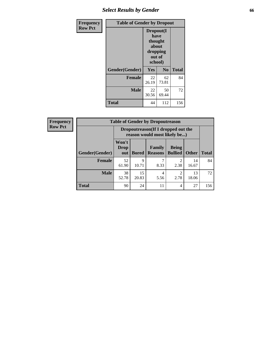# *Select Results by Gender* **66**

| Frequency      | <b>Table of Gender by Dropout</b> |                                                                        |                |              |
|----------------|-----------------------------------|------------------------------------------------------------------------|----------------|--------------|
| <b>Row Pct</b> |                                   | Dropout(I<br>have<br>thought<br>about<br>dropping<br>out of<br>school) |                |              |
|                | Gender(Gender)                    | Yes                                                                    | N <sub>0</sub> | <b>Total</b> |
|                | <b>Female</b>                     | 22<br>26.19                                                            | 62<br>73.81    | 84           |
|                | <b>Male</b>                       | 22<br>30.56                                                            | 50<br>69.44    | 72           |
|                | <b>Total</b>                      | 44                                                                     | 112            | 156          |

| <b>Frequency</b> | <b>Table of Gender by Dropoutreason</b> |                                                                     |              |                          |                                |              |              |
|------------------|-----------------------------------------|---------------------------------------------------------------------|--------------|--------------------------|--------------------------------|--------------|--------------|
| <b>Row Pct</b>   |                                         | Dropoutreason (If I dropped out the<br>reason would most likely be) |              |                          |                                |              |              |
|                  | <b>Gender(Gender)</b>                   | Won't<br><b>Drop</b><br>out                                         | <b>Bored</b> | Family<br><b>Reasons</b> | <b>Being</b><br><b>Bullied</b> | <b>Other</b> | <b>Total</b> |
|                  | <b>Female</b>                           | 52<br>61.90                                                         | 9<br>10.71   | 8.33                     | っ<br>2.38                      | 14<br>16.67  | 84           |
|                  | <b>Male</b>                             | 38<br>52.78                                                         | 15<br>20.83  | 4<br>5.56                | ി<br>2.78                      | 13<br>18.06  | 72           |
|                  | <b>Total</b>                            | 90                                                                  | 24           | 11                       | 4                              | 27           | 156          |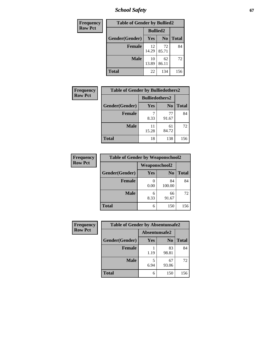*School Safety* **67**

| Frequency      | <b>Table of Gender by Bullied2</b> |                 |                |              |
|----------------|------------------------------------|-----------------|----------------|--------------|
| <b>Row Pct</b> |                                    | <b>Bullied2</b> |                |              |
|                | Gender(Gender)                     | <b>Yes</b>      | N <sub>0</sub> | <b>Total</b> |
|                | <b>Female</b>                      | 12<br>14.29     | 72<br>85.71    | 84           |
|                | <b>Male</b>                        | 10<br>13.89     | 62<br>86.11    | 72           |
|                | <b>Total</b>                       | 22              | 134            | 156          |

| Frequency      | <b>Table of Gender by Bulliedothers2</b> |                       |                |              |
|----------------|------------------------------------------|-----------------------|----------------|--------------|
| <b>Row Pct</b> |                                          | <b>Bulliedothers2</b> |                |              |
|                | Gender(Gender)                           | Yes                   | N <sub>0</sub> | <b>Total</b> |
|                | <b>Female</b>                            | 8.33                  | 77<br>91.67    | 84           |
|                | <b>Male</b>                              | 11<br>15.28           | 61<br>84.72    | 72           |
|                | <b>Total</b>                             | 18                    | 138            | 156          |

| Frequency      | <b>Table of Gender by Weaponschool2</b> |                      |                |              |
|----------------|-----------------------------------------|----------------------|----------------|--------------|
| <b>Row Pct</b> |                                         | <b>Weaponschool2</b> |                |              |
|                | Gender(Gender)                          | Yes                  | N <sub>0</sub> | <b>Total</b> |
|                | <b>Female</b>                           | 0.00                 | 84<br>100.00   | 84           |
|                | <b>Male</b>                             | 6<br>8.33            | 66<br>91.67    | 72           |
|                | <b>Total</b>                            | 6                    | 150            | 156          |

| Frequency      | <b>Table of Gender by Absentunsafe2</b> |               |                |              |
|----------------|-----------------------------------------|---------------|----------------|--------------|
| <b>Row Pct</b> |                                         | Absentunsafe2 |                |              |
|                | Gender(Gender)                          | Yes           | N <sub>0</sub> | <b>Total</b> |
|                | <b>Female</b>                           | 1.19          | 83<br>98.81    | 84           |
|                | <b>Male</b>                             | 6.94          | 67<br>93.06    | 72           |
|                | <b>Total</b>                            | 6             | 150            | 156          |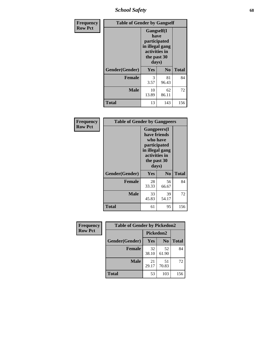*School Safety* **68**

| Frequency      | <b>Table of Gender by Gangself</b> |                                                                                                |                |              |
|----------------|------------------------------------|------------------------------------------------------------------------------------------------|----------------|--------------|
| <b>Row Pct</b> |                                    | Gangself(I<br>have<br>participated<br>in illegal gang<br>activities in<br>the past 30<br>days) |                |              |
|                | Gender(Gender)                     | Yes                                                                                            | N <sub>0</sub> | <b>Total</b> |
|                | <b>Female</b>                      | 3<br>3.57                                                                                      | 81<br>96.43    | 84           |
|                | <b>Male</b>                        | 10<br>13.89                                                                                    | 62<br>86.11    | 72           |
|                | <b>Total</b>                       | 13                                                                                             | 143            | 156          |

| Frequency      | <b>Table of Gender by Gangpeers</b> |                                                                                                                             |                |              |
|----------------|-------------------------------------|-----------------------------------------------------------------------------------------------------------------------------|----------------|--------------|
| <b>Row Pct</b> |                                     | <b>Gangpeers</b> (I<br>have friends<br>who have<br>participated<br>in illegal gang<br>activities in<br>the past 30<br>days) |                |              |
|                | Gender(Gender)                      | Yes                                                                                                                         | N <sub>0</sub> | <b>Total</b> |
|                | <b>Female</b>                       | 28<br>33.33                                                                                                                 | 56<br>66.67    | 84           |
|                | <b>Male</b>                         | 33<br>45.83                                                                                                                 | 39<br>54.17    | 72           |
|                | Total                               | 61                                                                                                                          | 95             | 156          |

| Frequency      | <b>Table of Gender by Pickedon2</b> |             |                |              |
|----------------|-------------------------------------|-------------|----------------|--------------|
| <b>Row Pct</b> |                                     | Pickedon2   |                |              |
|                | Gender(Gender)                      | <b>Yes</b>  | N <sub>0</sub> | <b>Total</b> |
|                | <b>Female</b>                       | 32<br>38.10 | 52<br>61.90    | 84           |
|                | <b>Male</b>                         | 21<br>29.17 | 51<br>70.83    | 72           |
|                | <b>Total</b>                        | 53          | 103            | 156          |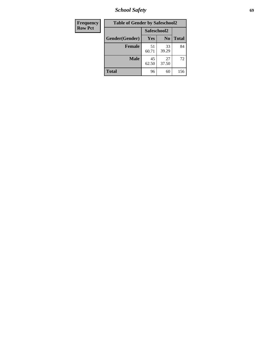*School Safety* **69**

| Frequency      | <b>Table of Gender by Safeschool2</b><br>Safeschool2 |             |                |              |  |
|----------------|------------------------------------------------------|-------------|----------------|--------------|--|
| <b>Row Pct</b> |                                                      |             |                |              |  |
|                | Gender(Gender)                                       | Yes         | N <sub>0</sub> | <b>Total</b> |  |
|                | <b>Female</b>                                        | 51<br>60.71 | 33<br>39.29    | 84           |  |
|                | <b>Male</b>                                          | 45<br>62.50 | 27<br>37.50    | 72           |  |
|                | <b>Total</b>                                         | 96          | 60             | 156          |  |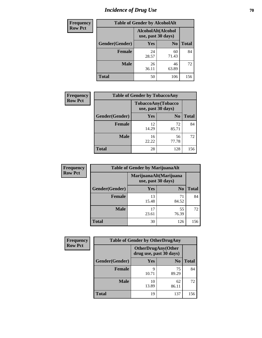# *Incidence of Drug Use* **70**

| <b>Frequency</b> | <b>Table of Gender by AlcoholAlt</b> |                                          |                |              |  |
|------------------|--------------------------------------|------------------------------------------|----------------|--------------|--|
| <b>Row Pct</b>   |                                      | AlcoholAlt(Alcohol<br>use, past 30 days) |                |              |  |
|                  | Gender(Gender)                       | Yes                                      | N <sub>0</sub> | <b>Total</b> |  |
|                  | <b>Female</b>                        | 24<br>28.57                              | 60<br>71.43    | 84           |  |
|                  | <b>Male</b>                          | 26<br>36.11                              | 46<br>63.89    | 72           |  |
|                  | <b>Total</b>                         | 50                                       | 106            | 156          |  |

| Frequency      | <b>Table of Gender by TobaccoAny</b> |                                          |                |              |  |
|----------------|--------------------------------------|------------------------------------------|----------------|--------------|--|
| <b>Row Pct</b> |                                      | TobaccoAny(Tobacco<br>use, past 30 days) |                |              |  |
|                | Gender(Gender)                       | Yes                                      | N <sub>0</sub> | <b>Total</b> |  |
|                | <b>Female</b>                        | 12<br>14.29                              | 72<br>85.71    | 84           |  |
|                | <b>Male</b>                          | 16<br>22.22                              | 56<br>77.78    | 72           |  |
|                | <b>Total</b>                         | 28                                       | 128            | 156          |  |

| <b>Frequency</b> | <b>Table of Gender by MarijuanaAlt</b> |                                              |                |              |  |
|------------------|----------------------------------------|----------------------------------------------|----------------|--------------|--|
| <b>Row Pct</b>   |                                        | MarijuanaAlt(Marijuana<br>use, past 30 days) |                |              |  |
|                  | Gender(Gender)                         | <b>Yes</b>                                   | N <sub>0</sub> | <b>Total</b> |  |
|                  | <b>Female</b>                          | 13<br>15.48                                  | 71<br>84.52    | 84           |  |
|                  | <b>Male</b>                            | 17<br>23.61                                  | 55<br>76.39    | 72           |  |
|                  | <b>Total</b>                           | 30                                           | 126            | 156          |  |

| <b>Frequency</b> | <b>Table of Gender by OtherDrugAny</b> |                                                      |                |              |  |
|------------------|----------------------------------------|------------------------------------------------------|----------------|--------------|--|
| <b>Row Pct</b>   |                                        | <b>OtherDrugAny(Other</b><br>drug use, past 30 days) |                |              |  |
|                  | Gender(Gender)                         | <b>Yes</b>                                           | N <sub>0</sub> | <b>Total</b> |  |
|                  | <b>Female</b>                          | 9<br>10.71                                           | 75<br>89.29    | 84           |  |
|                  | <b>Male</b>                            | 10<br>13.89                                          | 62<br>86.11    | 72           |  |
|                  | <b>Total</b>                           | 19                                                   | 137            | 156          |  |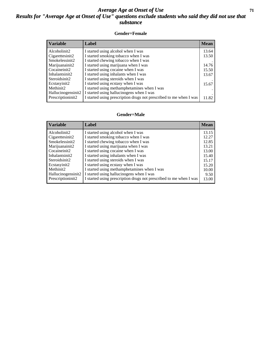### *Average Age at Onset of Use* **71** *Results for "Average Age at Onset of Use" questions exclude students who said they did not use that substance*

#### **Gender=Female**

| <b>Variable</b>    | Label                                                              | <b>Mean</b> |
|--------------------|--------------------------------------------------------------------|-------------|
| Alcoholinit2       | I started using alcohol when I was                                 | 13.64       |
| Cigarettesinit2    | I started smoking tobacco when I was                               | 13.50       |
| Smokelessinit2     | I started chewing tobacco when I was                               |             |
| Marijuanainit2     | I started using marijuana when I was                               | 14.76       |
| Cocaineinit2       | I started using cocaine when I was                                 | 15.50       |
| Inhalantsinit2     | I started using inhalants when I was                               | 13.67       |
| Steroidsinit2      | I started using steroids when I was                                |             |
| Ecstasyinit2       | I started using ecstasy when I was                                 | 15.67       |
| Methinit2          | I started using methamphetamines when I was                        |             |
| Hallucinogensinit2 | I started using hallucinogens when I was                           |             |
| Prescription in t2 | I started using prescription drugs not prescribed to me when I was | 11.82       |

#### **Gender=Male**

| <b>Variable</b>       | Label                                                              | <b>Mean</b> |
|-----------------------|--------------------------------------------------------------------|-------------|
| Alcoholinit2          | I started using alcohol when I was                                 | 13.15       |
| Cigarettesinit2       | I started smoking tobacco when I was                               | 12.27       |
| Smokelessinit2        | I started chewing tobacco when I was                               | 12.85       |
| Marijuanainit2        | I started using marijuana when I was                               | 13.21       |
| Cocaineinit2          | I started using cocaine when I was                                 | 13.00       |
| Inhalantsinit2        | I started using inhalants when I was                               | 15.40       |
| Steroidsinit2         | I started using steroids when I was                                | 15.17       |
| Ecstasyinit2          | I started using ecstasy when I was                                 | 15.20       |
| Methinit <sub>2</sub> | I started using methamphetamines when I was                        | 10.00       |
| Hallucinogensinit2    | I started using hallucinogens when I was                           | 9.50        |
| Prescriptioninit2     | I started using prescription drugs not prescribed to me when I was | 13.00       |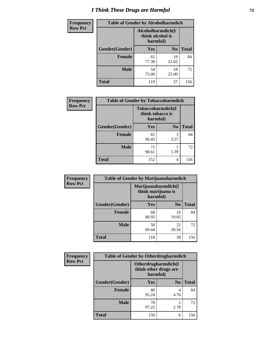# *I Think These Drugs are Harmful* **72**

| <b>Frequency</b> | <b>Table of Gender by Alcoholharmdich</b> |                                                   |                |              |  |
|------------------|-------------------------------------------|---------------------------------------------------|----------------|--------------|--|
| <b>Row Pct</b>   |                                           | Alcoholharmdich(I<br>think alcohol is<br>harmful) |                |              |  |
|                  | Gender(Gender)                            | <b>Yes</b>                                        | N <sub>0</sub> | <b>Total</b> |  |
|                  | <b>Female</b>                             | 65<br>77.38                                       | 19<br>22.62    | 84           |  |
|                  | <b>Male</b>                               | 54<br>75.00                                       | 18<br>25.00    | 72           |  |
|                  | <b>Total</b>                              | 119                                               | 37             | 156          |  |

| <b>Frequency</b> | <b>Table of Gender by Tobaccoharmdich</b> |                  |                               |              |  |
|------------------|-------------------------------------------|------------------|-------------------------------|--------------|--|
| <b>Row Pct</b>   |                                           | think tobacco is | Tobaccoharmdich(I<br>harmful) |              |  |
|                  | Gender(Gender)                            | Yes              | N <sub>0</sub>                | <b>Total</b> |  |
|                  | <b>Female</b>                             | 81<br>96.43      | 3<br>3.57                     | 84           |  |
|                  | <b>Male</b>                               | 71<br>98.61      | 1.39                          | 72           |  |
|                  | <b>Total</b>                              | 152              | 4                             | 156          |  |

| Frequency      | <b>Table of Gender by Marijuanaharmdich</b> |                                                       |                |              |  |
|----------------|---------------------------------------------|-------------------------------------------------------|----------------|--------------|--|
| <b>Row Pct</b> |                                             | Marijuanaharmdich(I<br>think marijuana is<br>harmful) |                |              |  |
|                | Gender(Gender)                              | <b>Yes</b>                                            | N <sub>0</sub> | <b>Total</b> |  |
|                | <b>Female</b>                               | 68<br>80.95                                           | 16<br>19.05    | 84           |  |
|                | <b>Male</b>                                 | 50<br>69.44                                           | 22<br>30.56    | 72           |  |
|                | <b>Total</b>                                | 118                                                   | 38             | 156          |  |

| Frequency      | <b>Table of Gender by Otherdrugharmdich</b> |                                                          |                        |              |  |
|----------------|---------------------------------------------|----------------------------------------------------------|------------------------|--------------|--|
| <b>Row Pct</b> |                                             | Otherdrugharmdich(I<br>think other drugs are<br>harmful) |                        |              |  |
|                | Gender(Gender)                              | <b>Yes</b>                                               | N <sub>0</sub>         | <b>Total</b> |  |
|                | <b>Female</b>                               | 80<br>95.24                                              | 4<br>4.76              | 84           |  |
|                | <b>Male</b>                                 | 70<br>97.22                                              | $\mathfrak{D}$<br>2.78 | 72           |  |
|                | <b>Total</b>                                | 150                                                      | 6                      | 156          |  |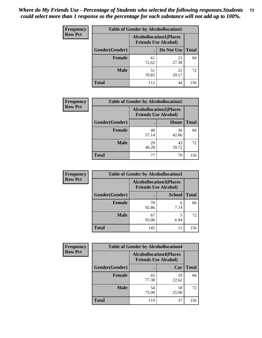| <b>Frequency</b> | <b>Table of Gender by Alcohollocation1</b> |                                                               |             |              |
|------------------|--------------------------------------------|---------------------------------------------------------------|-------------|--------------|
| <b>Row Pct</b>   |                                            | <b>Alcohollocation1(Places</b><br><b>Friends Use Alcohol)</b> |             |              |
|                  | Gender(Gender)                             |                                                               | Do Not Use  | <b>Total</b> |
|                  | <b>Female</b>                              | 61<br>72.62                                                   | 23<br>27.38 | 84           |
|                  | <b>Male</b>                                | 51<br>70.83                                                   | 21<br>29.17 | 72           |
|                  | <b>Total</b>                               | 112                                                           | 44          | 156          |

| <b>Frequency</b> | <b>Table of Gender by Alcohollocation2</b> |                                |                             |              |
|------------------|--------------------------------------------|--------------------------------|-----------------------------|--------------|
| <b>Row Pct</b>   |                                            | <b>Alcohollocation2(Places</b> | <b>Friends Use Alcohol)</b> |              |
|                  | Gender(Gender)                             |                                | Home                        | <b>Total</b> |
|                  | <b>Female</b>                              | 48<br>57.14                    | 36<br>42.86                 | 84           |
|                  | <b>Male</b>                                | 29<br>40.28                    | 43<br>59.72                 | 72           |
|                  | <b>Total</b>                               | 77                             | 79                          | 156          |

| Frequency      | <b>Table of Gender by Alcohollocation3</b> |                                                               |               |              |
|----------------|--------------------------------------------|---------------------------------------------------------------|---------------|--------------|
| <b>Row Pct</b> |                                            | <b>Alcohollocation3(Places</b><br><b>Friends Use Alcohol)</b> |               |              |
|                | Gender(Gender)                             |                                                               | <b>School</b> | <b>Total</b> |
|                | <b>Female</b>                              | 78<br>92.86                                                   | 6<br>7.14     | 84           |
|                | <b>Male</b>                                | 67<br>93.06                                                   | 6.94          | 72           |
|                | <b>Total</b>                               | 145                                                           | 11            | 156          |

| Frequency      | <b>Table of Gender by Alcohollocation4</b> |                             |                                |              |  |
|----------------|--------------------------------------------|-----------------------------|--------------------------------|--------------|--|
| <b>Row Pct</b> |                                            | <b>Friends Use Alcohol)</b> | <b>Alcohollocation4(Places</b> |              |  |
|                | Gender(Gender)                             |                             | Car                            | <b>Total</b> |  |
|                | <b>Female</b>                              | 65<br>77.38                 | 19<br>22.62                    | 84           |  |
|                | <b>Male</b>                                | 54<br>75.00                 | 18<br>25.00                    | 72           |  |
|                | <b>Total</b>                               | 119                         | 37                             | 156          |  |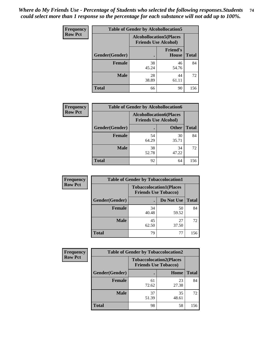| <b>Frequency</b> |                | <b>Table of Gender by Alcohollocation5</b>                     |                                 |              |
|------------------|----------------|----------------------------------------------------------------|---------------------------------|--------------|
| <b>Row Pct</b>   |                | <b>Alcohollocation5</b> (Places<br><b>Friends Use Alcohol)</b> |                                 |              |
|                  | Gender(Gender) | $\bullet$                                                      | <b>Friend's</b><br><b>House</b> | <b>Total</b> |
|                  | <b>Female</b>  | 38<br>45.24                                                    | 46<br>54.76                     | 84           |
|                  | <b>Male</b>    | 28<br>38.89                                                    | 44<br>61.11                     | 72           |
|                  | <b>Total</b>   | 66                                                             | 90                              | 156          |

| Frequency      | <b>Table of Gender by Alcohollocation6</b> |                                                               |              |              |  |
|----------------|--------------------------------------------|---------------------------------------------------------------|--------------|--------------|--|
| <b>Row Pct</b> |                                            | <b>Alcohollocation6(Places</b><br><b>Friends Use Alcohol)</b> |              |              |  |
|                | <b>Gender</b> (Gender)                     |                                                               | <b>Other</b> | <b>Total</b> |  |
|                | <b>Female</b>                              | 54<br>64.29                                                   | 30<br>35.71  | 84           |  |
|                | <b>Male</b>                                | 38<br>52.78                                                   | 34<br>47.22  | 72           |  |
|                | <b>Total</b>                               | 92                                                            | 64           | 156          |  |

| Frequency      | <b>Table of Gender by Tobaccolocation1</b> |                                                               |             |              |  |
|----------------|--------------------------------------------|---------------------------------------------------------------|-------------|--------------|--|
| <b>Row Pct</b> |                                            | <b>Tobaccolocation1(Places</b><br><b>Friends Use Tobacco)</b> |             |              |  |
|                | Gender(Gender)                             |                                                               | Do Not Use  | <b>Total</b> |  |
|                | <b>Female</b>                              | 34<br>40.48                                                   | 50<br>59.52 | 84           |  |
|                | <b>Male</b>                                | 45<br>62.50                                                   | 27<br>37.50 | 72           |  |
|                | <b>Total</b>                               | 79                                                            | 77          | 156          |  |

| <b>Frequency</b> |                | <b>Table of Gender by Tobaccolocation2</b>                    |             |              |
|------------------|----------------|---------------------------------------------------------------|-------------|--------------|
| <b>Row Pct</b>   |                | <b>Tobaccolocation2(Places</b><br><b>Friends Use Tobacco)</b> |             |              |
|                  | Gender(Gender) |                                                               | Home        | <b>Total</b> |
|                  | Female         | 61<br>72.62                                                   | 23<br>27.38 | 84           |
|                  | <b>Male</b>    | 37<br>51.39                                                   | 35<br>48.61 | 72           |
|                  | <b>Total</b>   | 98                                                            | 58          | 156          |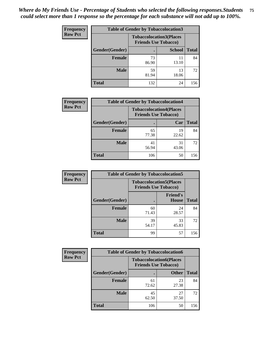| <b>Frequency</b> | <b>Table of Gender by Tobaccolocation3</b> |                                |                             |              |  |
|------------------|--------------------------------------------|--------------------------------|-----------------------------|--------------|--|
| <b>Row Pct</b>   |                                            | <b>Tobaccolocation3(Places</b> | <b>Friends Use Tobacco)</b> |              |  |
|                  | Gender(Gender)                             |                                | <b>School</b>               | <b>Total</b> |  |
|                  | <b>Female</b>                              | 73<br>86.90                    | 11<br>13.10                 | 84           |  |
|                  | <b>Male</b>                                | 59<br>81.94                    | 13<br>18.06                 | 72           |  |
|                  | Total                                      | 132                            | 24                          | 156          |  |

| <b>Frequency</b> | <b>Table of Gender by Tobaccolocation4</b> |                                                               |             |              |
|------------------|--------------------------------------------|---------------------------------------------------------------|-------------|--------------|
| <b>Row Pct</b>   |                                            | <b>Tobaccolocation4(Places</b><br><b>Friends Use Tobacco)</b> |             |              |
|                  | Gender(Gender)                             |                                                               | Car         | <b>Total</b> |
|                  | <b>Female</b>                              | 65<br>77.38                                                   | 19<br>22.62 | 84           |
|                  | <b>Male</b>                                | 41<br>56.94                                                   | 31<br>43.06 | 72           |
|                  | <b>Total</b>                               | 106                                                           | 50          | 156          |

| <b>Frequency</b> | <b>Table of Gender by Tobaccolocation5</b> |                                                               |                                 |              |
|------------------|--------------------------------------------|---------------------------------------------------------------|---------------------------------|--------------|
| <b>Row Pct</b>   |                                            | <b>Tobaccolocation5(Places</b><br><b>Friends Use Tobacco)</b> |                                 |              |
|                  | Gender(Gender)                             |                                                               | <b>Friend's</b><br><b>House</b> | <b>Total</b> |
|                  | <b>Female</b>                              | 60<br>71.43                                                   | 24<br>28.57                     | 84           |
|                  | <b>Male</b>                                | 39<br>54.17                                                   | 33<br>45.83                     | 72           |
|                  | <b>Total</b>                               | 99                                                            | 57                              | 156          |

| <b>Frequency</b> | <b>Table of Gender by Tobaccolocation6</b> |                                                               |              |              |  |
|------------------|--------------------------------------------|---------------------------------------------------------------|--------------|--------------|--|
| <b>Row Pct</b>   |                                            | <b>Tobaccolocation6(Places</b><br><b>Friends Use Tobacco)</b> |              |              |  |
|                  | Gender(Gender)                             |                                                               | <b>Other</b> | <b>Total</b> |  |
|                  | Female                                     | 61<br>72.62                                                   | 23<br>27.38  | 84           |  |
|                  | <b>Male</b>                                | 45<br>62.50                                                   | 27<br>37.50  | 72           |  |
|                  | <b>Total</b>                               | 106                                                           | 50           | 156          |  |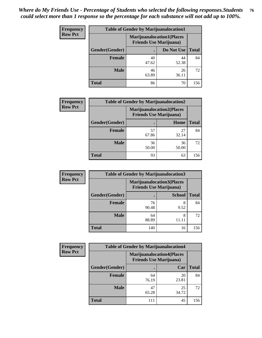| <b>Frequency</b> | <b>Table of Gender by Marijuanalocation1</b> |                                                                    |             |              |
|------------------|----------------------------------------------|--------------------------------------------------------------------|-------------|--------------|
| <b>Row Pct</b>   |                                              | <b>Marijuanalocation1(Places</b><br><b>Friends Use Marijuana</b> ) |             |              |
|                  | Gender(Gender)                               |                                                                    | Do Not Use  | <b>Total</b> |
|                  | <b>Female</b>                                | 40<br>47.62                                                        | 44<br>52.38 | 84           |
|                  | <b>Male</b>                                  | 46<br>63.89                                                        | 26<br>36.11 | 72           |
|                  | Total                                        | 86                                                                 | 70          | 156          |

| <b>Frequency</b> | <b>Table of Gender by Marijuanalocation2</b> |                                                                    |             |              |
|------------------|----------------------------------------------|--------------------------------------------------------------------|-------------|--------------|
| <b>Row Pct</b>   |                                              | <b>Marijuanalocation2(Places</b><br><b>Friends Use Marijuana</b> ) |             |              |
|                  | Gender(Gender)                               |                                                                    | Home        | <b>Total</b> |
|                  | Female                                       | 57<br>67.86                                                        | 27<br>32.14 | 84           |
|                  | <b>Male</b>                                  | 36<br>50.00                                                        | 36<br>50.00 | 72           |
|                  | <b>Total</b>                                 | 93                                                                 | 63          | 156          |

| Frequency      | <b>Table of Gender by Marijuanalocation3</b> |                                                                    |               |              |
|----------------|----------------------------------------------|--------------------------------------------------------------------|---------------|--------------|
| <b>Row Pct</b> |                                              | <b>Marijuanalocation3(Places</b><br><b>Friends Use Marijuana</b> ) |               |              |
|                | Gender(Gender)                               |                                                                    | <b>School</b> | <b>Total</b> |
|                | Female                                       | 76<br>90.48                                                        | 8<br>9.52     | 84           |
|                | <b>Male</b>                                  | 64<br>88.89                                                        | 8             | 72           |
|                | <b>Total</b>                                 | 140                                                                | 16            | 156          |

| <b>Frequency</b> | <b>Table of Gender by Marijuanalocation4</b> |                                                                    |             |              |  |
|------------------|----------------------------------------------|--------------------------------------------------------------------|-------------|--------------|--|
| <b>Row Pct</b>   |                                              | <b>Marijuanalocation4(Places</b><br><b>Friends Use Marijuana</b> ) |             |              |  |
|                  | Gender(Gender)                               |                                                                    | Car         | <b>Total</b> |  |
|                  | <b>Female</b>                                | 64<br>76.19                                                        | 20<br>23.81 | 84           |  |
|                  | <b>Male</b>                                  | 47<br>65.28                                                        | 25<br>34.72 | 72           |  |
|                  | <b>Total</b>                                 | 111                                                                | 45          | 156          |  |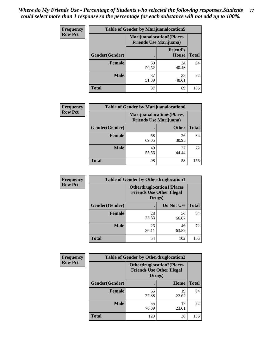| <b>Frequency</b> | <b>Table of Gender by Marijuanalocation5</b> |                                                                     |                                 |              |
|------------------|----------------------------------------------|---------------------------------------------------------------------|---------------------------------|--------------|
| <b>Row Pct</b>   |                                              | <b>Marijuanalocation5</b> (Places<br><b>Friends Use Marijuana</b> ) |                                 |              |
|                  | Gender(Gender)                               |                                                                     | <b>Friend's</b><br><b>House</b> | <b>Total</b> |
|                  | Female                                       | 50<br>59.52                                                         | 34<br>40.48                     | 84           |
|                  | <b>Male</b>                                  | 37<br>51.39                                                         | 35<br>48.61                     | 72           |
|                  | <b>Total</b>                                 | 87                                                                  | 69                              | 156          |

| <b>Frequency</b> | <b>Table of Gender by Marijuanalocation6</b> |                                                                    |              |              |
|------------------|----------------------------------------------|--------------------------------------------------------------------|--------------|--------------|
| <b>Row Pct</b>   |                                              | <b>Marijuanalocation6(Places</b><br><b>Friends Use Marijuana</b> ) |              |              |
|                  | <b>Gender</b> (Gender)                       |                                                                    | <b>Other</b> | <b>Total</b> |
|                  | <b>Female</b>                                | 58<br>69.05                                                        | 26<br>30.95  | 84           |
|                  | <b>Male</b>                                  | 40<br>55.56                                                        | 32<br>44.44  | 72           |
|                  | <b>Total</b>                                 | 98                                                                 | 58           | 156          |

| <b>Frequency</b> | <b>Table of Gender by Otherdruglocation1</b> |                                                                                |             |              |
|------------------|----------------------------------------------|--------------------------------------------------------------------------------|-------------|--------------|
| <b>Row Pct</b>   |                                              | <b>Otherdruglocation1(Places</b><br><b>Friends Use Other Illegal</b><br>Drugs) |             |              |
|                  | Gender(Gender)                               |                                                                                | Do Not Use  | <b>Total</b> |
|                  | Female                                       | 28<br>33.33                                                                    | 56<br>66.67 | 84           |
|                  | <b>Male</b>                                  | 26<br>36.11                                                                    | 46<br>63.89 | 72           |
|                  | <b>Total</b>                                 | 54                                                                             | 102         | 156          |

| <b>Frequency</b> | <b>Table of Gender by Otherdruglocation2</b> |                                            |                                  |              |
|------------------|----------------------------------------------|--------------------------------------------|----------------------------------|--------------|
| <b>Row Pct</b>   |                                              | <b>Friends Use Other Illegal</b><br>Drugs) | <b>Otherdruglocation2(Places</b> |              |
|                  | Gender(Gender)                               |                                            | Home                             | <b>Total</b> |
|                  | <b>Female</b>                                | 65<br>77.38                                | 19<br>22.62                      | 84           |
|                  | <b>Male</b>                                  | 55<br>76.39                                | 17<br>23.61                      | 72           |
|                  | <b>Total</b>                                 | 120                                        | 36                               | 156          |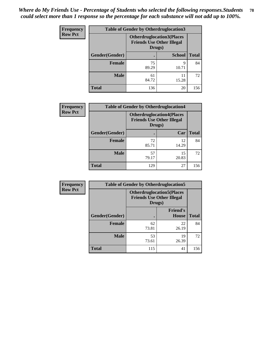| Frequency      | <b>Table of Gender by Otherdruglocation3</b> |                                                                                |               |              |
|----------------|----------------------------------------------|--------------------------------------------------------------------------------|---------------|--------------|
| <b>Row Pct</b> |                                              | <b>Otherdruglocation3(Places</b><br><b>Friends Use Other Illegal</b><br>Drugs) |               |              |
|                | Gender(Gender)                               |                                                                                | <b>School</b> | <b>Total</b> |
|                | <b>Female</b>                                | 75<br>89.29                                                                    | q<br>10.71    | 84           |
|                | <b>Male</b>                                  | 61<br>84.72                                                                    | 11<br>15.28   | 72           |
|                | <b>Total</b>                                 | 136                                                                            | 20            | 156          |

| <b>Frequency</b> | <b>Table of Gender by Otherdruglocation4</b> |                                                                                |             |              |
|------------------|----------------------------------------------|--------------------------------------------------------------------------------|-------------|--------------|
| <b>Row Pct</b>   |                                              | <b>Otherdruglocation4(Places</b><br><b>Friends Use Other Illegal</b><br>Drugs) |             |              |
|                  | Gender(Gender)                               |                                                                                | Car         | <b>Total</b> |
|                  | Female                                       | 72<br>85.71                                                                    | 12<br>14.29 | 84           |
|                  | <b>Male</b>                                  | 57<br>79.17                                                                    | 15<br>20.83 | 72           |
|                  | <b>Total</b>                                 | 129                                                                            | 27          | 156          |

| Frequency      | <b>Table of Gender by Otherdruglocation5</b> |                                                                                |                                 |              |
|----------------|----------------------------------------------|--------------------------------------------------------------------------------|---------------------------------|--------------|
| <b>Row Pct</b> |                                              | <b>Otherdruglocation5(Places</b><br><b>Friends Use Other Illegal</b><br>Drugs) |                                 |              |
|                | Gender(Gender)                               |                                                                                | <b>Friend's</b><br><b>House</b> | <b>Total</b> |
|                | <b>Female</b>                                | 62<br>73.81                                                                    | 22<br>26.19                     | 84           |
|                | <b>Male</b>                                  | 53<br>73.61                                                                    | 19<br>26.39                     | 72           |
|                | <b>Total</b>                                 | 115                                                                            | 41                              | 156          |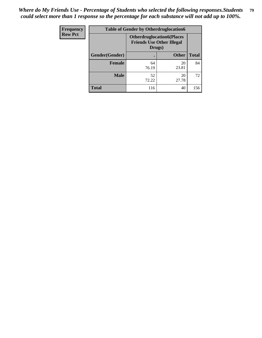| <b>Frequency</b> | <b>Table of Gender by Otherdruglocation6</b> |                                                                                |              |              |
|------------------|----------------------------------------------|--------------------------------------------------------------------------------|--------------|--------------|
| <b>Row Pct</b>   |                                              | <b>Otherdruglocation6(Places</b><br><b>Friends Use Other Illegal</b><br>Drugs) |              |              |
|                  | Gender(Gender)                               |                                                                                | <b>Other</b> | <b>Total</b> |
|                  | Female                                       | 64<br>76.19                                                                    | 20<br>23.81  | 84           |
|                  | <b>Male</b>                                  | 52<br>72.22                                                                    | 20<br>27.78  | 72           |
|                  | <b>Total</b>                                 | 116                                                                            | 40           | 156          |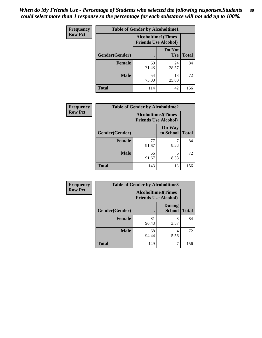| <b>Frequency</b> | <b>Table of Gender by Alcoholtime1</b> |                                                          |                      |              |
|------------------|----------------------------------------|----------------------------------------------------------|----------------------|--------------|
| <b>Row Pct</b>   |                                        | <b>Alcoholtime1(Times</b><br><b>Friends Use Alcohol)</b> |                      |              |
|                  | Gender(Gender)                         | ٠                                                        | Do Not<br><b>Use</b> | <b>Total</b> |
|                  | <b>Female</b>                          | 60<br>71.43                                              | 24<br>28.57          | 84           |
|                  | <b>Male</b>                            | 54<br>75.00                                              | 18<br>25.00          | 72           |
|                  | <b>Total</b>                           | 114                                                      | 42                   | 156          |

| Frequency      | <b>Table of Gender by Alcoholtime2</b> |                                                          |                            |              |
|----------------|----------------------------------------|----------------------------------------------------------|----------------------------|--------------|
| <b>Row Pct</b> |                                        | <b>Alcoholtime2(Times</b><br><b>Friends Use Alcohol)</b> |                            |              |
|                | Gender(Gender)                         |                                                          | <b>On Way</b><br>to School | <b>Total</b> |
|                | <b>Female</b>                          | 77<br>91.67                                              | 8.33                       | 84           |
|                | <b>Male</b>                            | 66<br>91.67                                              | 6<br>8.33                  | 72           |
|                | <b>Total</b>                           | 143                                                      | 13                         | 156          |

| <b>Frequency</b> | <b>Table of Gender by Alcoholtime3</b> |                                                          |                                |              |
|------------------|----------------------------------------|----------------------------------------------------------|--------------------------------|--------------|
| <b>Row Pct</b>   |                                        | <b>Alcoholtime3(Times</b><br><b>Friends Use Alcohol)</b> |                                |              |
|                  | Gender(Gender)                         |                                                          | <b>During</b><br><b>School</b> | <b>Total</b> |
|                  | Female                                 | 81<br>96.43                                              | 3<br>3.57                      | 84           |
|                  | <b>Male</b>                            | 68<br>94.44                                              | 4<br>5.56                      | 72           |
|                  | <b>Total</b>                           | 149                                                      | 7                              | 156          |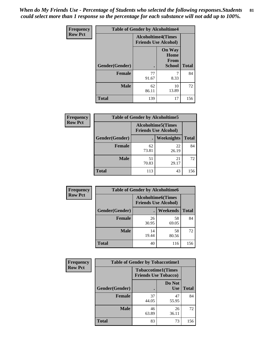*When do My Friends Use - Percentage of Students who selected the following responses.Students could select more than 1 response so the percentage for each substance will not add up to 100%.* **81**

| <b>Frequency</b> | <b>Table of Gender by Alcoholtime4</b> |                                                          |                                                |              |
|------------------|----------------------------------------|----------------------------------------------------------|------------------------------------------------|--------------|
| <b>Row Pct</b>   |                                        | <b>Alcoholtime4(Times</b><br><b>Friends Use Alcohol)</b> |                                                |              |
|                  | Gender(Gender)                         | $\bullet$                                                | <b>On Way</b><br>Home<br>From<br><b>School</b> | <b>Total</b> |
|                  | <b>Female</b>                          | 77<br>91.67                                              | 7<br>8.33                                      | 84           |
|                  | <b>Male</b>                            | 62<br>86.11                                              | 10<br>13.89                                    | 72           |
|                  | <b>Total</b>                           | 139                                                      | 17                                             | 156          |

| <b>Frequency</b> | <b>Table of Gender by Alcoholtime5</b> |                                                           |             |              |
|------------------|----------------------------------------|-----------------------------------------------------------|-------------|--------------|
| <b>Row Pct</b>   |                                        | <b>Alcoholtime5</b> (Times<br><b>Friends Use Alcohol)</b> |             |              |
|                  | Gender(Gender)                         |                                                           | Weeknights  | <b>Total</b> |
|                  | <b>Female</b>                          | 62<br>73.81                                               | 22<br>26.19 | 84           |
|                  | <b>Male</b>                            | 51<br>70.83                                               | 21<br>29.17 | 72           |
|                  | <b>Total</b>                           | 113                                                       | 43          | 156          |

| <b>Frequency</b> | <b>Table of Gender by Alcoholtime6</b> |             |                                                           |              |  |
|------------------|----------------------------------------|-------------|-----------------------------------------------------------|--------------|--|
| <b>Row Pct</b>   |                                        |             | <b>Alcoholtime6</b> (Times<br><b>Friends Use Alcohol)</b> |              |  |
|                  | Gender(Gender)                         |             | Weekends                                                  | <b>Total</b> |  |
|                  | <b>Female</b>                          | 26<br>30.95 | 58<br>69.05                                               | 84           |  |
|                  | <b>Male</b>                            | 14<br>19.44 | 58<br>80.56                                               | 72           |  |
|                  | <b>Total</b>                           | 40          | 116                                                       | 156          |  |

| <b>Frequency</b> | <b>Table of Gender by Tobaccotime1</b> |                                                          |                      |              |  |
|------------------|----------------------------------------|----------------------------------------------------------|----------------------|--------------|--|
| <b>Row Pct</b>   |                                        | <b>Tobaccotime1(Times</b><br><b>Friends Use Tobacco)</b> |                      |              |  |
|                  | Gender(Gender)                         |                                                          | Do Not<br><b>Use</b> | <b>Total</b> |  |
|                  | <b>Female</b>                          | 37<br>44.05                                              | 47<br>55.95          | 84           |  |
|                  | <b>Male</b>                            | 46<br>63.89                                              | 26<br>36.11          | 72           |  |
|                  | <b>Total</b>                           | 83                                                       | 73                   | 156          |  |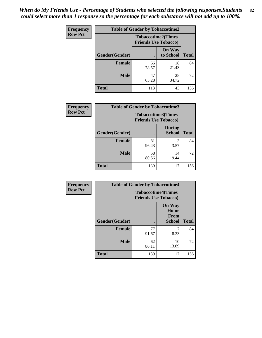| <b>Frequency</b> | <b>Table of Gender by Tobaccotime2</b> |                                                          |                            |              |
|------------------|----------------------------------------|----------------------------------------------------------|----------------------------|--------------|
| <b>Row Pct</b>   |                                        | <b>Tobaccotime2(Times</b><br><b>Friends Use Tobacco)</b> |                            |              |
|                  | Gender(Gender)                         | $\bullet$                                                | <b>On Way</b><br>to School | <b>Total</b> |
|                  | Female                                 | 66<br>78.57                                              | 18<br>21.43                | 84           |
|                  | <b>Male</b>                            | 47<br>65.28                                              | 25<br>34.72                | 72           |
|                  | <b>Total</b>                           | 113                                                      | 43                         | 156          |

| Frequency      | <b>Table of Gender by Tobaccotime3</b> |                                                          |                                |              |
|----------------|----------------------------------------|----------------------------------------------------------|--------------------------------|--------------|
| <b>Row Pct</b> |                                        | <b>Tobaccotime3(Times</b><br><b>Friends Use Tobacco)</b> |                                |              |
|                | Gender(Gender)                         |                                                          | <b>During</b><br><b>School</b> | <b>Total</b> |
|                | Female                                 | 81<br>96.43                                              | 3<br>3.57                      | 84           |
|                | <b>Male</b>                            | 58<br>80.56                                              | 14<br>19.44                    | 72           |
|                | <b>Total</b>                           | 139                                                      | 17                             | 156          |

| Frequency      | <b>Table of Gender by Tobaccotime4</b> |                                                          |                                                       |              |
|----------------|----------------------------------------|----------------------------------------------------------|-------------------------------------------------------|--------------|
| <b>Row Pct</b> |                                        | <b>Tobaccotime4(Times</b><br><b>Friends Use Tobacco)</b> |                                                       |              |
|                | Gender(Gender)                         |                                                          | <b>On Way</b><br>Home<br><b>From</b><br><b>School</b> | <b>Total</b> |
|                | <b>Female</b>                          | 77<br>91.67                                              | 8.33                                                  | 84           |
|                | <b>Male</b>                            | 62<br>86.11                                              | 10<br>13.89                                           | 72           |
|                | <b>Total</b>                           | 139                                                      | 17                                                    | 156          |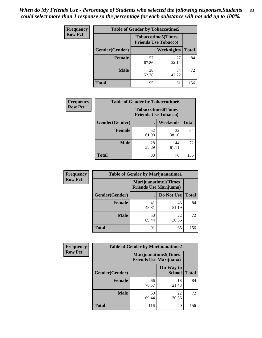| Frequency      | <b>Table of Gender by Tobaccotime5</b> |             |                                                           |              |  |
|----------------|----------------------------------------|-------------|-----------------------------------------------------------|--------------|--|
| <b>Row Pct</b> |                                        |             | <b>Tobaccotime5</b> (Times<br><b>Friends Use Tobacco)</b> |              |  |
|                | Gender(Gender)                         |             | <b>Weeknights</b>                                         | <b>Total</b> |  |
|                | Female                                 | 57<br>67.86 | 27<br>32.14                                               | 84           |  |
|                | <b>Male</b>                            | 38<br>52.78 | 34<br>47.22                                               | 72           |  |
|                | <b>Total</b>                           | 95          | 61                                                        | 156          |  |

| <b>Frequency</b> | <b>Table of Gender by Tobaccotime6</b> |                                                          |                 |              |
|------------------|----------------------------------------|----------------------------------------------------------|-----------------|--------------|
| <b>Row Pct</b>   |                                        | <b>Tobaccotime6(Times</b><br><b>Friends Use Tobacco)</b> |                 |              |
|                  | Gender(Gender)                         |                                                          | <b>Weekends</b> | <b>Total</b> |
|                  | Female                                 | 52<br>61.90                                              | 32<br>38.10     | 84           |
|                  | <b>Male</b>                            | 28<br>38.89                                              | 44<br>61.11     | 72           |
|                  | <b>Total</b>                           | 80                                                       | 76              | 156          |

| <b>Frequency</b> | <b>Table of Gender by Marijuanatime1</b> |                                |                             |              |
|------------------|------------------------------------------|--------------------------------|-----------------------------|--------------|
| <b>Row Pct</b>   |                                          | <b>Friends Use Marijuana</b> ) | <b>Marijuanatime1(Times</b> |              |
|                  | Gender(Gender)                           |                                | Do Not Use                  | <b>Total</b> |
|                  | <b>Female</b>                            | 41<br>48.81                    | 43<br>51.19                 | 84           |
|                  | <b>Male</b>                              | 50<br>69.44                    | 22<br>30.56                 | 72           |
|                  | <b>Total</b>                             | 91                             | 65                          | 156          |

| <b>Frequency</b> | <b>Table of Gender by Marijuanatime2</b> |                                                        |                            |              |
|------------------|------------------------------------------|--------------------------------------------------------|----------------------------|--------------|
| <b>Row Pct</b>   |                                          | Marijuanatime2(Times<br><b>Friends Use Marijuana</b> ) |                            |              |
|                  | Gender(Gender)                           |                                                        | On Way to<br><b>School</b> | <b>Total</b> |
|                  | <b>Female</b>                            | 66<br>78.57                                            | 18<br>21.43                | 84           |
|                  | <b>Male</b>                              | 50<br>69.44                                            | 22<br>30.56                | 72           |
|                  | <b>Total</b>                             | 116                                                    | 40                         | 156          |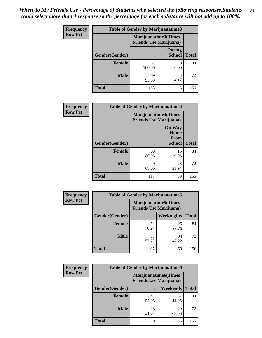| <b>Frequency</b> | <b>Table of Gender by Marijuanatime3</b> |                                |                                |              |
|------------------|------------------------------------------|--------------------------------|--------------------------------|--------------|
| <b>Row Pct</b>   |                                          | <b>Friends Use Marijuana</b> ) | Marijuanatime3(Times           |              |
|                  | <b>Gender</b> (Gender)                   |                                | <b>During</b><br><b>School</b> | <b>Total</b> |
|                  | <b>Female</b>                            | 84<br>100.00                   | 0.00                           | 84           |
|                  | <b>Male</b>                              | 69<br>95.83                    | 3<br>4.17                      | 72           |
|                  | <b>Total</b>                             | 153                            | 3                              | 156          |

| Frequency      | <b>Table of Gender by Marijuanatime4</b> |                                |                                                       |              |
|----------------|------------------------------------------|--------------------------------|-------------------------------------------------------|--------------|
| <b>Row Pct</b> |                                          | <b>Friends Use Marijuana</b> ) | <b>Marijuanatime4</b> (Times                          |              |
|                | Gender(Gender)                           |                                | <b>On Way</b><br>Home<br><b>From</b><br><b>School</b> | <b>Total</b> |
|                | <b>Female</b>                            | 68<br>80.95                    | 16<br>19.05                                           | 84           |
|                | <b>Male</b>                              | 49<br>68.06                    | 23<br>31.94                                           | 72           |
|                | <b>Total</b>                             | 117                            | 39                                                    | 156          |

| Frequency      | <b>Table of Gender by Marijuanatime5</b> |             |                                                                |              |  |
|----------------|------------------------------------------|-------------|----------------------------------------------------------------|--------------|--|
| <b>Row Pct</b> |                                          |             | <b>Marijuanatime5</b> (Times<br><b>Friends Use Marijuana</b> ) |              |  |
|                | Gender(Gender)                           |             | <b>Weeknights</b>                                              | <b>Total</b> |  |
|                | <b>Female</b>                            | 59<br>70.24 | 25<br>29.76                                                    | 84           |  |
|                | <b>Male</b>                              | 38<br>52.78 | 34<br>47.22                                                    | 72           |  |
|                | <b>Total</b>                             | 97          | 59                                                             | 156          |  |

| Frequency      |                | <b>Table of Gender by Marijuanatime6</b>                      |                 |              |
|----------------|----------------|---------------------------------------------------------------|-----------------|--------------|
| <b>Row Pct</b> |                | <b>Marijuanatime6(Times</b><br><b>Friends Use Marijuana</b> ) |                 |              |
|                | Gender(Gender) |                                                               | <b>Weekends</b> | <b>Total</b> |
|                | <b>Female</b>  | 47<br>55.95                                                   | 37<br>44.05     | 84           |
|                | <b>Male</b>    | 23<br>31.94                                                   | 49<br>68.06     | 72           |
|                | <b>Total</b>   | 70                                                            | 86              | 156          |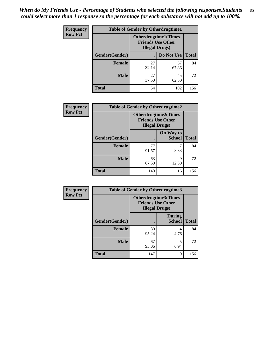*When do My Friends Use - Percentage of Students who selected the following responses.Students could select more than 1 response so the percentage for each substance will not add up to 100%.* **85**

| <b>Frequency</b> | <b>Table of Gender by Otherdrugtime1</b> |                                                                                    |                    |     |  |
|------------------|------------------------------------------|------------------------------------------------------------------------------------|--------------------|-----|--|
| <b>Row Pct</b>   |                                          | <b>Otherdrugtime1</b> (Times<br><b>Friends Use Other</b><br><b>Illegal Drugs</b> ) |                    |     |  |
|                  | Gender(Gender)                           |                                                                                    | Do Not Use   Total |     |  |
|                  | <b>Female</b>                            | 27<br>32.14                                                                        | 57<br>67.86        | 84  |  |
|                  | Male                                     | 27<br>37.50                                                                        | 45<br>62.50        | 72  |  |
|                  | <b>Total</b>                             | 54                                                                                 | 102                | 156 |  |

| Frequency      | <b>Table of Gender by Otherdrugtime2</b> |                                                                                   |                            |              |
|----------------|------------------------------------------|-----------------------------------------------------------------------------------|----------------------------|--------------|
| <b>Row Pct</b> |                                          | <b>Otherdrugtime2(Times</b><br><b>Friends Use Other</b><br><b>Illegal Drugs</b> ) |                            |              |
|                | Gender(Gender)                           |                                                                                   | On Way to<br><b>School</b> | <b>Total</b> |
|                | <b>Female</b>                            | 77<br>91.67                                                                       | 8.33                       | 84           |
|                | <b>Male</b>                              | 63<br>87.50                                                                       | 9<br>12.50                 | 72           |
|                | <b>Total</b>                             | 140                                                                               | 16                         | 156          |

| Frequency      | <b>Table of Gender by Otherdrugtime3</b> |             |                                                                            |              |
|----------------|------------------------------------------|-------------|----------------------------------------------------------------------------|--------------|
| <b>Row Pct</b> |                                          |             | Otherdrugtime3(Times<br><b>Friends Use Other</b><br><b>Illegal Drugs</b> ) |              |
|                | Gender(Gender)                           |             | <b>During</b><br><b>School</b>                                             | <b>Total</b> |
|                | <b>Female</b>                            | 80<br>95.24 | 4<br>4.76                                                                  | 84           |
|                | <b>Male</b>                              | 67<br>93.06 | 5<br>6.94                                                                  | 72           |
|                | <b>Total</b>                             | 147         | 9                                                                          | 156          |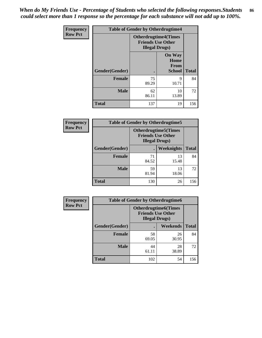*When do My Friends Use - Percentage of Students who selected the following responses.Students could select more than 1 response so the percentage for each substance will not add up to 100%.* **86**

| <b>Frequency</b> | <b>Table of Gender by Otherdrugtime4</b> |                                                                                   |                                                       |              |
|------------------|------------------------------------------|-----------------------------------------------------------------------------------|-------------------------------------------------------|--------------|
| <b>Row Pct</b>   |                                          | <b>Otherdrugtime4(Times</b><br><b>Friends Use Other</b><br><b>Illegal Drugs</b> ) |                                                       |              |
|                  | Gender(Gender)                           |                                                                                   | <b>On Way</b><br>Home<br><b>From</b><br><b>School</b> | <b>Total</b> |
|                  | Female                                   | 75<br>89.29                                                                       | 9<br>10.71                                            | 84           |
|                  | <b>Male</b>                              | 62<br>86.11                                                                       | 10<br>13.89                                           | 72           |
|                  | <b>Total</b>                             | 137                                                                               | 19                                                    | 156          |

| Frequency      | <b>Table of Gender by Otherdrugtime5</b> |                                                                                    |             |              |
|----------------|------------------------------------------|------------------------------------------------------------------------------------|-------------|--------------|
| <b>Row Pct</b> |                                          | <b>Otherdrugtime5</b> (Times<br><b>Friends Use Other</b><br><b>Illegal Drugs</b> ) |             |              |
|                | Gender(Gender)                           |                                                                                    | Weeknights  | <b>Total</b> |
|                | Female                                   | 71<br>84.52                                                                        | 13<br>15.48 | 84           |
|                | <b>Male</b>                              | 59<br>81.94                                                                        | 13<br>18.06 | 72           |
|                | <b>Total</b>                             | 130                                                                                | 26          | 156          |

| <b>Frequency</b> | <b>Table of Gender by Otherdrugtime6</b> |                                                                                   |             |              |
|------------------|------------------------------------------|-----------------------------------------------------------------------------------|-------------|--------------|
| <b>Row Pct</b>   |                                          | <b>Otherdrugtime6(Times</b><br><b>Friends Use Other</b><br><b>Illegal Drugs</b> ) |             |              |
|                  | Gender(Gender)                           |                                                                                   | Weekends    | <b>Total</b> |
|                  | Female                                   | 58<br>69.05                                                                       | 26<br>30.95 | 84           |
|                  | <b>Male</b>                              | 44<br>61.11                                                                       | 28<br>38.89 | 72           |
|                  | <b>Total</b>                             | 102                                                                               | 54          | 156          |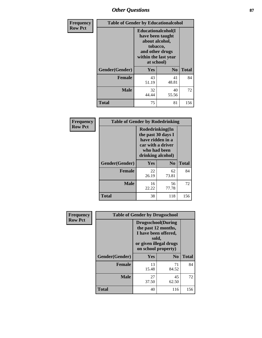# *Other Questions* **87**

| <b>Frequency</b> | <b>Table of Gender by Educationalcohol</b> |                                                                                                                                       |                |              |  |
|------------------|--------------------------------------------|---------------------------------------------------------------------------------------------------------------------------------------|----------------|--------------|--|
| <b>Row Pct</b>   |                                            | <b>Educationalcohol</b> (I<br>have been taught<br>about alcohol,<br>tobacco,<br>and other drugs<br>within the last year<br>at school) |                |              |  |
|                  | Gender(Gender)                             | <b>Yes</b>                                                                                                                            | N <sub>0</sub> | <b>Total</b> |  |
|                  | <b>Female</b>                              | 43<br>51.19                                                                                                                           | 41<br>48.81    | 84           |  |
|                  | <b>Male</b>                                | 32<br>44.44                                                                                                                           | 40<br>55.56    | 72           |  |
|                  | <b>Total</b>                               | 75                                                                                                                                    | 81             | 156          |  |

| Frequency      | <b>Table of Gender by Rodedrinking</b> |                                                                                                                     |             |              |  |  |
|----------------|----------------------------------------|---------------------------------------------------------------------------------------------------------------------|-------------|--------------|--|--|
| <b>Row Pct</b> |                                        | Rodedrinking(In<br>the past 30 days I<br>have ridden in a<br>car with a driver<br>who had been<br>drinking alcohol) |             |              |  |  |
|                | Gender(Gender)                         | Yes                                                                                                                 | $\bf N_0$   | <b>Total</b> |  |  |
|                | <b>Female</b>                          | 22<br>26.19                                                                                                         | 62<br>73.81 | 84           |  |  |
|                | <b>Male</b>                            | 16<br>22.22                                                                                                         | 56<br>77.78 | 72           |  |  |
|                | <b>Total</b>                           | 38                                                                                                                  | 118         | 156          |  |  |

| Frequency      | <b>Table of Gender by Drugsschool</b> |                                                                                                                                     |                |              |  |
|----------------|---------------------------------------|-------------------------------------------------------------------------------------------------------------------------------------|----------------|--------------|--|
| <b>Row Pct</b> |                                       | <b>Drugsschool</b> (During<br>the past 12 months,<br>I have been offered,<br>sold,<br>or given illegal drugs<br>on school property) |                |              |  |
|                | Gender(Gender)                        | Yes                                                                                                                                 | N <sub>0</sub> | <b>Total</b> |  |
|                | <b>Female</b>                         | 13<br>15.48                                                                                                                         | 71<br>84.52    | 84           |  |
|                | <b>Male</b>                           | 27<br>37.50                                                                                                                         | 45<br>62.50    | 72           |  |
|                | <b>Total</b>                          | 40                                                                                                                                  | 116            | 156          |  |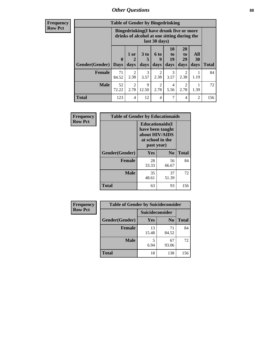# *Other Questions* **88**

**Frequency Row Pct**

| <b>Table of Gender by Bingedrinking</b> |              |                                                                                                         |                   |                        |                                                                            |                               |                   |              |
|-----------------------------------------|--------------|---------------------------------------------------------------------------------------------------------|-------------------|------------------------|----------------------------------------------------------------------------|-------------------------------|-------------------|--------------|
|                                         |              | Bingedrinking(I have drunk five or more<br>drinks of alcohol at one sitting during the<br>last 30 days) |                   |                        |                                                                            |                               |                   |              |
| <b>Gender</b> (Gender)   Days           | $\mathbf{0}$ | 1 or<br>days                                                                                            | 3 to<br>5<br>days | 6 to<br>q<br>days      | <b>10</b><br>$\mathbf{t}$ <sup><math>\mathbf{0}</math></sup><br>19<br>days | <b>20</b><br>to<br>29<br>days | All<br>30<br>days | <b>Total</b> |
| <b>Female</b>                           | 71<br>84.52  | $\mathfrak{D}$<br>2.38                                                                                  | 3<br>3.57         | 2<br>2.38              | 3<br>3.57                                                                  | 2<br>2.38                     | 1.19              | 84           |
| <b>Male</b>                             | 52<br>72.22  | $\mathfrak{D}$<br>2.78                                                                                  | 9<br>12.50        | $\mathfrak{D}$<br>2.78 | 4<br>5.56                                                                  | 2<br>2.78                     | 1.39              | 72           |
| <b>Total</b>                            | 123          | $\overline{4}$                                                                                          | 12                | 4                      | 7                                                                          | $\overline{4}$                | $\overline{2}$    | 156          |

| Frequency      | <b>Table of Gender by Educationaids</b> |                                                                                                 |             |              |  |
|----------------|-----------------------------------------|-------------------------------------------------------------------------------------------------|-------------|--------------|--|
| <b>Row Pct</b> |                                         | <b>Educationaids</b> (I<br>have been taught<br>about HIV/AIDS<br>at school in the<br>past year) |             |              |  |
|                | Gender(Gender)                          | Yes                                                                                             | $\bf N_0$   | <b>Total</b> |  |
|                | <b>Female</b>                           | 28<br>33.33                                                                                     | 56<br>66.67 | 84           |  |
|                | <b>Male</b>                             | 35<br>48.61                                                                                     | 37<br>51.39 | 72           |  |
|                | <b>Total</b>                            | 63                                                                                              | 93          | 156          |  |

| Frequency      | <b>Table of Gender by Suicideconsider</b> |                        |                |       |  |
|----------------|-------------------------------------------|------------------------|----------------|-------|--|
| <b>Row Pct</b> |                                           | <b>Suicideconsider</b> |                |       |  |
|                | Gender(Gender)                            | <b>Yes</b>             | N <sub>0</sub> | Total |  |
|                | <b>Female</b>                             | 13<br>15.48            | 71<br>84.52    | 84    |  |
|                | <b>Male</b>                               | 6.94                   | 67<br>93.06    | 72    |  |
|                | <b>Total</b>                              | 18                     | 138            | 156   |  |